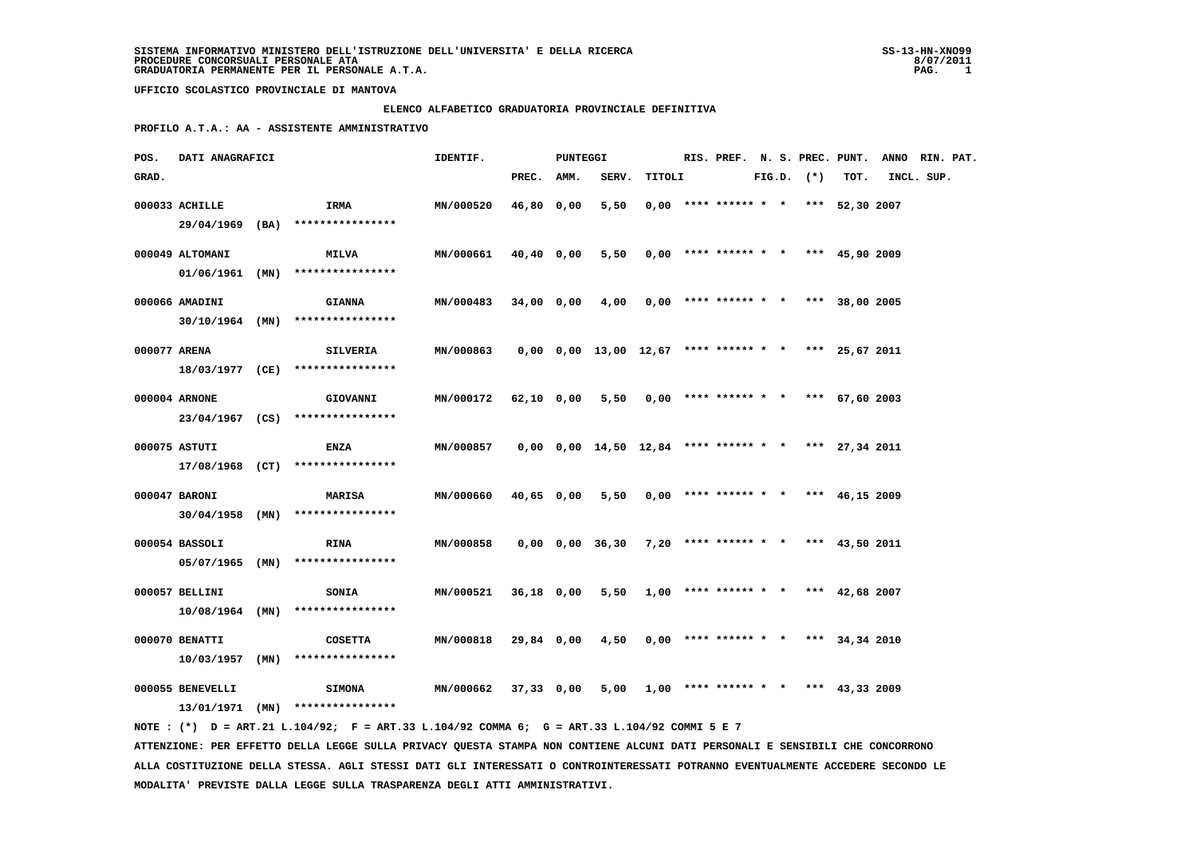#### **ELENCO ALFABETICO GRADUATORIA PROVINCIALE DEFINITIVA**

 **PROFILO A.T.A.: AA - ASSISTENTE AMMINISTRATIVO**

| POS.  | DATI ANAGRAFICI  |                                                                                              | IDENTIF.                  |            | <b>PUNTEGGI</b> |                                                              |                                            |  |  |                |                                       | RIS. PREF. N. S. PREC. PUNT. ANNO RIN. PAT. |            |  |
|-------|------------------|----------------------------------------------------------------------------------------------|---------------------------|------------|-----------------|--------------------------------------------------------------|--------------------------------------------|--|--|----------------|---------------------------------------|---------------------------------------------|------------|--|
| GRAD. |                  |                                                                                              |                           | PREC. AMM. |                 | SERV.                                                        | TITOLI                                     |  |  | $FIG.D.$ $(*)$ | TOT.                                  |                                             | INCL. SUP. |  |
|       | 000033 ACHILLE   | <b>IRMA</b>                                                                                  | <b>MN/000520</b>          | 46,80 0,00 |                 | 5,50                                                         |                                            |  |  |                | $0,00$ **** ****** * * *** 52,30 2007 |                                             |            |  |
|       |                  | 29/04/1969 (BA) ****************                                                             |                           |            |                 |                                                              |                                            |  |  |                |                                       |                                             |            |  |
|       | 000049 ALTOMANI  | <b>MILVA</b>                                                                                 | MN/000661                 | 40,40 0,00 |                 | 5,50                                                         |                                            |  |  |                | $0,00$ **** ****** * * *** 45,90 2009 |                                             |            |  |
|       |                  | $01/06/1961$ (MN) ****************                                                           |                           |            |                 |                                                              |                                            |  |  |                |                                       |                                             |            |  |
|       | 000066 AMADINI   | <b>GIANNA</b>                                                                                | MN/000483                 | 34,00 0,00 |                 | 4,00                                                         |                                            |  |  |                | $0,00$ **** ****** * * *** 38,00 2005 |                                             |            |  |
|       |                  | $30/10/1964$ (MN) *****************                                                          |                           |            |                 |                                                              |                                            |  |  |                |                                       |                                             |            |  |
|       |                  |                                                                                              |                           |            |                 |                                                              |                                            |  |  |                |                                       |                                             |            |  |
|       | 000077 ARENA     | <b>SILVERIA</b>                                                                              | MN/000863                 |            |                 | $0,00$ $0,00$ $13,00$ $12,67$ **** ****** * *** 25,67 2011   |                                            |  |  |                |                                       |                                             |            |  |
|       |                  | 18/03/1977 (CE) ****************                                                             |                           |            |                 |                                                              |                                            |  |  |                |                                       |                                             |            |  |
|       | 000004 ARNONE    | <b>GIOVANNI</b>                                                                              | MN/000172 62,10 0,00 5,50 |            |                 |                                                              |                                            |  |  |                | $0,00$ **** ****** * * *** 67,60 2003 |                                             |            |  |
|       |                  | 23/04/1967 (CS) ****************                                                             |                           |            |                 |                                                              |                                            |  |  |                |                                       |                                             |            |  |
|       | 000075 ASTUTI    | <b>ENZA</b>                                                                                  | <b>MN/000857</b>          |            |                 | $0,00$ $0,00$ $14,50$ $12,84$ **** ****** * * *** 27,34 2011 |                                            |  |  |                |                                       |                                             |            |  |
|       |                  | $17/08/1968$ (CT) ****************                                                           |                           |            |                 |                                                              |                                            |  |  |                |                                       |                                             |            |  |
|       |                  |                                                                                              |                           |            |                 |                                                              |                                            |  |  |                |                                       |                                             |            |  |
|       | 000047 BARONI    | <b>MARISA</b>                                                                                | MN/000660                 | 40,65 0,00 |                 | 5,50                                                         |                                            |  |  |                | $0,00$ **** ****** * * *** 46,15 2009 |                                             |            |  |
|       |                  | $30/04/1958$ (MN) ****************                                                           |                           |            |                 |                                                              |                                            |  |  |                |                                       |                                             |            |  |
|       | 000054 BASSOLI   | <b>RINA</b>                                                                                  | MN/000858                 |            |                 | $0,00$ $0,00$ $36,30$ $7,20$ **** ****** * *** 43,50 2011    |                                            |  |  |                |                                       |                                             |            |  |
|       |                  | $05/07/1965$ (MN) ****************                                                           |                           |            |                 |                                                              |                                            |  |  |                |                                       |                                             |            |  |
|       |                  |                                                                                              |                           |            |                 |                                                              |                                            |  |  |                |                                       |                                             |            |  |
|       | 000057 BELLINI   | <b>SONIA</b>                                                                                 | <b>MN/000521</b>          | 36,18 0,00 |                 |                                                              | $5,50$ 1,00 **** ****** * * *** 42,68 2007 |  |  |                |                                       |                                             |            |  |
|       |                  | $10/08/1964$ (MN) ****************                                                           |                           |            |                 |                                                              |                                            |  |  |                |                                       |                                             |            |  |
|       | 000070 BENATTI   | <b>COSETTA</b>                                                                               | MN/000818                 | 29,84 0,00 |                 | 4,50                                                         |                                            |  |  |                | $0,00$ **** ****** * * *** 34,34 2010 |                                             |            |  |
|       |                  | $10/03/1957$ (MN) ****************                                                           |                           |            |                 |                                                              |                                            |  |  |                |                                       |                                             |            |  |
|       | 000055 BENEVELLI | <b>SIMONA</b>                                                                                | MN/000662                 | 37,33 0,00 |                 |                                                              | $5,00$ 1,00 **** ****** * * *** 43,33 2009 |  |  |                |                                       |                                             |            |  |
|       |                  | $13/01/1971$ (MN) ****************                                                           |                           |            |                 |                                                              |                                            |  |  |                |                                       |                                             |            |  |
|       |                  | NOTE : (*) D = ART.21 L.104/92; F = ART.33 L.104/92 COMMA 6; G = ART.33 L.104/92 COMMI 5 E 7 |                           |            |                 |                                                              |                                            |  |  |                |                                       |                                             |            |  |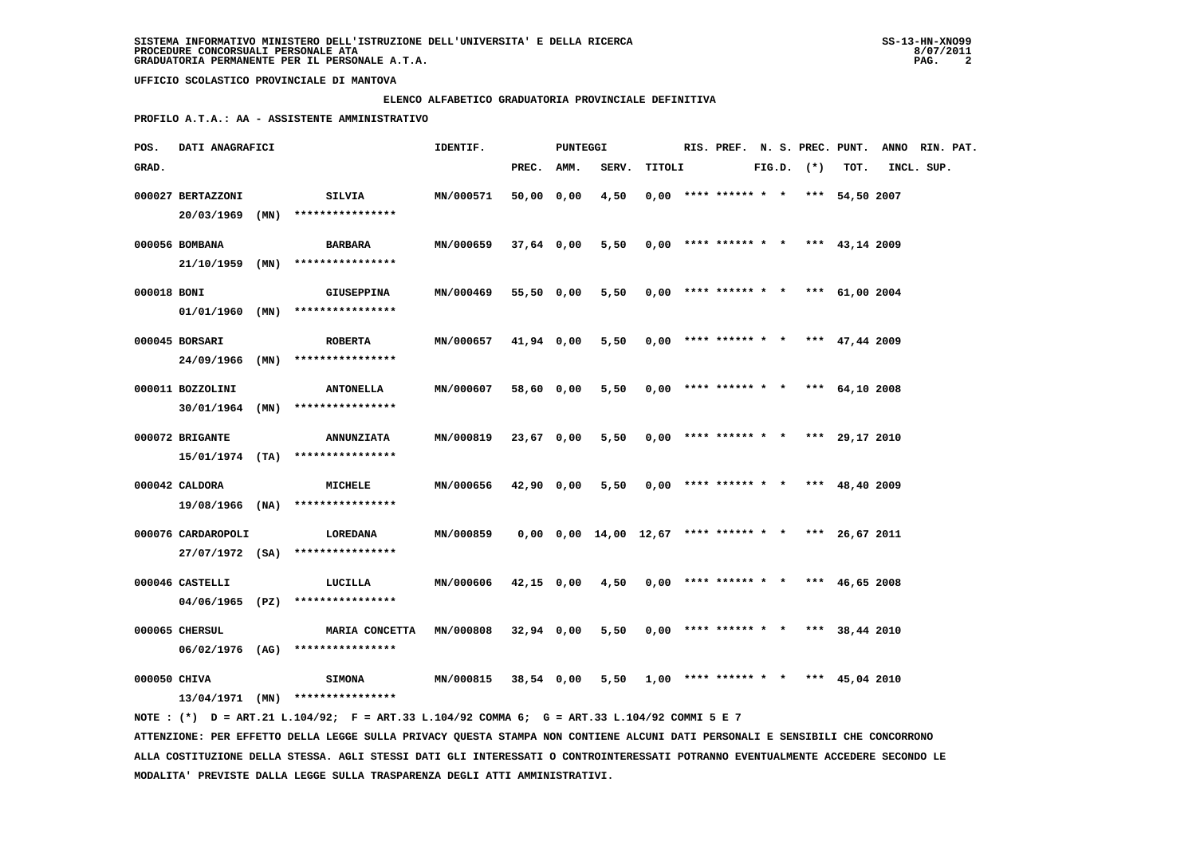# **ELENCO ALFABETICO GRADUATORIA PROVINCIALE DEFINITIVA**

 **PROFILO A.T.A.: AA - ASSISTENTE AMMINISTRATIVO**

| POS.         | DATI ANAGRAFICI    |      |                                                                                                                               | IDENTIF.  |              | PUNTEGGI |                                                            |        |                        |  |                |                                       | RIS. PREF. N. S. PREC. PUNT. ANNO RIN. PAT. |  |
|--------------|--------------------|------|-------------------------------------------------------------------------------------------------------------------------------|-----------|--------------|----------|------------------------------------------------------------|--------|------------------------|--|----------------|---------------------------------------|---------------------------------------------|--|
| GRAD.        |                    |      |                                                                                                                               |           | PREC.        | AMM.     | SERV.                                                      | TITOLI |                        |  | $FIG.D.$ $(*)$ | TOT.                                  | INCL. SUP.                                  |  |
|              | 000027 BERTAZZONI  |      | <b>SILVIA</b>                                                                                                                 | MN/000571 | 50,00 0,00   |          | 4,50                                                       |        | $0,00$ **** ****** * * |  |                | *** 54,50 2007                        |                                             |  |
|              | 20/03/1969 (MN)    |      | ****************                                                                                                              |           |              |          |                                                            |        |                        |  |                |                                       |                                             |  |
|              | 000056 BOMBANA     |      | <b>BARBARA</b>                                                                                                                | MN/000659 | 37,64 0,00   |          | 5,50                                                       |        | $0,00$ **** ****** * * |  |                | *** 43,14 2009                        |                                             |  |
|              | 21/10/1959         | (MN) | ****************                                                                                                              |           |              |          |                                                            |        |                        |  |                |                                       |                                             |  |
|              |                    |      |                                                                                                                               |           |              |          |                                                            |        |                        |  |                |                                       |                                             |  |
| 000018 BONI  |                    |      | <b>GIUSEPPINA</b>                                                                                                             | MN/000469 | 55,50 0,00   |          | 5,50                                                       |        |                        |  |                | $0,00$ **** ****** * * *** 61,00 2004 |                                             |  |
|              |                    |      | $01/01/1960$ (MN) ****************                                                                                            |           |              |          |                                                            |        |                        |  |                |                                       |                                             |  |
|              | 000045 BORSARI     |      | <b>ROBERTA</b>                                                                                                                | MN/000657 | 41,94 0,00   |          | 5,50                                                       |        |                        |  |                | $0,00$ **** ****** * * *** 47,44 2009 |                                             |  |
|              | 24/09/1966         | (MN) | ****************                                                                                                              |           |              |          |                                                            |        |                        |  |                |                                       |                                             |  |
|              | 000011 BOZZOLINI   |      | <b>ANTONELLA</b>                                                                                                              | MN/000607 | 58,60 0,00   |          | 5,50                                                       |        |                        |  |                | $0,00$ **** ****** * * *** 64,10 2008 |                                             |  |
|              | $30/01/1964$ (MN)  |      | ****************                                                                                                              |           |              |          |                                                            |        |                        |  |                |                                       |                                             |  |
|              | 000072 BRIGANTE    |      | <b>ANNUNZIATA</b>                                                                                                             | MN/000819 | 23,67 0,00   |          | 5,50                                                       |        | $0,00$ **** ****** * * |  |                | *** 29,17 2010                        |                                             |  |
|              |                    |      | $15/01/1974$ (TA) ****************                                                                                            |           |              |          |                                                            |        |                        |  |                |                                       |                                             |  |
|              |                    |      |                                                                                                                               |           |              |          |                                                            |        |                        |  |                |                                       |                                             |  |
|              | 000042 CALDORA     |      | MICHELE                                                                                                                       | MN/000656 | 42,90 0,00   |          | 5,50                                                       |        | $0,00$ **** ****** * * |  |                | *** 48,40 2009                        |                                             |  |
|              |                    |      | 19/08/1966 (NA) ****************                                                                                              |           |              |          |                                                            |        |                        |  |                |                                       |                                             |  |
|              | 000076 CARDAROPOLI |      | LOREDANA                                                                                                                      | MN/000859 |              |          | $0,00$ $0,00$ $14,00$ $12,67$ **** ****** * *** 26,67 2011 |        |                        |  |                |                                       |                                             |  |
|              |                    |      | 27/07/1972 (SA) ****************                                                                                              |           |              |          |                                                            |        |                        |  |                |                                       |                                             |  |
|              | 000046 CASTELLI    |      | LUCILLA                                                                                                                       | MN/000606 | 42,15 0,00   |          | 4,50                                                       |        | $0,00$ **** ****** * * |  |                | *** $46,65$ 2008                      |                                             |  |
|              |                    |      | $04/06/1965$ (PZ) ****************                                                                                            |           |              |          |                                                            |        |                        |  |                |                                       |                                             |  |
|              | 000065 CHERSUL     |      | MARIA CONCETTA                                                                                                                | MN/000808 | $32,94$ 0,00 |          | 5,50                                                       |        | $0,00$ **** ****** * * |  |                | *** $38,44$ 2010                      |                                             |  |
|              |                    |      | 06/02/1976 (AG) ****************                                                                                              |           |              |          |                                                            |        |                        |  |                |                                       |                                             |  |
|              |                    |      |                                                                                                                               |           |              |          |                                                            |        |                        |  |                |                                       |                                             |  |
| 000050 CHIVA |                    |      | <b>SIMONA</b>                                                                                                                 | MN/000815 | 38,54 0,00   |          | 5,50                                                       |        | $1,00$ **** ****** * * |  |                | *** 45,04 2010                        |                                             |  |
|              |                    |      | $13/04/1971$ (MN) *****************                                                                                           |           |              |          |                                                            |        |                        |  |                |                                       |                                             |  |
|              |                    |      | NOTE: (*) D = ART.21 L.104/92; F = ART.33 L.104/92 COMMA 6; G = ART.33 L.104/92 COMMI 5 E 7                                   |           |              |          |                                                            |        |                        |  |                |                                       |                                             |  |
|              |                    |      | ATTENZIONE: PER EFFETTO DELLA LEGGE SULLA PRIVACY QUESTA STAMPA NON CONTIENE ALCUNI DATI PERSONALI E SENSIBILI CHE CONCORRONO |           |              |          |                                                            |        |                        |  |                |                                       |                                             |  |

 **ALLA COSTITUZIONE DELLA STESSA. AGLI STESSI DATI GLI INTERESSATI O CONTROINTERESSATI POTRANNO EVENTUALMENTE ACCEDERE SECONDO LE MODALITA' PREVISTE DALLA LEGGE SULLA TRASPARENZA DEGLI ATTI AMMINISTRATIVI.**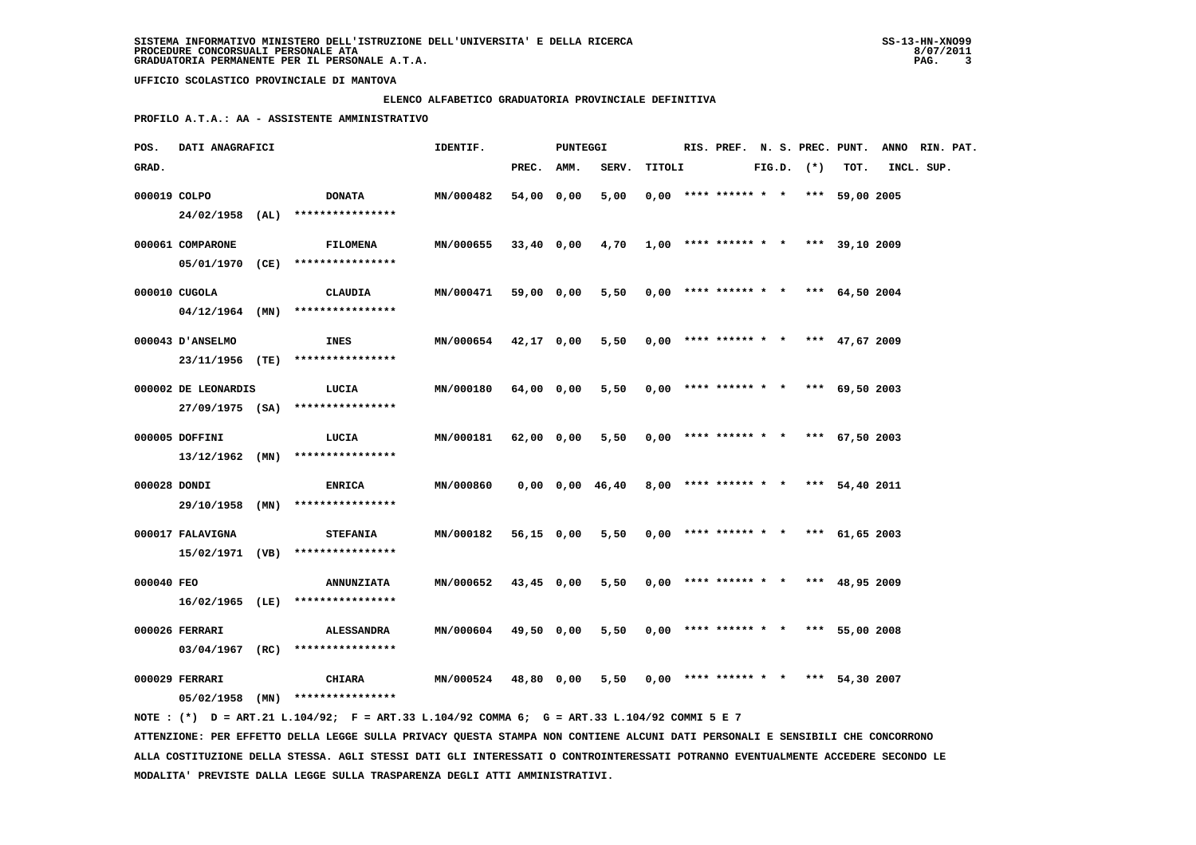### **ELENCO ALFABETICO GRADUATORIA PROVINCIALE DEFINITIVA**

 **PROFILO A.T.A.: AA - ASSISTENTE AMMINISTRATIVO**

| POS.         | DATI ANAGRAFICI     |                                                          | IDENTIF.  |            | PUNTEGGI |                                                       |        |                                       |  |                |                | RIS. PREF. N. S. PREC. PUNT. ANNO RIN. PAT. |  |
|--------------|---------------------|----------------------------------------------------------|-----------|------------|----------|-------------------------------------------------------|--------|---------------------------------------|--|----------------|----------------|---------------------------------------------|--|
| GRAD.        |                     |                                                          |           | PREC. AMM. |          | SERV.                                                 | TITOLI |                                       |  | $FIG.D.$ $(*)$ | TOT.           | INCL. SUP.                                  |  |
| 000019 COLPO |                     | <b>DONATA</b>                                            | MN/000482 | 54,00 0,00 |          | 5,00                                                  |        | $0,00$ **** ****** * * *** 59,00 2005 |  |                |                |                                             |  |
|              |                     | 24/02/1958 (AL) ****************                         |           |            |          |                                                       |        |                                       |  |                |                |                                             |  |
|              | 000061 COMPARONE    | <b>FILOMENA</b>                                          | MN/000655 |            |          | $33,40$ 0,00 4,70 1,00 **** ****** * * *** 39,10 2009 |        |                                       |  |                |                |                                             |  |
|              |                     | 05/01/1970 (CE) ****************                         |           |            |          |                                                       |        |                                       |  |                |                |                                             |  |
|              | 000010 CUGOLA       | CLAUDIA                                                  | MN/000471 | 59,00 0,00 |          | 5,50                                                  |        | $0,00$ **** ****** * * *** 64,50 2004 |  |                |                |                                             |  |
|              |                     | $04/12/1964$ (MN) ****************                       |           |            |          |                                                       |        |                                       |  |                |                |                                             |  |
|              |                     |                                                          |           |            |          |                                                       |        |                                       |  |                |                |                                             |  |
|              | 000043 D'ANSELMO    | INES<br>23/11/1956 (TE) ****************                 | MN/000654 | 42,17 0,00 |          | 5,50                                                  |        | $0.00$ **** ****** * * *** 47.67 2009 |  |                |                |                                             |  |
|              |                     |                                                          |           |            |          |                                                       |        |                                       |  |                |                |                                             |  |
|              | 000002 DE LEONARDIS | LUCIA                                                    | MN/000180 | 64,00 0,00 |          | 5,50                                                  |        | $0,00$ **** ****** * * *** 69,50 2003 |  |                |                |                                             |  |
|              |                     | 27/09/1975 (SA) ****************                         |           |            |          |                                                       |        |                                       |  |                |                |                                             |  |
|              | 000005 DOFFINI      | LUCIA                                                    | MN/000181 | 62,00 0,00 |          | 5,50                                                  |        | $0.00$ **** ****** * * *** 67.50 2003 |  |                |                |                                             |  |
|              |                     | $13/12/1962$ (MN) *****************                      |           |            |          |                                                       |        |                                       |  |                |                |                                             |  |
| 000028 DONDI |                     | <b>ENRICA</b>                                            | MN/000860 |            |          | $0,00$ $0,00$ $46,40$                                 |        | 8,00 **** ****** * * *** 54,40 2011   |  |                |                |                                             |  |
|              |                     | 29/10/1958 (MN) ****************                         |           |            |          |                                                       |        |                                       |  |                |                |                                             |  |
|              | 000017 FALAVIGNA    | STEFANIA                                                 | MN/000182 | 56,15 0,00 |          | 5,50                                                  |        | $0.00$ **** ****** * * *** 61.65 2003 |  |                |                |                                             |  |
|              |                     | 15/02/1971 (VB) ****************                         |           |            |          |                                                       |        |                                       |  |                |                |                                             |  |
| 000040 FEO   |                     | <b>ANNUNZIATA</b>                                        | MN/000652 | 43,45 0,00 |          | 5,50                                                  |        | $0,00$ **** ****** * * *** 48,95 2009 |  |                |                |                                             |  |
|              |                     | 16/02/1965 (LE) ****************                         |           |            |          |                                                       |        |                                       |  |                |                |                                             |  |
|              |                     |                                                          |           |            |          |                                                       |        |                                       |  |                |                |                                             |  |
|              | 000026 FERRARI      | <b>ALESSANDRA</b><br>$03/04/1967$ (RC) ***************** | MN/000604 | 49,50 0,00 |          | 5,50                                                  |        | $0.00$ **** ****** * * *** 55.00 2008 |  |                |                |                                             |  |
|              |                     |                                                          |           |            |          |                                                       |        |                                       |  |                |                |                                             |  |
|              | 000029 FERRARI      | CHIARA                                                   | MN/000524 | 48,80 0,00 |          | 5,50                                                  |        | $0,00$ **** ****** * *                |  |                | *** 54,30 2007 |                                             |  |
|              |                     | $05/02/1958$ (MN) ****************                       |           |            |          |                                                       |        |                                       |  |                |                |                                             |  |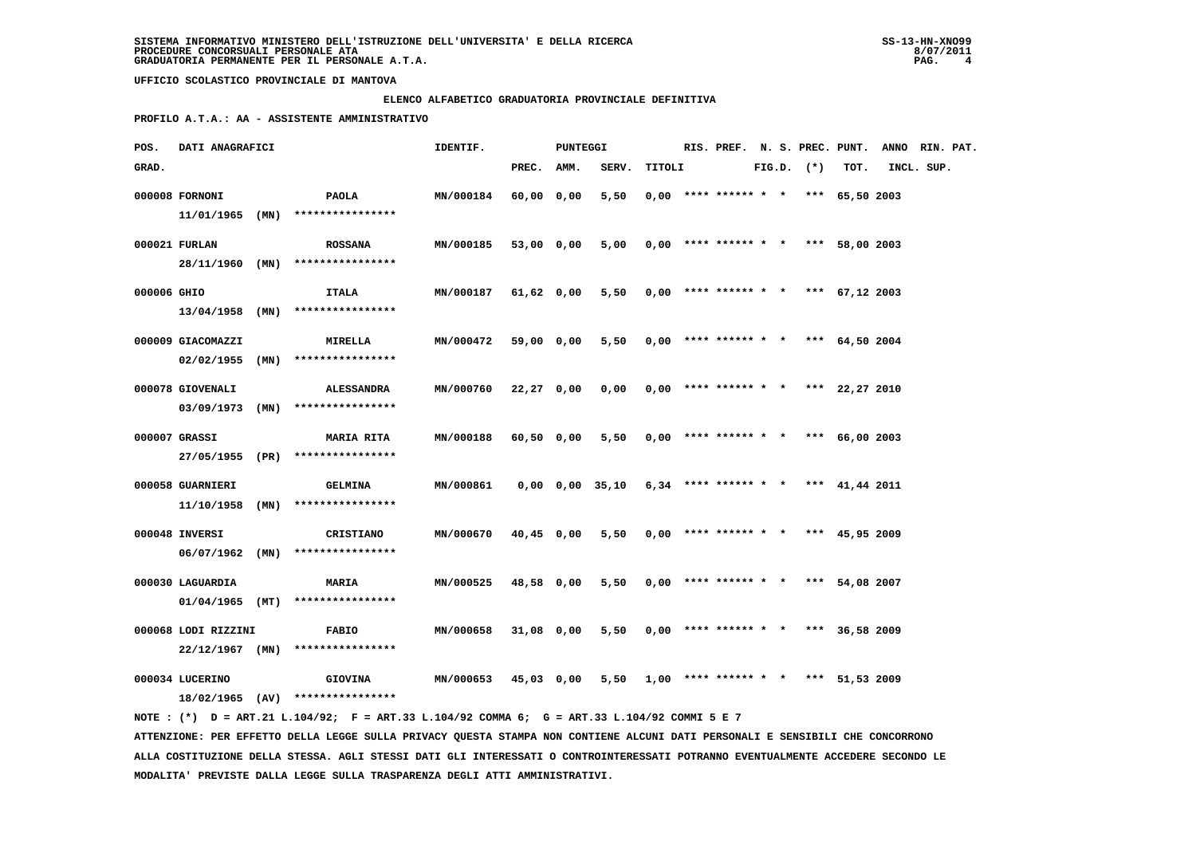### **ELENCO ALFABETICO GRADUATORIA PROVINCIALE DEFINITIVA**

 **PROFILO A.T.A.: AA - ASSISTENTE AMMINISTRATIVO**

| POS.        | DATI ANAGRAFICI     |      |                                                                                             | IDENTIF.  |            | PUNTEGGI |                             |        |  |                                       |  |                |                  | RIS. PREF. N. S. PREC. PUNT. ANNO RIN. PAT. |  |
|-------------|---------------------|------|---------------------------------------------------------------------------------------------|-----------|------------|----------|-----------------------------|--------|--|---------------------------------------|--|----------------|------------------|---------------------------------------------|--|
| GRAD.       |                     |      |                                                                                             |           | PREC. AMM. |          | SERV.                       | TITOLI |  |                                       |  | $FIG.D.$ $(*)$ | TOT.             | INCL. SUP.                                  |  |
|             | 000008 FORNONI      |      | PAOLA                                                                                       | MN/000184 | 60,00 0,00 |          | 5,50                        |        |  | $0.00$ **** ****** * * *** 65.50 2003 |  |                |                  |                                             |  |
|             | $11/01/1965$ (MN)   |      | ****************                                                                            |           |            |          |                             |        |  |                                       |  |                |                  |                                             |  |
|             | 000021 FURLAN       |      | <b>ROSSANA</b>                                                                              | MN/000185 | 53,00 0,00 |          | 5,00                        |        |  | $0,00$ **** ****** * * *** 58,00 2003 |  |                |                  |                                             |  |
|             | 28/11/1960 (MN)     |      | ****************                                                                            |           |            |          |                             |        |  |                                       |  |                |                  |                                             |  |
| 000006 GHIO |                     |      | ITALA                                                                                       | MN/000187 | 61,62 0,00 |          | 5,50                        |        |  | $0,00$ **** ****** * * *** 67,12 2003 |  |                |                  |                                             |  |
|             | $13/04/1958$ (MN)   |      | ****************                                                                            |           |            |          |                             |        |  |                                       |  |                |                  |                                             |  |
|             | 000009 GIACOMAZZI   |      | <b>MIRELLA</b>                                                                              | MN/000472 | 59,00 0,00 |          | 5,50                        |        |  | $0.00$ **** ****** * * *** 64,50 2004 |  |                |                  |                                             |  |
|             | $02/02/1955$ (MN)   |      | ****************                                                                            |           |            |          |                             |        |  |                                       |  |                |                  |                                             |  |
|             | 000078 GIOVENALI    |      | <b>ALESSANDRA</b>                                                                           | MN/000760 | 22,27 0,00 |          | 0,00                        |        |  | $0,00$ **** ****** * *                |  |                | *** $22,27$ 2010 |                                             |  |
|             |                     |      | $03/09/1973$ (MN) ****************                                                          |           |            |          |                             |        |  |                                       |  |                |                  |                                             |  |
|             | 000007 GRASSI       |      | <b>MARIA RITA</b>                                                                           | MN/000188 | 60,50 0,00 |          | 5,50                        |        |  | $0,00$ **** ****** * *                |  |                | *** 66,00 2003   |                                             |  |
|             |                     |      | 27/05/1955 (PR) ****************                                                            |           |            |          |                             |        |  |                                       |  |                |                  |                                             |  |
|             | 000058 GUARNIERI    |      | <b>GELMINA</b>                                                                              | MN/000861 |            |          | 0,00 0,00 35,10             |        |  | $6,34$ **** ****** * * *** 41,44 2011 |  |                |                  |                                             |  |
|             | 11/10/1958          | (MN) | ****************                                                                            |           |            |          |                             |        |  |                                       |  |                |                  |                                             |  |
|             | 000048 INVERSI      |      | CRISTIANO                                                                                   | MN/000670 | 40,45 0,00 |          | 5,50                        |        |  | $0,00$ **** ****** * * *** 45,95 2009 |  |                |                  |                                             |  |
|             |                     |      | $06/07/1962$ (MN) ****************                                                          |           |            |          |                             |        |  |                                       |  |                |                  |                                             |  |
|             | 000030 LAGUARDIA    |      | <b>MARIA</b>                                                                                | MN/000525 | 48,58 0,00 |          | 5,50                        |        |  | $0,00$ **** ****** * * *** 54,08 2007 |  |                |                  |                                             |  |
|             | $01/04/1965$ (MT)   |      | ****************                                                                            |           |            |          |                             |        |  |                                       |  |                |                  |                                             |  |
|             |                     |      |                                                                                             |           |            |          |                             |        |  |                                       |  |                |                  |                                             |  |
|             | 000068 LODI RIZZINI |      | <b>FABIO</b>                                                                                | MN/000658 | 31,08 0,00 |          | 5,50                        |        |  | $0.00$ **** ****** * * *** 36,58 2009 |  |                |                  |                                             |  |
|             | $22/12/1967$ (MN)   |      | ****************                                                                            |           |            |          |                             |        |  |                                       |  |                |                  |                                             |  |
|             | 000034 LUCERINO     |      | <b>GIOVINA</b>                                                                              | MN/000653 | 45,03 0,00 |          | $5,50$ 1,00 **** ****** * * |        |  |                                       |  |                | *** 51,53 2009   |                                             |  |
|             |                     |      | $18/02/1965$ (AV) ****************                                                          |           |            |          |                             |        |  |                                       |  |                |                  |                                             |  |
|             |                     |      | NOTE: (*) D = ART.21 L.104/92; F = ART.33 L.104/92 COMMA 6; G = ART.33 L.104/92 COMMI 5 E 7 |           |            |          |                             |        |  |                                       |  |                |                  |                                             |  |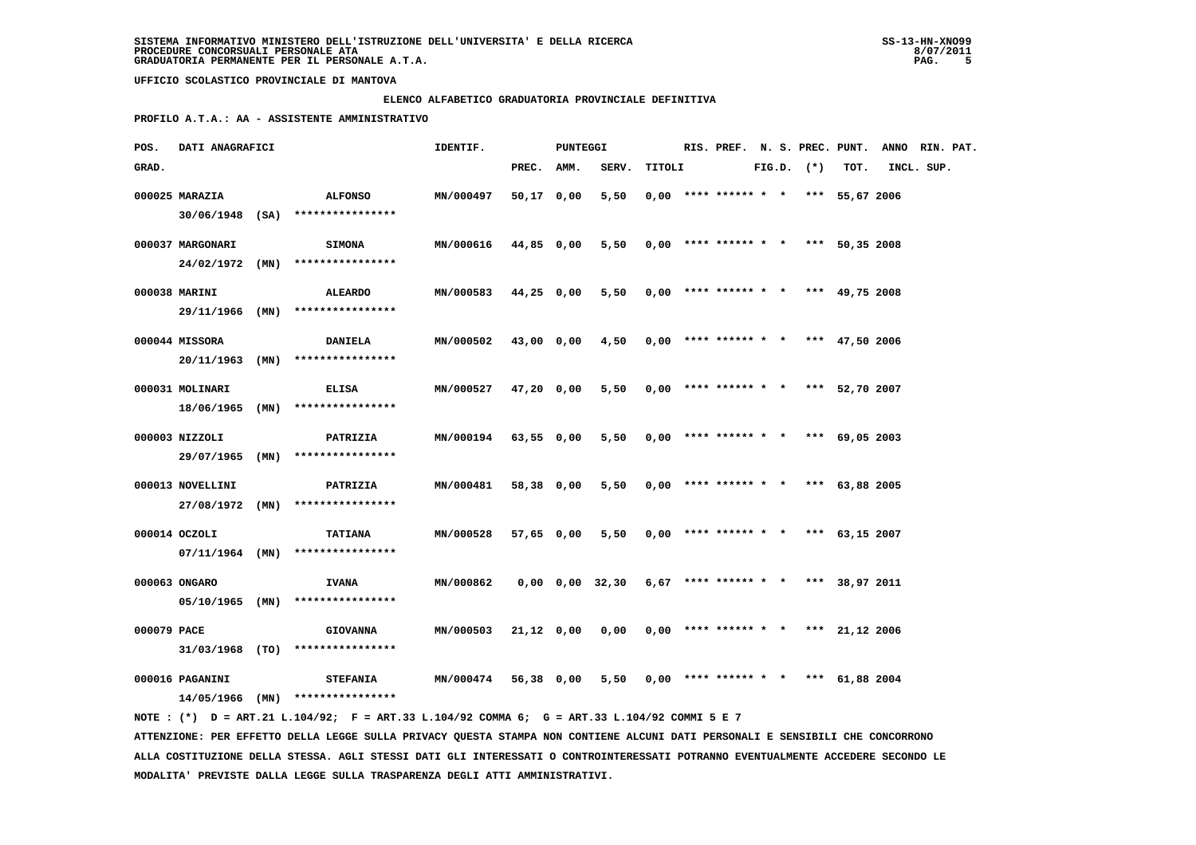### **ELENCO ALFABETICO GRADUATORIA PROVINCIALE DEFINITIVA**

 **PROFILO A.T.A.: AA - ASSISTENTE AMMINISTRATIVO**

| POS.        | DATI ANAGRAFICI                       |                                                                                                                                    | IDENTIF.             |            | PUNTEGGI |                 |        |  |                                       |  |                |      | RIS. PREF. N. S. PREC. PUNT. ANNO RIN. PAT. |  |
|-------------|---------------------------------------|------------------------------------------------------------------------------------------------------------------------------------|----------------------|------------|----------|-----------------|--------|--|---------------------------------------|--|----------------|------|---------------------------------------------|--|
| GRAD.       |                                       |                                                                                                                                    |                      | PREC.      | AMM.     | SERV.           | TITOLI |  |                                       |  | $FIG.D.$ $(*)$ | TOT. | INCL. SUP.                                  |  |
|             | 000025 MARAZIA                        | <b>ALFONSO</b><br>30/06/1948 (SA) ****************                                                                                 | MN/000497            | 50,17 0,00 |          | 5,50            |        |  | $0.00$ **** ****** * * *** 55,67 2006 |  |                |      |                                             |  |
|             | 000037 MARGONARI<br>$24/02/1972$ (MN) | SIMONA<br>****************                                                                                                         | MN/000616            | 44,85 0,00 |          | 5,50            |        |  | $0,00$ **** ****** * * *** 50,35 2008 |  |                |      |                                             |  |
|             | 000038 MARINI                         | ALEARDO                                                                                                                            | MN/000583 44,25 0,00 |            |          | 5,50            |        |  | $0,00$ **** ****** * * *** 49,75 2008 |  |                |      |                                             |  |
|             | 29/11/1966 (MN)<br>000044 MISSORA     | ****************<br><b>DANIELA</b>                                                                                                 | MN/000502            | 43,00 0,00 |          | 4,50            |        |  | $0.00$ **** ****** * * *** 47,50 2006 |  |                |      |                                             |  |
|             | 20/11/1963 (MN)<br>000031 MOLINARI    | ****************<br><b>ELISA</b>                                                                                                   | MN/000527            | 47,20 0,00 |          | 5,50            |        |  | $0,00$ **** ****** * * *** 52,70 2007 |  |                |      |                                             |  |
|             |                                       | 18/06/1965 (MN) ****************                                                                                                   |                      |            |          |                 |        |  |                                       |  |                |      |                                             |  |
|             | 000003 NIZZOLI                        | PATRIZIA<br>29/07/1965 (MN) ****************                                                                                       | <b>MN/000194</b>     | 63,55 0,00 |          | 5,50            |        |  | $0,00$ **** ****** * * *** 69,05 2003 |  |                |      |                                             |  |
|             | 000013 NOVELLINI                      | PATRIZIA<br>27/08/1972 (MN) ****************                                                                                       | MN/000481            | 58,38 0,00 |          | 5,50            |        |  | $0,00$ **** ****** * * *** 63,88 2005 |  |                |      |                                             |  |
|             | 000014 OCZOLI                         | <b>TATIANA</b><br>$07/11/1964$ (MN) *****************                                                                              | MN/000528            | 57,65 0,00 |          | 5,50            |        |  | $0,00$ **** ****** * * *** 63,15 2007 |  |                |      |                                             |  |
|             | 000063 ONGARO                         | <b>IVANA</b><br>$05/10/1965$ (MN) ****************                                                                                 | MN/000862            |            |          | 0,00 0,00 32,30 |        |  | $6,67$ **** ****** * * *** 38,97 2011 |  |                |      |                                             |  |
| 000079 PACE |                                       | <b>GIOVANNA</b>                                                                                                                    | MN/000503            | 21,12 0,00 |          | 0,00            |        |  | $0,00$ **** ****** * * *** 21,12 2006 |  |                |      |                                             |  |
|             | 000016 PAGANINI                       | $31/03/1968$ (TO) ****************<br><b>STEFANIA</b>                                                                              | <b>MN/000474</b>     | 56,38 0,00 |          | 5,50            |        |  | $0,00$ **** ****** * * *** 61,88 2004 |  |                |      |                                             |  |
|             |                                       | $14/05/1966$ (MN) *****************<br>NOTE: (*) D = ART.21 L.104/92; F = ART.33 L.104/92 COMMA 6; G = ART.33 L.104/92 COMMI 5 E 7 |                      |            |          |                 |        |  |                                       |  |                |      |                                             |  |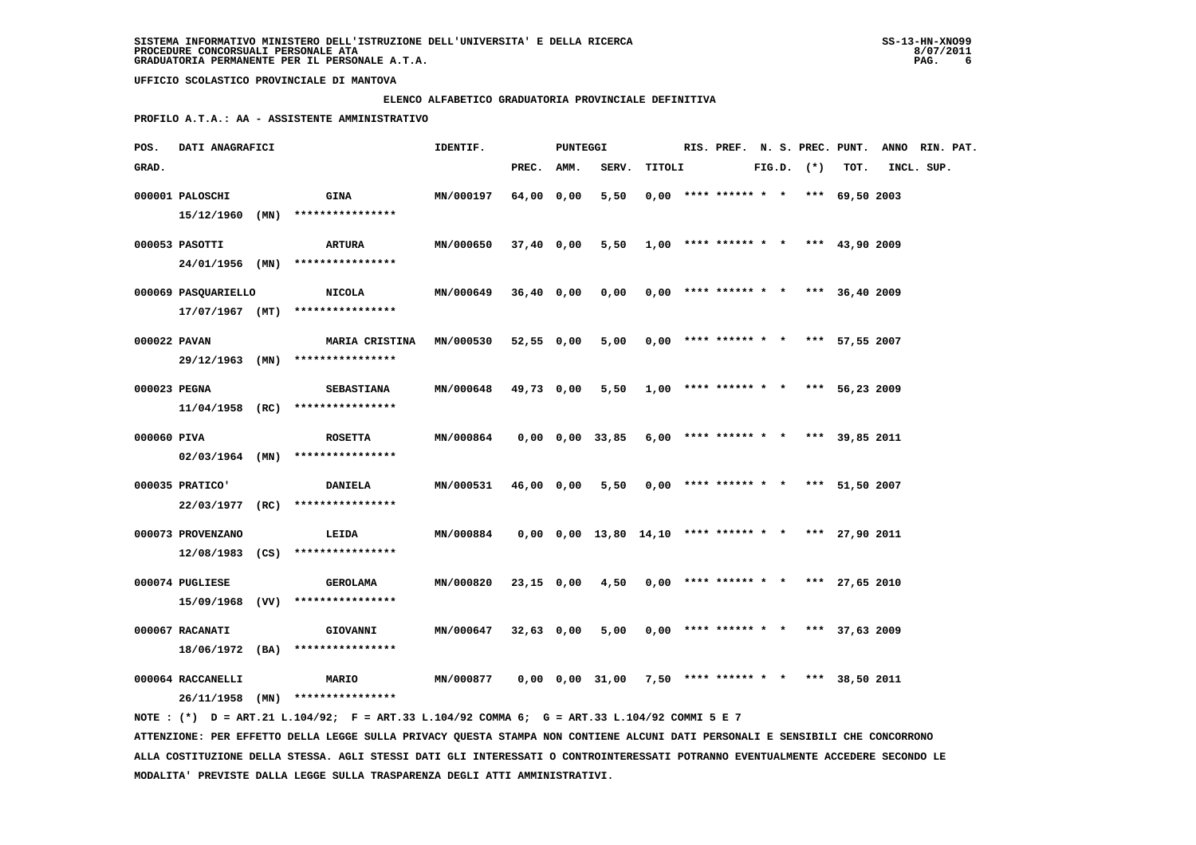### **ELENCO ALFABETICO GRADUATORIA PROVINCIALE DEFINITIVA**

 **PROFILO A.T.A.: AA - ASSISTENTE AMMINISTRATIVO**

| POS.         | DATI ANAGRAFICI     |                                                                                             | IDENTIF.         |            | PUNTEGGI |                                                            |                                            |  |                                       |  |                |                | RIS. PREF. N. S. PREC. PUNT. ANNO RIN. PAT. |  |
|--------------|---------------------|---------------------------------------------------------------------------------------------|------------------|------------|----------|------------------------------------------------------------|--------------------------------------------|--|---------------------------------------|--|----------------|----------------|---------------------------------------------|--|
| GRAD.        |                     |                                                                                             |                  | PREC. AMM. |          | SERV.                                                      | TITOLI                                     |  |                                       |  | $FIG.D.$ $(*)$ | TOT.           | INCL. SUP.                                  |  |
|              | 000001 PALOSCHI     | <b>GINA</b>                                                                                 | MN/000197        | 64,00 0,00 |          | 5,50                                                       |                                            |  | $0,00$ **** ****** * * *** 69,50 2003 |  |                |                |                                             |  |
|              | 15/12/1960 (MN)     | ****************                                                                            |                  |            |          |                                                            |                                            |  |                                       |  |                |                |                                             |  |
|              |                     |                                                                                             |                  |            |          |                                                            |                                            |  |                                       |  |                |                |                                             |  |
|              | 000053 PASOTTI      | ARTURA                                                                                      | MN/000650        | 37,40 0,00 |          |                                                            | $5,50$ 1,00 **** ****** * * *** 43,90 2009 |  |                                       |  |                |                |                                             |  |
|              |                     | 24/01/1956 (MN) ****************                                                            |                  |            |          |                                                            |                                            |  |                                       |  |                |                |                                             |  |
|              | 000069 PASQUARIELLO | NICOLA                                                                                      | MN/000649        | 36,40 0,00 |          | 0,00                                                       |                                            |  | $0,00$ **** ****** * * *** 36,40 2009 |  |                |                |                                             |  |
|              |                     | $17/07/1967$ (MT) *****************                                                         |                  |            |          |                                                            |                                            |  |                                       |  |                |                |                                             |  |
| 000022 PAVAN |                     | <b>MARIA CRISTINA</b>                                                                       | MN/000530        | 52,55 0,00 |          | 5,00                                                       |                                            |  | $0,00$ **** ****** * * *** 57,55 2007 |  |                |                |                                             |  |
|              |                     | 29/12/1963 (MN) ****************                                                            |                  |            |          |                                                            |                                            |  |                                       |  |                |                |                                             |  |
|              |                     |                                                                                             |                  |            |          |                                                            |                                            |  |                                       |  |                |                |                                             |  |
| 000023 PEGNA |                     | <b>SEBASTIANA</b>                                                                           | MN/000648        | 49,73 0,00 |          | 5,50                                                       |                                            |  | $1,00$ **** ****** * *                |  |                | *** 56,23 2009 |                                             |  |
|              |                     | $11/04/1958$ (RC) ****************                                                          |                  |            |          |                                                            |                                            |  |                                       |  |                |                |                                             |  |
| 000060 PIVA  |                     | <b>ROSETTA</b>                                                                              | MN/000864        |            |          | 0,00 0,00 33,85                                            |                                            |  | $6,00$ **** ****** * * *** 39,85 2011 |  |                |                |                                             |  |
|              |                     | $02/03/1964$ (MN) ****************                                                          |                  |            |          |                                                            |                                            |  |                                       |  |                |                |                                             |  |
|              |                     |                                                                                             |                  |            |          |                                                            |                                            |  |                                       |  |                |                |                                             |  |
|              | 000035 PRATICO'     | <b>DANIELA</b>                                                                              | MN/000531        | 46,00 0,00 |          | 5,50                                                       |                                            |  | $0,00$ **** ****** * * *** 51,50 2007 |  |                |                |                                             |  |
|              |                     | 22/03/1977 (RC) ****************                                                            |                  |            |          |                                                            |                                            |  |                                       |  |                |                |                                             |  |
|              | 000073 PROVENZANO   | LEIDA                                                                                       | MN/000884        |            |          | $0,00$ $0,00$ $13,80$ $14,10$ **** ****** * *** 27,90 2011 |                                            |  |                                       |  |                |                |                                             |  |
|              |                     | $12/08/1983$ (CS) ****************                                                          |                  |            |          |                                                            |                                            |  |                                       |  |                |                |                                             |  |
|              | 000074 PUGLIESE     | <b>GEROLAMA</b>                                                                             | MN/000820        | 23,15 0,00 |          | 4,50                                                       |                                            |  | $0,00$ **** ****** * * *** 27,65 2010 |  |                |                |                                             |  |
|              |                     | 15/09/1968 (VV) ****************                                                            |                  |            |          |                                                            |                                            |  |                                       |  |                |                |                                             |  |
|              |                     |                                                                                             |                  |            |          |                                                            |                                            |  |                                       |  |                |                |                                             |  |
|              | 000067 RACANATI     | <b>GIOVANNI</b>                                                                             | MN/000647        | 32,63 0,00 |          | 5,00                                                       |                                            |  | $0,00$ **** ****** * * *** 37,63 2009 |  |                |                |                                             |  |
|              |                     | 18/06/1972 (BA) ****************                                                            |                  |            |          |                                                            |                                            |  |                                       |  |                |                |                                             |  |
|              | 000064 RACCANELLI   | <b>MARIO</b>                                                                                | <b>MN/000877</b> |            |          | 0,00 0,00 31,00                                            |                                            |  | 7,50 **** ****** * * *** 38,50 2011   |  |                |                |                                             |  |
|              |                     | 26/11/1958 (MN) ****************                                                            |                  |            |          |                                                            |                                            |  |                                       |  |                |                |                                             |  |
|              |                     | NOTE: (*) D = ART.21 L.104/92; F = ART.33 L.104/92 COMMA 6; G = ART.33 L.104/92 COMMI 5 E 7 |                  |            |          |                                                            |                                            |  |                                       |  |                |                |                                             |  |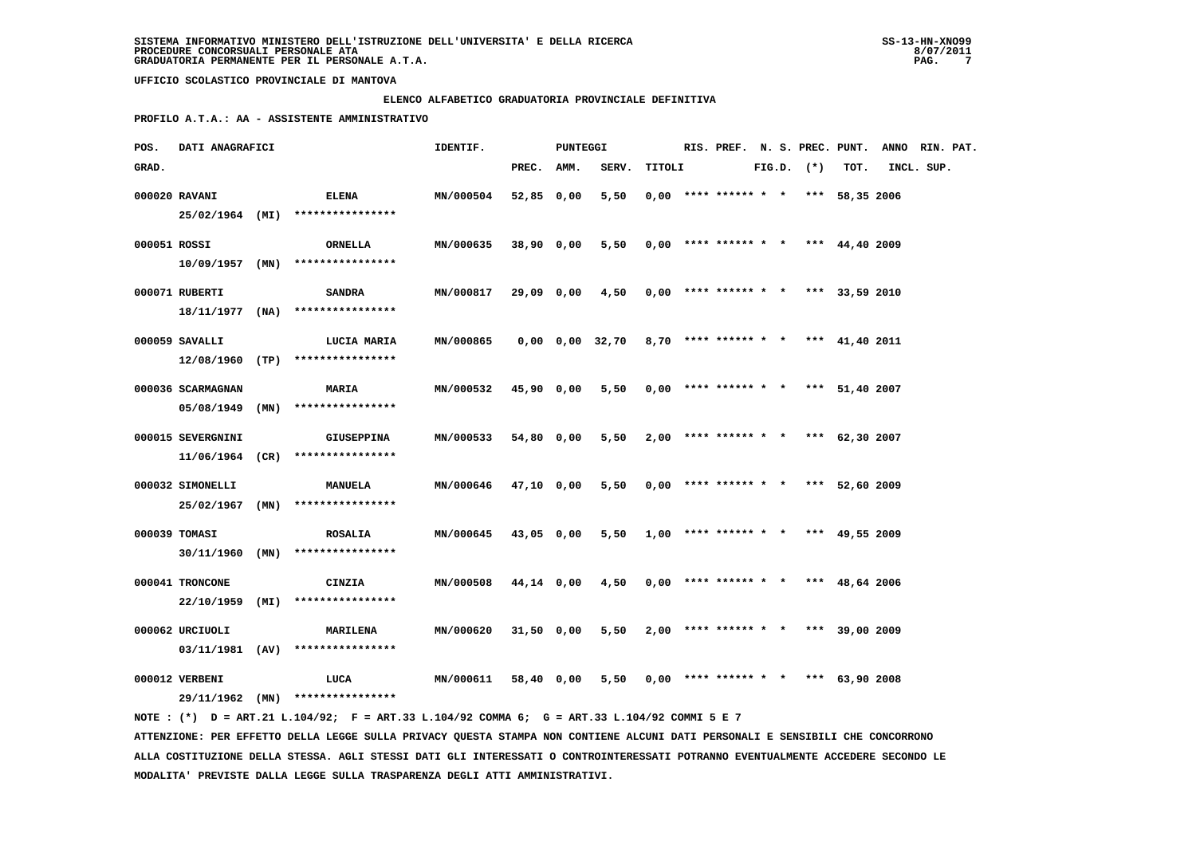### **ELENCO ALFABETICO GRADUATORIA PROVINCIALE DEFINITIVA**

 **PROFILO A.T.A.: AA - ASSISTENTE AMMINISTRATIVO**

| POS.         | DATI ANAGRAFICI                     |                                                                                                                                 | IDENTIF.         |            | PUNTEGGI |                                                             |        |  |                                       |  |                |                | RIS. PREF. N. S. PREC. PUNT. ANNO RIN. PAT. |  |
|--------------|-------------------------------------|---------------------------------------------------------------------------------------------------------------------------------|------------------|------------|----------|-------------------------------------------------------------|--------|--|---------------------------------------|--|----------------|----------------|---------------------------------------------|--|
| GRAD.        |                                     |                                                                                                                                 |                  | PREC.      | AMM.     | SERV.                                                       | TITOLI |  |                                       |  | $FIG.D.$ $(*)$ | TOT.           | INCL. SUP.                                  |  |
|              | 000020 RAVANI                       | ELENA<br>25/02/1964 (MI) ****************                                                                                       | MN/000504        | 52,85 0,00 |          | 5,50                                                        |        |  | $0,00$ **** ****** * * *** 58,35 2006 |  |                |                |                                             |  |
| 000051 ROSSI | 10/09/1957 (MN)                     | ORNELLA<br>****************                                                                                                     | MN/000635        | 38,90 0,00 |          | 5,50                                                        |        |  | $0,00$ **** ****** * * *** 44,40 2009 |  |                |                |                                             |  |
|              | 000071 RUBERTI                      | SANDRA                                                                                                                          | <b>MN/000817</b> | 29,09 0,00 |          | 4,50                                                        |        |  | $0,00$ **** ****** * * *** 33,59 2010 |  |                |                |                                             |  |
|              | 000059 SAVALLI                      | $18/11/1977$ (NA) *****************<br>LUCIA MARIA                                                                              | MN/000865        |            |          | $0,00$ $0,00$ $32,70$ $8,70$ **** ****** * *** $41,40$ 2011 |        |  |                                       |  |                |                |                                             |  |
|              | 000036 SCARMAGNAN                   | $12/08/1960$ (TP) ****************<br><b>MARIA</b>                                                                              | MN/000532        | 45,90 0,00 |          | 5,50                                                        |        |  | $0.00$ **** ****** * *                |  |                | *** 51,40 2007 |                                             |  |
|              | 000015 SEVERGNINI                   | $05/08/1949$ (MN) ****************<br><b>GIUSEPPINA</b>                                                                         | MN/000533        | 54,80 0,00 |          | 5,50                                                        |        |  | $2,00$ **** ****** * * *** 62,30 2007 |  |                |                |                                             |  |
|              |                                     | $11/06/1964$ (CR) ****************                                                                                              |                  |            |          |                                                             |        |  |                                       |  |                |                |                                             |  |
|              | 000032 SIMONELLI<br>25/02/1967 (MN) | <b>MANUELA</b><br>****************                                                                                              | MN/000646        | 47,10 0,00 |          | 5,50                                                        |        |  | $0,00$ **** ****** * * *** 52,60 2009 |  |                |                |                                             |  |
|              | 000039 TOMASI<br>30/11/1960         | <b>ROSALIA</b><br>$(MN)$ *****************                                                                                      | MN/000645        | 43,05 0,00 |          | 5,50                                                        |        |  | $1,00$ **** ****** * * *** 49,55 2009 |  |                |                |                                             |  |
|              | 000041 TRONCONE<br>22/10/1959       | CINZIA<br>$(MI)$ ******************                                                                                             | MN/000508        | 44,14 0,00 |          | 4,50                                                        |        |  | $0,00$ **** ****** * * *** 48,64 2006 |  |                |                |                                             |  |
|              | 000062 URCIUOLI                     | <b>MARILENA</b>                                                                                                                 | MN/000620        | 31,50 0,00 |          | 5,50                                                        |        |  | $2,00$ **** ****** * * *** 39,00 2009 |  |                |                |                                             |  |
|              | 000012 VERBENI                      | $03/11/1981$ (AV) ****************<br>LUCA                                                                                      | MN/000611        | 58,40 0,00 |          | 5,50                                                        |        |  | $0,00$ **** ****** * * *** 63,90 2008 |  |                |                |                                             |  |
|              |                                     | 29/11/1962 (MN) ****************<br>NOTE: (*) D = ART.21 L.104/92; F = ART.33 L.104/92 COMMA 6; G = ART.33 L.104/92 COMMI 5 E 7 |                  |            |          |                                                             |        |  |                                       |  |                |                |                                             |  |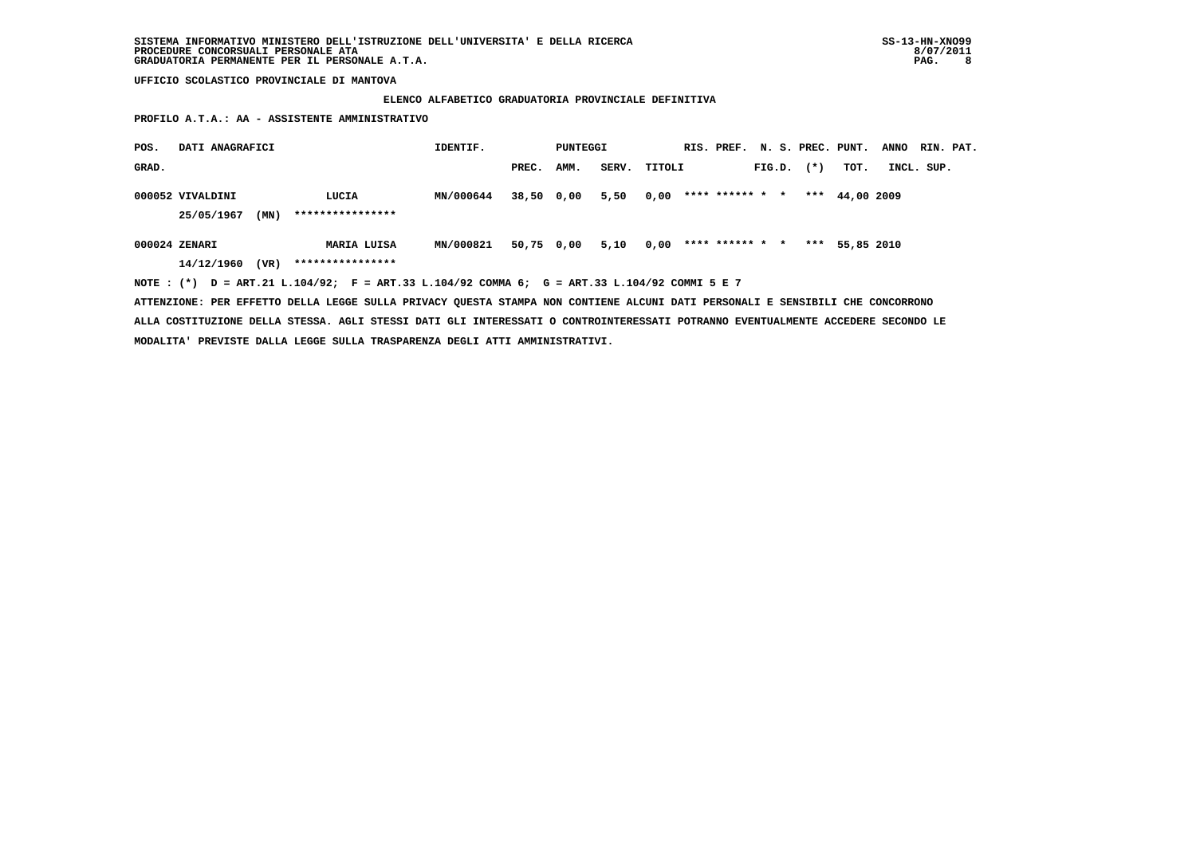# **ELENCO ALFABETICO GRADUATORIA PROVINCIALE DEFINITIVA**

 **PROFILO A.T.A.: AA - ASSISTENTE AMMINISTRATIVO**

| POS.  | DATI ANAGRAFICI                |      |                                 | IDENTIF.  |            | PUNTEGGI |       |        |                 |        |        | RIS. PREF. N. S. PREC. PUNT. | <b>ANNO</b> | RIN. PAT. |
|-------|--------------------------------|------|---------------------------------|-----------|------------|----------|-------|--------|-----------------|--------|--------|------------------------------|-------------|-----------|
| GRAD. |                                |      |                                 |           | PREC.      | AMM.     | SERV. | TITOLI |                 | FIG.D. | $(* )$ | тот.                         | INCL. SUP.  |           |
|       | 000052 VIVALDINI<br>25/05/1967 | (MN) | LUCIA<br>****************       | MN/000644 | 38,50 0,00 |          | 5,50  | 0,00   | **** ****** * * |        | ***    | 44,00 2009                   |             |           |
|       | 000024 ZENARI<br>14/12/1960    | (VR) | MARIA LUISA<br>**************** | MN/000821 | 50,75 0,00 |          | 5,10  | 0,00   | **** ****** * * |        | ***    | 55,85 2010                   |             |           |

 **NOTE : (\*) D = ART.21 L.104/92; F = ART.33 L.104/92 COMMA 6; G = ART.33 L.104/92 COMMI 5 E 7**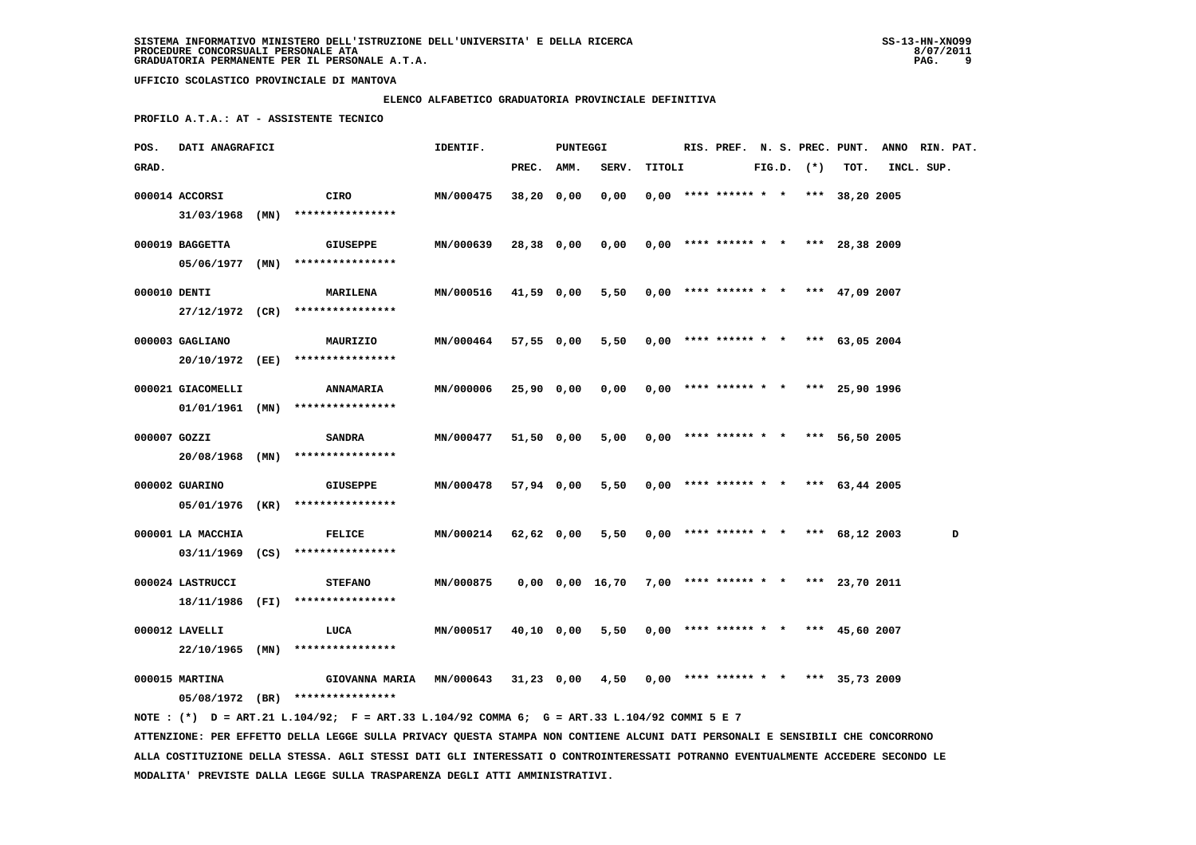# **ELENCO ALFABETICO GRADUATORIA PROVINCIALE DEFINITIVA**

 **PROFILO A.T.A.: AT - ASSISTENTE TECNICO**

| POS.         | DATI ANAGRAFICI   |                                                                                                                                 | IDENTIF.  |              | PUNTEGGI |                       |        |                        |  |                |                                       | RIS. PREF. N. S. PREC. PUNT. ANNO RIN. PAT. |   |
|--------------|-------------------|---------------------------------------------------------------------------------------------------------------------------------|-----------|--------------|----------|-----------------------|--------|------------------------|--|----------------|---------------------------------------|---------------------------------------------|---|
| GRAD.        |                   |                                                                                                                                 |           | PREC. AMM.   |          | SERV.                 | TITOLI |                        |  | $FIG.D.$ $(*)$ | TOT.                                  | INCL. SUP.                                  |   |
|              | 000014 ACCORSI    | CIRO                                                                                                                            | MN/000475 | $38,20$ 0,00 |          | 0,00                  |        |                        |  |                | $0,00$ **** ****** * * *** 38,20 2005 |                                             |   |
|              | $31/03/1968$ (MN) | ****************                                                                                                                |           |              |          |                       |        |                        |  |                |                                       |                                             |   |
|              |                   |                                                                                                                                 |           |              |          |                       |        |                        |  |                |                                       |                                             |   |
|              | 000019 BAGGETTA   | <b>GIUSEPPE</b>                                                                                                                 | MN/000639 | $28,38$ 0,00 |          | 0,00                  |        |                        |  |                | $0,00$ **** ****** * * *** 28,38 2009 |                                             |   |
|              | 05/06/1977 (MN)   | ****************                                                                                                                |           |              |          |                       |        |                        |  |                |                                       |                                             |   |
| 000010 DENTI |                   | <b>MARILENA</b>                                                                                                                 | MN/000516 | $41,59$ 0,00 |          | 5,50                  |        |                        |  |                | $0,00$ **** ****** * * *** 47,09 2007 |                                             |   |
|              |                   | 27/12/1972 (CR) ****************                                                                                                |           |              |          |                       |        |                        |  |                |                                       |                                             |   |
|              | 000003 GAGLIANO   | MAURIZIO                                                                                                                        | MN/000464 | 57,55 0,00   |          | 5,50                  |        | $0,00$ **** ****** * * |  |                | *** $63,05$ 2004                      |                                             |   |
|              | 20/10/1972 (EE)   | ****************                                                                                                                |           |              |          |                       |        |                        |  |                |                                       |                                             |   |
|              |                   |                                                                                                                                 |           |              |          |                       |        |                        |  |                |                                       |                                             |   |
|              | 000021 GIACOMELLI | <b>ANNAMARIA</b>                                                                                                                | MN/000006 | $25,90$ 0,00 |          | 0,00                  |        | $0,00$ **** ****** * * |  |                | *** 25,90 1996                        |                                             |   |
|              | $01/01/1961$ (MN) | ****************                                                                                                                |           |              |          |                       |        |                        |  |                |                                       |                                             |   |
| 000007 GOZZI |                   | <b>SANDRA</b>                                                                                                                   | MN/000477 | 51,50 0,00   |          | 5,00                  |        | $0,00$ **** ****** * * |  |                | *** 56,50 2005                        |                                             |   |
|              | 20/08/1968 (MN)   | ****************                                                                                                                |           |              |          |                       |        |                        |  |                |                                       |                                             |   |
|              | 000002 GUARINO    | GIUSEPPE                                                                                                                        | MN/000478 | 57,94 0,00   |          | 5,50                  |        |                        |  |                | $0,00$ **** ****** * * *** 63,44 2005 |                                             |   |
|              | 05/01/1976 (KR)   | ****************                                                                                                                |           |              |          |                       |        |                        |  |                |                                       |                                             |   |
|              |                   |                                                                                                                                 |           |              |          |                       |        |                        |  |                |                                       |                                             |   |
|              | 000001 LA MACCHIA | <b>FELICE</b>                                                                                                                   | MN/000214 | 62,62 0,00   |          | 5,50                  |        | $0,00$ **** ****** * * |  |                | *** $68,12$ 2003                      |                                             | D |
|              | $03/11/1969$ (CS) | ****************                                                                                                                |           |              |          |                       |        |                        |  |                |                                       |                                             |   |
|              | 000024 LASTRUCCI  | <b>STEFANO</b>                                                                                                                  | MN/000875 |              |          | $0,00$ $0,00$ $16,70$ |        |                        |  |                | $7,00$ **** ****** * * *** 23,70 2011 |                                             |   |
|              | 18/11/1986 (FI)   | ****************                                                                                                                |           |              |          |                       |        |                        |  |                |                                       |                                             |   |
|              |                   |                                                                                                                                 |           |              |          |                       |        |                        |  |                |                                       |                                             |   |
|              | 000012 LAVELLI    | LUCA                                                                                                                            | MN/000517 | 40,10 0,00   |          | 5,50                  |        | $0,00$ **** ****** * * |  |                | *** $45,60$ 2007                      |                                             |   |
|              | $22/10/1965$ (MN) | ****************                                                                                                                |           |              |          |                       |        |                        |  |                |                                       |                                             |   |
|              | 000015 MARTINA    | GIOVANNA MARIA                                                                                                                  | MN/000643 | 31,23 0,00   |          | 4,50                  |        |                        |  |                | $0,00$ **** ****** * * *** 35,73 2009 |                                             |   |
|              |                   | 05/08/1972 (BR) ****************                                                                                                |           |              |          |                       |        |                        |  |                |                                       |                                             |   |
|              |                   | NOTE: (*) D = ART.21 L.104/92; F = ART.33 L.104/92 COMMA 6; G = ART.33 L.104/92 COMMI 5 E 7                                     |           |              |          |                       |        |                        |  |                |                                       |                                             |   |
|              |                   | ATTENZIONE: PER EFFETTO DELLA LEGGE SULLA PRIVACY QUESTA STAMPA NON CONTIENE ALCUNI DATI PERSONALI E SENSIBILI CHE CONCORRONO   |           |              |          |                       |        |                        |  |                |                                       |                                             |   |
|              |                   | ALLA COSTITUZIONE DELLA STESSA. AGLI STESSI DATI GLI INTERESSATI O CONTROINTERESSATI POTRANNO EVENTUALMENTE ACCEDERE SECONDO LE |           |              |          |                       |        |                        |  |                |                                       |                                             |   |

 **MODALITA' PREVISTE DALLA LEGGE SULLA TRASPARENZA DEGLI ATTI AMMINISTRATIVI.**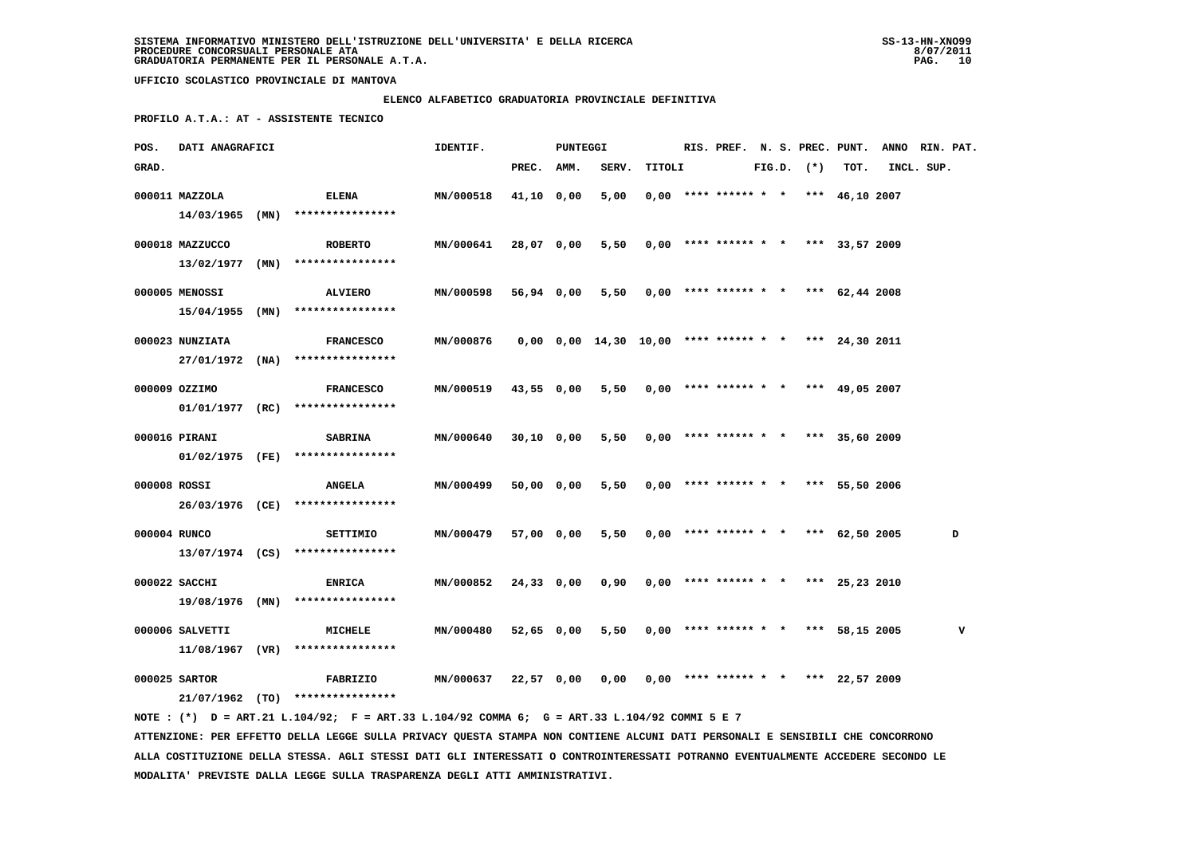# **ELENCO ALFABETICO GRADUATORIA PROVINCIALE DEFINITIVA**

 **PROFILO A.T.A.: AT - ASSISTENTE TECNICO**

| POS.         | DATI ANAGRAFICI |                                                                                             | IDENTIF.         |            | PUNTEGGI |                                                            |                                              |                                       |  |                |      | RIS. PREF. N. S. PREC. PUNT. ANNO RIN. PAT. |   |
|--------------|-----------------|---------------------------------------------------------------------------------------------|------------------|------------|----------|------------------------------------------------------------|----------------------------------------------|---------------------------------------|--|----------------|------|---------------------------------------------|---|
| GRAD.        |                 |                                                                                             |                  | PREC. AMM. |          | SERV.                                                      | TITOLI                                       |                                       |  | $FIG.D.$ $(*)$ | TOT. | INCL. SUP.                                  |   |
|              | 000011 MAZZOLA  | <b>ELENA</b>                                                                                | MN/000518        | 41,10 0,00 |          | 5,00                                                       |                                              | $0,00$ **** ****** * * *** 46,10 2007 |  |                |      |                                             |   |
|              |                 | $14/03/1965$ (MN) ****************                                                          |                  |            |          |                                                            |                                              |                                       |  |                |      |                                             |   |
|              |                 |                                                                                             |                  |            |          |                                                            |                                              |                                       |  |                |      |                                             |   |
|              | 000018 MAZZUCCO | <b>ROBERTO</b>                                                                              | MN/000641        | 28,07 0,00 |          |                                                            | 5,50 0,00 **** ****** * * *** 33,57 2009     |                                       |  |                |      |                                             |   |
|              |                 | $13/02/1977$ (MN) ****************                                                          |                  |            |          |                                                            |                                              |                                       |  |                |      |                                             |   |
|              | 000005 MENOSSI  | <b>ALVIERO</b>                                                                              | <b>MN/000598</b> | 56,94 0,00 |          |                                                            | 5,50 $0,00$ **** ****** * * *** 62,44 2008   |                                       |  |                |      |                                             |   |
|              |                 | 15/04/1955 (MN) ****************                                                            |                  |            |          |                                                            |                                              |                                       |  |                |      |                                             |   |
|              | 000023 NUNZIATA | <b>FRANCESCO</b>                                                                            | MN/000876        |            |          | $0,00$ $0,00$ $14,30$ $10,00$ **** ****** * *** 24,30 2011 |                                              |                                       |  |                |      |                                             |   |
|              |                 | $27/01/1972$ (NA) ****************                                                          |                  |            |          |                                                            |                                              |                                       |  |                |      |                                             |   |
|              |                 |                                                                                             |                  |            |          |                                                            |                                              |                                       |  |                |      |                                             |   |
|              | 000009 OZZIMO   | <b>FRANCESCO</b>                                                                            | <b>MN/000519</b> | 43,55 0,00 |          |                                                            | 5,50 $0,00$ **** ****** * * *** 49,05 2007   |                                       |  |                |      |                                             |   |
|              |                 | $01/01/1977$ (RC) ****************                                                          |                  |            |          |                                                            |                                              |                                       |  |                |      |                                             |   |
|              | 000016 PIRANI   | <b>SABRINA</b>                                                                              | <b>MN/000640</b> | 30,10 0,00 |          |                                                            | 5,50 0,00 **** ****** * * *** 35,60 2009     |                                       |  |                |      |                                             |   |
|              |                 | 01/02/1975 (FE) ****************                                                            |                  |            |          |                                                            |                                              |                                       |  |                |      |                                             |   |
|              |                 |                                                                                             |                  |            |          |                                                            |                                              |                                       |  |                |      |                                             |   |
| 000008 ROSSI |                 | <b>ANGELA</b>                                                                               | <b>MN/000499</b> | 50,00 0,00 |          |                                                            | 5,50 0,00 **** ****** * * *** 55,50 2006     |                                       |  |                |      |                                             |   |
|              |                 | 26/03/1976 (CE) ****************                                                            |                  |            |          |                                                            |                                              |                                       |  |                |      |                                             |   |
| 000004 RUNCO |                 | <b>SETTIMIO</b>                                                                             | <b>MN/000479</b> | 57,00 0,00 |          |                                                            | $5,50$ 0,00 **** ****** * * *** 62,50 2005   |                                       |  |                |      |                                             | D |
|              |                 | $13/07/1974$ (CS) ****************                                                          |                  |            |          |                                                            |                                              |                                       |  |                |      |                                             |   |
|              | 000022 SACCHI   | <b>ENRICA</b>                                                                               | MN/000852        | 24,33 0,00 |          |                                                            | $0,90$ $0,00$ **** ****** * * *** 25,23 2010 |                                       |  |                |      |                                             |   |
|              |                 | 19/08/1976 (MN) ****************                                                            |                  |            |          |                                                            |                                              |                                       |  |                |      |                                             |   |
|              |                 |                                                                                             |                  |            |          |                                                            |                                              |                                       |  |                |      |                                             |   |
|              | 000006 SALVETTI | MICHELE                                                                                     | MN/000480        | 52,65 0,00 |          | 5,50                                                       |                                              | $0,00$ **** ****** * * *** 58,15 2005 |  |                |      |                                             | v |
|              |                 | $11/08/1967$ (VR) ****************                                                          |                  |            |          |                                                            |                                              |                                       |  |                |      |                                             |   |
|              | 000025 SARTOR   | <b>FABRIZIO</b>                                                                             | MN/000637        | 22,57 0,00 |          | 0,00                                                       |                                              | $0,00$ **** ****** * * *** 22,57 2009 |  |                |      |                                             |   |
|              |                 | 21/07/1962 (TO) ****************                                                            |                  |            |          |                                                            |                                              |                                       |  |                |      |                                             |   |
|              |                 | NOTE: (*) D = ART.21 L.104/92; F = ART.33 L.104/92 COMMA 6; G = ART.33 L.104/92 COMMI 5 E 7 |                  |            |          |                                                            |                                              |                                       |  |                |      |                                             |   |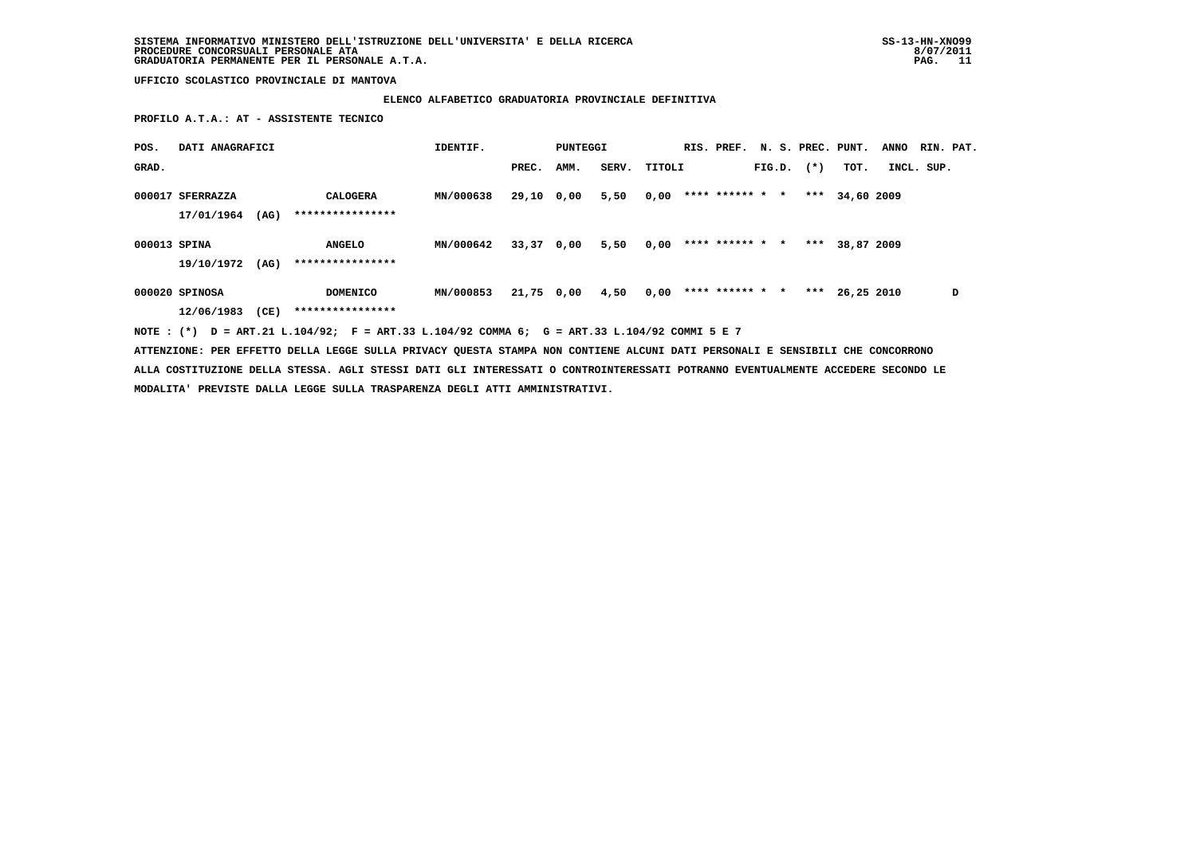# **ELENCO ALFABETICO GRADUATORIA PROVINCIALE DEFINITIVA**

 **PROFILO A.T.A.: AT - ASSISTENTE TECNICO**

| POS.         | DATI ANAGRAFICI  |      |                                                                                             | IDENTIF.  |            | PUNTEGGI   |       |        | RIS. PREF.      |  |                | N. S. PREC. PUNT. | <b>ANNO</b> | RIN. PAT.  |   |
|--------------|------------------|------|---------------------------------------------------------------------------------------------|-----------|------------|------------|-------|--------|-----------------|--|----------------|-------------------|-------------|------------|---|
| GRAD.        |                  |      |                                                                                             |           | PREC.      | AMM.       | SERV. | TITOLI |                 |  | $FIG.D.$ $(*)$ | тот.              |             | INCL. SUP. |   |
|              | 000017 SFERRAZZA |      | CALOGERA                                                                                    | MN/000638 | 29,10 0,00 |            | 5,50  | 0,00   | **** ****** * * |  |                | *** 34,60 2009    |             |            |   |
|              | 17/01/1964       | (AG) | ****************                                                                            |           |            |            |       |        |                 |  |                |                   |             |            |   |
| 000013 SPINA |                  |      | <b>ANGELO</b>                                                                               | MN/000642 |            | 33,37 0,00 | 5,50  | 0,00   | **** ****** * * |  | ***            | 38,87 2009        |             |            |   |
|              | 19/10/1972       | (AG) | ****************                                                                            |           |            |            |       |        |                 |  |                |                   |             |            |   |
|              | 000020 SPINOSA   |      | <b>DOMENICO</b>                                                                             | MN/000853 |            | 21,75 0,00 | 4,50  | 0,00   | **** ****** * * |  |                | *** $26.25$ 2010  |             |            | D |
|              | 12/06/1983       | (CE) | ****************                                                                            |           |            |            |       |        |                 |  |                |                   |             |            |   |
|              |                  |      | NOTE: (*) D = ART.21 L.104/92; F = ART.33 L.104/92 COMMA 6; G = ART.33 L.104/92 COMMI 5 E 7 |           |            |            |       |        |                 |  |                |                   |             |            |   |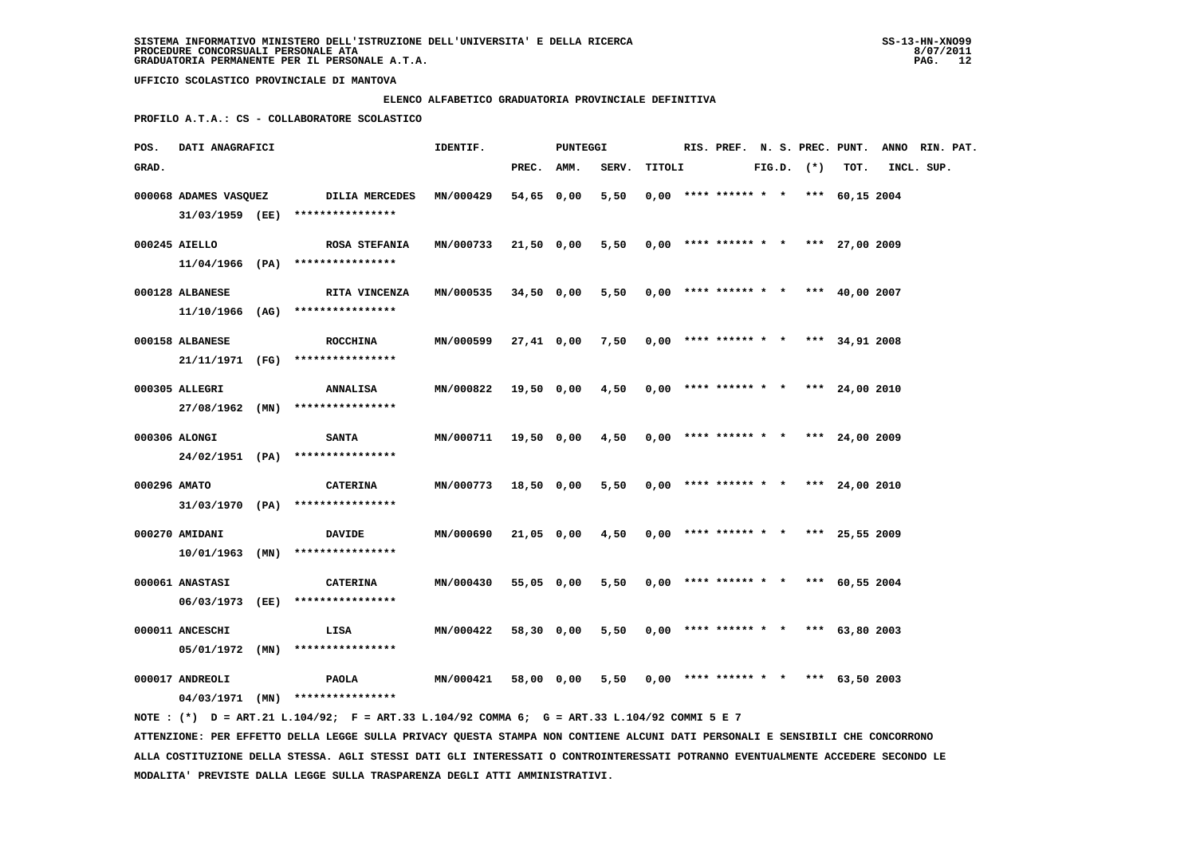#### **ELENCO ALFABETICO GRADUATORIA PROVINCIALE DEFINITIVA**

 **PROFILO A.T.A.: CS - COLLABORATORE SCOLASTICO**

| POS.         | DATI ANAGRAFICI       |                                                                                             | IDENTIF.         | PUNTEGGI   |            |                                          |        |  |                                       |  |                |      | RIS. PREF. N. S. PREC. PUNT. ANNO RIN. PAT. |  |
|--------------|-----------------------|---------------------------------------------------------------------------------------------|------------------|------------|------------|------------------------------------------|--------|--|---------------------------------------|--|----------------|------|---------------------------------------------|--|
| GRAD.        |                       |                                                                                             |                  | PREC. AMM. |            | SERV.                                    | TITOLI |  |                                       |  | $FIG.D.$ $(*)$ | TOT. | INCL. SUP.                                  |  |
|              | 000068 ADAMES VASQUEZ | DILIA MERCEDES                                                                              | MN/000429        | 54,65 0,00 |            | 5,50                                     |        |  | $0,00$ **** ****** * * *** 60,15 2004 |  |                |      |                                             |  |
|              |                       | 31/03/1959 (EE) *****************                                                           |                  |            |            |                                          |        |  |                                       |  |                |      |                                             |  |
|              | 000245 AIELLO         | <b>ROSA STEFANIA</b>                                                                        | MN/000733        |            | 21,50 0,00 | 5,50                                     |        |  | $0,00$ **** ****** * * *** 27,00 2009 |  |                |      |                                             |  |
|              |                       | 11/04/1966 (PA) ****************                                                            |                  |            |            |                                          |        |  |                                       |  |                |      |                                             |  |
|              | 000128 ALBANESE       | RITA VINCENZA                                                                               | <b>MN/000535</b> |            | 34,50 0,00 | 5,50 0,00 **** ****** * * *** 40,00 2007 |        |  |                                       |  |                |      |                                             |  |
|              |                       | $11/10/1966$ (AG) ****************                                                          |                  |            |            |                                          |        |  |                                       |  |                |      |                                             |  |
|              | 000158 ALBANESE       | <b>ROCCHINA</b>                                                                             | MN/000599        |            | 27,41 0,00 | 7,50                                     |        |  | $0.00$ **** ****** * * *** 34,91 2008 |  |                |      |                                             |  |
|              |                       | 21/11/1971 (FG) *****************                                                           |                  |            |            |                                          |        |  |                                       |  |                |      |                                             |  |
|              |                       |                                                                                             |                  |            |            |                                          |        |  |                                       |  |                |      |                                             |  |
|              | 000305 ALLEGRI        | <b>ANNALISA</b>                                                                             | MN/000822        |            | 19,50 0,00 | 4,50                                     |        |  | $0.00$ **** ****** * * *** 24,00 2010 |  |                |      |                                             |  |
|              |                       | 27/08/1962 (MN) ****************                                                            |                  |            |            |                                          |        |  |                                       |  |                |      |                                             |  |
|              | 000306 ALONGI         | <b>SANTA</b>                                                                                | MN/000711        |            | 19,50 0,00 | 4,50                                     |        |  | $0,00$ **** ****** * * *** 24,00 2009 |  |                |      |                                             |  |
|              |                       | 24/02/1951 (PA) ****************                                                            |                  |            |            |                                          |        |  |                                       |  |                |      |                                             |  |
| 000296 AMATO |                       | <b>CATERINA</b>                                                                             | <b>MN/000773</b> | 18,50 0,00 |            | 5,50                                     |        |  | $0,00$ **** ****** * * *** 24,00 2010 |  |                |      |                                             |  |
|              |                       | $31/03/1970$ (PA) ****************                                                          |                  |            |            |                                          |        |  |                                       |  |                |      |                                             |  |
|              | 000270 AMIDANI        | <b>DAVIDE</b>                                                                               | MN/000690        |            | 21,05 0,00 | 4,50                                     |        |  | $0,00$ **** ****** * * *** 25,55 2009 |  |                |      |                                             |  |
|              | $10/01/1963$ (MN)     | ****************                                                                            |                  |            |            |                                          |        |  |                                       |  |                |      |                                             |  |
|              |                       |                                                                                             |                  |            |            |                                          |        |  |                                       |  |                |      |                                             |  |
|              | 000061 ANASTASI       | <b>CATERINA</b>                                                                             | MN/000430        | 55,05 0,00 |            | 5,50                                     |        |  | $0,00$ **** ****** * * *** 60,55 2004 |  |                |      |                                             |  |
|              | 06/03/1973 (EE)       | ****************                                                                            |                  |            |            |                                          |        |  |                                       |  |                |      |                                             |  |
|              | 000011 ANCESCHI       | LISA                                                                                        | MN/000422        | 58,30 0,00 |            | 5,50                                     |        |  | $0,00$ **** ****** * * *** 63,80 2003 |  |                |      |                                             |  |
|              | $05/01/1972$ (MN)     | ****************                                                                            |                  |            |            |                                          |        |  |                                       |  |                |      |                                             |  |
|              | 000017 ANDREOLI       | <b>PAOLA</b>                                                                                | <b>MN/000421</b> |            | 58,00 0,00 | 5,50                                     |        |  | $0,00$ **** ****** * * *** 63,50 2003 |  |                |      |                                             |  |
|              |                       | $04/03/1971$ (MN) ****************                                                          |                  |            |            |                                          |        |  |                                       |  |                |      |                                             |  |
|              |                       | NOTE: (*) D = ART.21 L.104/92; F = ART.33 L.104/92 COMMA 6; G = ART.33 L.104/92 COMMI 5 E 7 |                  |            |            |                                          |        |  |                                       |  |                |      |                                             |  |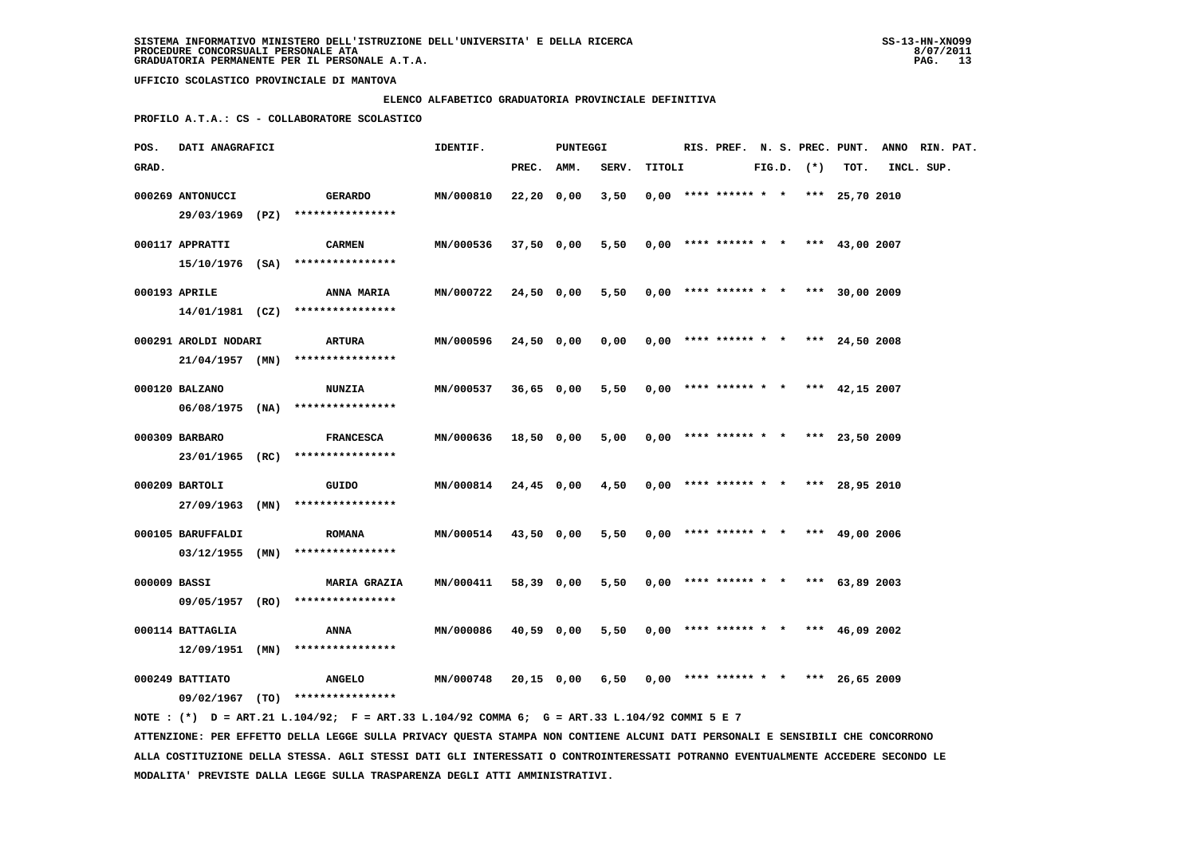### **ELENCO ALFABETICO GRADUATORIA PROVINCIALE DEFINITIVA**

 **PROFILO A.T.A.: CS - COLLABORATORE SCOLASTICO**

| POS.         | DATI ANAGRAFICI      |                                                                                             | IDENTIF.         |              | PUNTEGGI   |                                                     |        |  |                                       |  |                |      | RIS. PREF. N. S. PREC. PUNT. ANNO RIN. PAT. |  |
|--------------|----------------------|---------------------------------------------------------------------------------------------|------------------|--------------|------------|-----------------------------------------------------|--------|--|---------------------------------------|--|----------------|------|---------------------------------------------|--|
| GRAD.        |                      |                                                                                             |                  | PREC. AMM.   |            | SERV.                                               | TITOLI |  |                                       |  | $FIG.D.$ $(*)$ | TOT. | INCL. SUP.                                  |  |
|              | 000269 ANTONUCCI     | <b>GERARDO</b>                                                                              | MN/000810        | $22,20$ 0,00 |            | 3,50                                                |        |  | $0,00$ **** ****** * * *** 25,70 2010 |  |                |      |                                             |  |
|              |                      | 29/03/1969 (PZ) ****************                                                            |                  |              |            |                                                     |        |  |                                       |  |                |      |                                             |  |
|              |                      |                                                                                             |                  |              |            |                                                     |        |  |                                       |  |                |      |                                             |  |
|              | 000117 APPRATTI      | <b>CARMEN</b>                                                                               | MN/000536        | 37,50 0,00   |            | $5,50$ 0,00 **** ****** * * *** 43,00 2007          |        |  |                                       |  |                |      |                                             |  |
|              |                      | 15/10/1976 (SA) ****************                                                            |                  |              |            |                                                     |        |  |                                       |  |                |      |                                             |  |
|              | 000193 APRILE        | <b>ANNA MARIA</b>                                                                           | <b>MN/000722</b> |              | 24,50 0,00 | 5,50                                                |        |  | $0,00$ **** ****** * * *** 30,00 2009 |  |                |      |                                             |  |
|              |                      | $14/01/1981$ (CZ) ****************                                                          |                  |              |            |                                                     |        |  |                                       |  |                |      |                                             |  |
|              | 000291 AROLDI NODARI |                                                                                             | MN/000596        |              | 24,50 0,00 |                                                     |        |  |                                       |  |                |      |                                             |  |
|              |                      | ARTURA<br>$21/04/1957$ (MN) ****************                                                |                  |              |            | 0,00                                                |        |  | $0,00$ **** ****** * * *** 24,50 2008 |  |                |      |                                             |  |
|              |                      |                                                                                             |                  |              |            |                                                     |        |  |                                       |  |                |      |                                             |  |
|              | 000120 BALZANO       | <b>NUNZIA</b>                                                                               | <b>MN/000537</b> |              | 36,65 0,00 | 5,50 0,00 **** ****** * * *** 42,15 2007            |        |  |                                       |  |                |      |                                             |  |
|              |                      | $06/08/1975$ (NA) ****************                                                          |                  |              |            |                                                     |        |  |                                       |  |                |      |                                             |  |
|              | 000309 BARBARO       | <b>FRANCESCA</b>                                                                            | MN/000636        |              | 18,50 0,00 | 5,00                                                |        |  | $0.00$ **** ****** * * *** 23,50 2009 |  |                |      |                                             |  |
|              |                      | 23/01/1965 (RC) ****************                                                            |                  |              |            |                                                     |        |  |                                       |  |                |      |                                             |  |
|              |                      |                                                                                             |                  |              |            |                                                     |        |  |                                       |  |                |      |                                             |  |
|              | 000209 BARTOLI       | GUIDO                                                                                       | <b>MN/000814</b> |              | 24,45 0,00 | 4,50                                                |        |  | $0,00$ **** ****** * * *** 28,95 2010 |  |                |      |                                             |  |
|              |                      | $27/09/1963$ (MN) *****************                                                         |                  |              |            |                                                     |        |  |                                       |  |                |      |                                             |  |
|              | 000105 BARUFFALDI    |                                                                                             | <b>MN/000514</b> |              | 43,50 0,00 | 5,50                                                |        |  | $0,00$ **** ****** * * *** 49,00 2006 |  |                |      |                                             |  |
|              |                      | <b>ROMANA</b><br>$03/12/1955$ (MN) ****************                                         |                  |              |            |                                                     |        |  |                                       |  |                |      |                                             |  |
|              |                      |                                                                                             |                  |              |            |                                                     |        |  |                                       |  |                |      |                                             |  |
| 000009 BASSI |                      | <b>MARIA GRAZIA</b>                                                                         | MN/000411        |              | 58,39 0,00 | 5,50                                                |        |  | $0,00$ **** ****** * * *** 63,89 2003 |  |                |      |                                             |  |
|              |                      | 09/05/1957 (RO) ****************                                                            |                  |              |            |                                                     |        |  |                                       |  |                |      |                                             |  |
|              | 000114 BATTAGLIA     | ANNA                                                                                        | MN/000086        | 40,59 0,00   |            | 5,50                                                |        |  | $0.00$ **** ****** * * *** 46.09 2002 |  |                |      |                                             |  |
|              |                      | 12/09/1951 (MN) ****************                                                            |                  |              |            |                                                     |        |  |                                       |  |                |      |                                             |  |
|              |                      |                                                                                             |                  |              |            |                                                     |        |  |                                       |  |                |      |                                             |  |
|              | 000249 BATTIATO      | <b>ANGELO</b>                                                                               | MN/000748        |              |            | 20,15 0,00 6,50 0,00 **** ****** * * *** 26,65 2009 |        |  |                                       |  |                |      |                                             |  |
|              |                      | 09/02/1967 (TO) ****************                                                            |                  |              |            |                                                     |        |  |                                       |  |                |      |                                             |  |
|              |                      | NOTE: (*) D = ART.21 L.104/92; F = ART.33 L.104/92 COMMA 6; G = ART.33 L.104/92 COMMI 5 E 7 |                  |              |            |                                                     |        |  |                                       |  |                |      |                                             |  |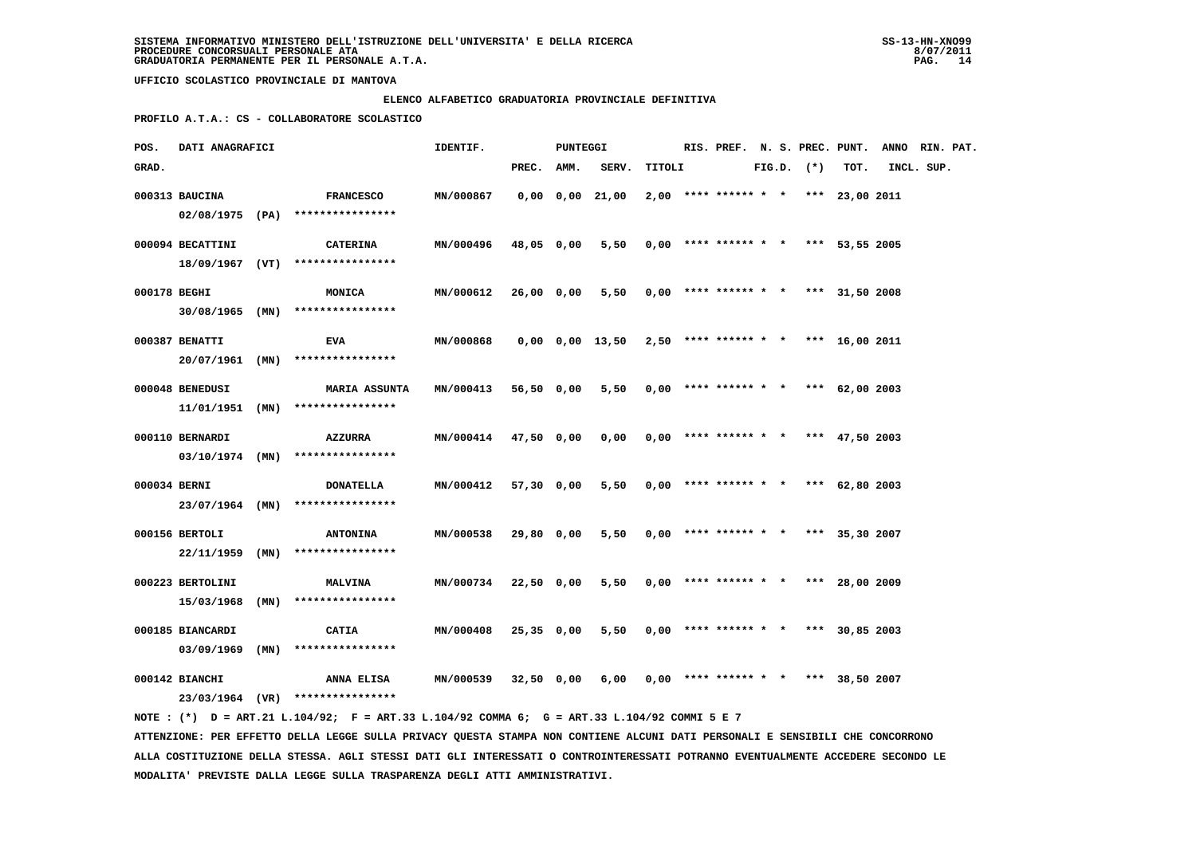### **ELENCO ALFABETICO GRADUATORIA PROVINCIALE DEFINITIVA**

 **PROFILO A.T.A.: CS - COLLABORATORE SCOLASTICO**

| POS.         | DATI ANAGRAFICI                    |      |                                                                                             | IDENTIF.         |            | PUNTEGGI |                                                             |        |  |  |                |                                       | RIS. PREF. N. S. PREC. PUNT. ANNO RIN. PAT. |  |
|--------------|------------------------------------|------|---------------------------------------------------------------------------------------------|------------------|------------|----------|-------------------------------------------------------------|--------|--|--|----------------|---------------------------------------|---------------------------------------------|--|
| GRAD.        |                                    |      |                                                                                             |                  | PREC. AMM. |          | SERV.                                                       | TITOLI |  |  | $FIG.D.$ $(*)$ | TOT.                                  | INCL. SUP.                                  |  |
|              | 000313 BAUCINA                     |      | <b>FRANCESCO</b><br>$02/08/1975$ (PA) *****************                                     | MN/000867        |            |          | $0,00$ $0,00$ $21,00$                                       |        |  |  |                | $2,00$ **** ****** * * *** 23,00 2011 |                                             |  |
|              | 000094 BECATTINI                   |      | <b>CATERINA</b><br>18/09/1967 (VT) ****************                                         | MN/000496        | 48,05 0,00 |          | 5,50                                                        |        |  |  |                | $0,00$ **** ****** * * *** 53,55 2005 |                                             |  |
| 000178 BEGHI | $30/08/1965$ (MN)                  |      | MONICA<br>****************                                                                  | MN/000612        | 26,00 0,00 |          | 5,50                                                        |        |  |  |                | $0.00$ **** ****** * * *** 31.50 2008 |                                             |  |
|              | 000387 BENATTI                     |      | <b>EVA</b>                                                                                  | MN/000868        |            |          | $0.00$ $0.00$ $13.50$ $2.50$ **** ****** * * *** 16.00 2011 |        |  |  |                |                                       |                                             |  |
|              | 20/07/1961 (MN)<br>000048 BENEDUSI |      | ****************<br><b>MARIA ASSUNTA</b>                                                    | MN/000413        | 56,50 0,00 |          | 5,50                                                        |        |  |  |                | $0,00$ **** ****** * * *** 62,00 2003 |                                             |  |
|              | 000110 BERNARDI                    |      | $11/01/1951$ (MN) ****************<br><b>AZZURRA</b>                                        | <b>MN/000414</b> | 47,50 0,00 |          | 0,00                                                        |        |  |  |                | $0,00$ **** ****** * * *** 47,50 2003 |                                             |  |
| 000034 BERNI | 03/10/1974 (MN)                    |      | ****************<br><b>DONATELLA</b>                                                        | MN/000412        | 57,30 0,00 |          | 5,50                                                        |        |  |  |                | $0,00$ **** ****** * * *** 62,80 2003 |                                             |  |
|              | 000156 BERTOLI                     |      | 23/07/1964 (MN) ****************<br><b>ANTONINA</b>                                         | MN/000538        | 29,80 0,00 |          | 5,50                                                        |        |  |  |                | $0,00$ **** ****** * * *** 35,30 2007 |                                             |  |
|              | 22/11/1959                         | (MN) | ****************                                                                            |                  |            |          |                                                             |        |  |  |                |                                       |                                             |  |
|              | 000223 BERTOLINI<br>15/03/1968     | (MN) | <b>MALVINA</b><br>****************                                                          | MN/000734        | 22,50 0,00 |          | 5,50                                                        |        |  |  |                | $0,00$ **** ****** * * *** 28,00 2009 |                                             |  |
|              | 000185 BIANCARDI<br>03/09/1969     | (MN) | CATIA<br>****************                                                                   | MN/000408        | 25,35 0,00 |          | 5,50                                                        |        |  |  |                | $0,00$ **** ****** * * *** 30,85 2003 |                                             |  |
|              | 000142 BIANCHI                     |      | ANNA ELISA<br>23/03/1964 (VR) ****************                                              | <b>MN/000539</b> | 32,50 0,00 |          | 6,00                                                        |        |  |  |                | $0.00$ **** ****** * * *** 38,50 2007 |                                             |  |
|              |                                    |      | NOTE: (*) D = ART.21 L.104/92; F = ART.33 L.104/92 COMMA 6; G = ART.33 L.104/92 COMMI 5 E 7 |                  |            |          |                                                             |        |  |  |                |                                       |                                             |  |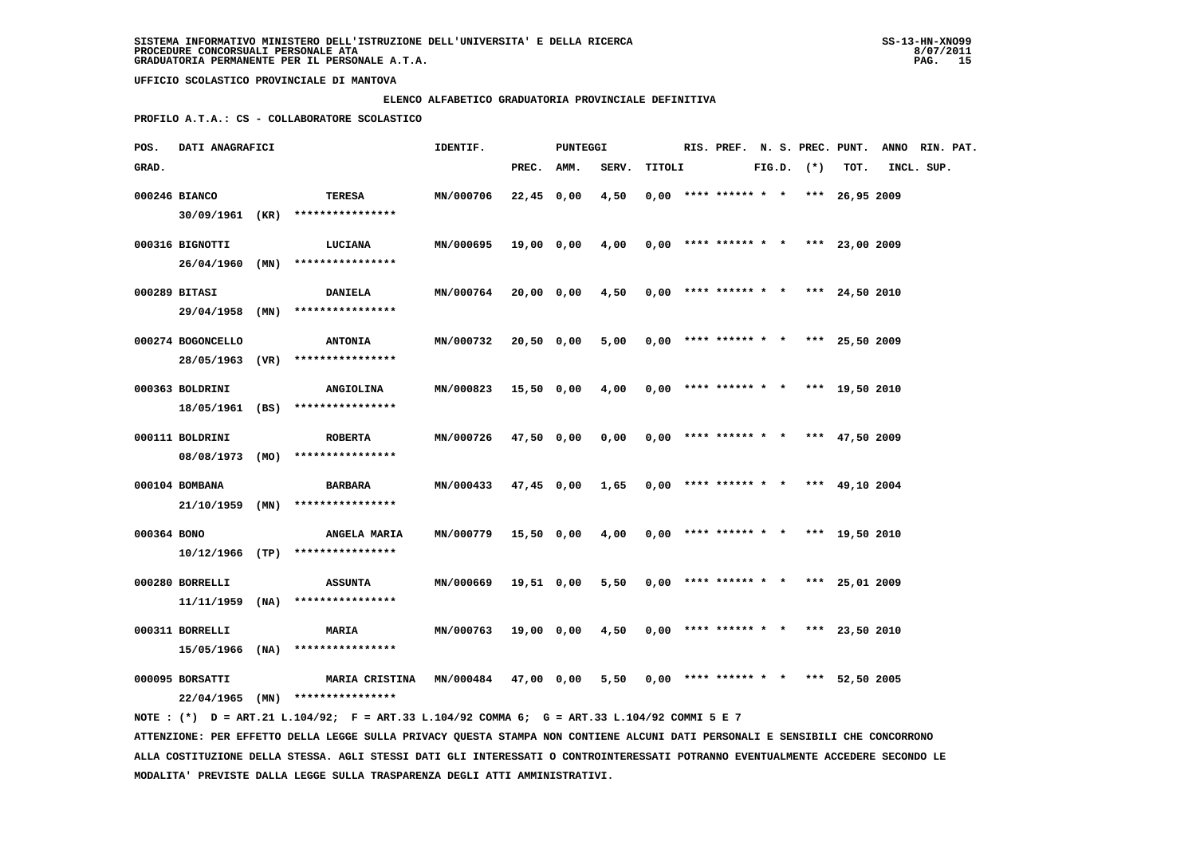# **ELENCO ALFABETICO GRADUATORIA PROVINCIALE DEFINITIVA**

 **PROFILO A.T.A.: CS - COLLABORATORE SCOLASTICO**

| POS.        | DATI ANAGRAFICI   |      |                                                                                                                               | IDENTIF.             |              | PUNTEGGI |       |        |  |  |                | RIS. PREF. N. S. PREC. PUNT.          | ANNO RIN. PAT. |  |
|-------------|-------------------|------|-------------------------------------------------------------------------------------------------------------------------------|----------------------|--------------|----------|-------|--------|--|--|----------------|---------------------------------------|----------------|--|
| GRAD.       |                   |      |                                                                                                                               |                      | PREC. AMM.   |          | SERV. | TITOLI |  |  | $FIG.D.$ $(*)$ | TOT.                                  | INCL. SUP.     |  |
|             | 000246 BIANCO     |      | TERESA                                                                                                                        | MN/000706            | $22,45$ 0,00 |          | 4,50  |        |  |  |                | $0.00$ **** ****** * * *** 26.95 2009 |                |  |
|             | 30/09/1961 (KR)   |      | ****************                                                                                                              |                      |              |          |       |        |  |  |                |                                       |                |  |
|             |                   |      |                                                                                                                               |                      |              |          |       |        |  |  |                |                                       |                |  |
|             | 000316 BIGNOTTI   |      | LUCIANA                                                                                                                       | MN/000695            | 19,00 0,00   |          | 4,00  |        |  |  |                | $0,00$ **** ****** * * *** 23,00 2009 |                |  |
|             | $26/04/1960$ (MN) |      | ****************                                                                                                              |                      |              |          |       |        |  |  |                |                                       |                |  |
|             | 000289 BITASI     |      | <b>DANIELA</b>                                                                                                                | MN/000764            | 20,00 0,00   |          | 4,50  |        |  |  |                | $0,00$ **** ****** * * *** 24,50 2010 |                |  |
|             | 29/04/1958 (MN)   |      | ****************                                                                                                              |                      |              |          |       |        |  |  |                |                                       |                |  |
|             |                   |      |                                                                                                                               |                      |              |          |       |        |  |  |                |                                       |                |  |
|             | 000274 BOGONCELLO |      | <b>ANTONIA</b>                                                                                                                | MN/000732            | 20,50 0,00   |          | 5,00  |        |  |  |                | $0,00$ **** ****** * * *** 25,50 2009 |                |  |
|             | 28/05/1963 (VR)   |      | ****************                                                                                                              |                      |              |          |       |        |  |  |                |                                       |                |  |
|             | 000363 BOLDRINI   |      | <b>ANGIOLINA</b>                                                                                                              | MN/000823            | 15,50 0,00   |          | 4,00  |        |  |  |                | $0,00$ **** ****** * * *** 19,50 2010 |                |  |
|             | 18/05/1961 (BS)   |      | ****************                                                                                                              |                      |              |          |       |        |  |  |                |                                       |                |  |
|             | 000111 BOLDRINI   |      | <b>ROBERTA</b>                                                                                                                | MN/000726            | 47,50 0,00   |          | 0,00  |        |  |  |                | $0,00$ **** ****** * * *** 47,50 2009 |                |  |
|             | 08/08/1973        | (MO) | ****************                                                                                                              |                      |              |          |       |        |  |  |                |                                       |                |  |
|             |                   |      |                                                                                                                               |                      |              |          |       |        |  |  |                |                                       |                |  |
|             | 000104 BOMBANA    |      | <b>BARBARA</b>                                                                                                                | MN/000433            | 47,45 0,00   |          | 1,65  |        |  |  |                | $0,00$ **** ****** * * *** 49,10 2004 |                |  |
|             | 21/10/1959        | (MN) | ****************                                                                                                              |                      |              |          |       |        |  |  |                |                                       |                |  |
| 000364 BONO |                   |      | ANGELA MARIA                                                                                                                  | MN/000779            | 15,50 0,00   |          | 4,00  |        |  |  |                | $0,00$ **** ****** * * *** 19,50 2010 |                |  |
|             | 10/12/1966 (TP)   |      | ****************                                                                                                              |                      |              |          |       |        |  |  |                |                                       |                |  |
|             |                   |      |                                                                                                                               |                      |              |          |       |        |  |  |                |                                       |                |  |
|             | 000280 BORRELLI   |      | <b>ASSUNTA</b>                                                                                                                | MN/000669            | 19,51 0,00   |          | 5,50  |        |  |  |                | $0,00$ **** ****** * * *** 25,01 2009 |                |  |
|             | 11/11/1959        | (NA) | ****************                                                                                                              |                      |              |          |       |        |  |  |                |                                       |                |  |
|             | 000311 BORRELLI   |      | <b>MARIA</b>                                                                                                                  | MN/000763            | 19,00 0,00   |          | 4,50  |        |  |  |                | $0,00$ **** ****** * * *** 23,50 2010 |                |  |
|             | 15/05/1966 (NA)   |      | ****************                                                                                                              |                      |              |          |       |        |  |  |                |                                       |                |  |
|             |                   |      |                                                                                                                               |                      |              |          |       |        |  |  |                |                                       |                |  |
|             | 000095 BORSATTI   |      | <b>MARIA CRISTINA</b>                                                                                                         | MN/000484 47,00 0,00 |              |          | 5,50  |        |  |  |                | $0,00$ **** ****** * * *** 52,50 2005 |                |  |
|             |                   |      | 22/04/1965 (MN) ****************                                                                                              |                      |              |          |       |        |  |  |                |                                       |                |  |
|             |                   |      | NOTE: (*) D = ART.21 L.104/92; F = ART.33 L.104/92 COMMA 6; G = ART.33 L.104/92 COMMI 5 E 7                                   |                      |              |          |       |        |  |  |                |                                       |                |  |
|             |                   |      | ATTENZIONE: PER EFFETTO DELLA LEGGE SULLA PRIVACY QUESTA STAMPA NON CONTIENE ALCUNI DATI PERSONALI E SENSIBILI CHE CONCORRONO |                      |              |          |       |        |  |  |                |                                       |                |  |

 **ALLA COSTITUZIONE DELLA STESSA. AGLI STESSI DATI GLI INTERESSATI O CONTROINTERESSATI POTRANNO EVENTUALMENTE ACCEDERE SECONDO LE MODALITA' PREVISTE DALLA LEGGE SULLA TRASPARENZA DEGLI ATTI AMMINISTRATIVI.**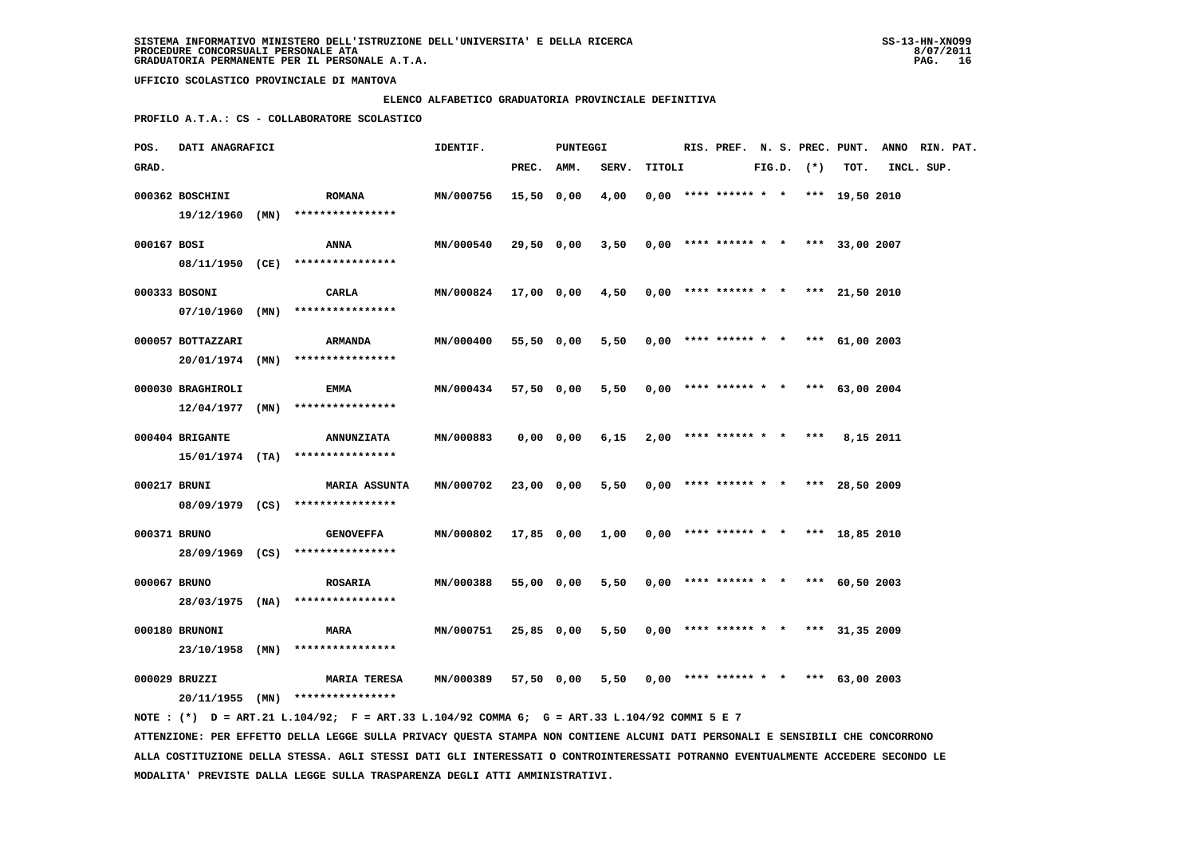### **ELENCO ALFABETICO GRADUATORIA PROVINCIALE DEFINITIVA**

 **PROFILO A.T.A.: CS - COLLABORATORE SCOLASTICO**

| POS.         | DATI ANAGRAFICI   |                                                                                             | IDENTIF.                                                    |            | PUNTEGGI   |       |        |                                       |  |                |           | RIS. PREF. N. S. PREC. PUNT. ANNO RIN. PAT. |  |
|--------------|-------------------|---------------------------------------------------------------------------------------------|-------------------------------------------------------------|------------|------------|-------|--------|---------------------------------------|--|----------------|-----------|---------------------------------------------|--|
| GRAD.        |                   |                                                                                             |                                                             | PREC. AMM. |            | SERV. | TITOLI |                                       |  | $FIG.D.$ $(*)$ | TOT.      | INCL. SUP.                                  |  |
|              | 000362 BOSCHINI   | <b>ROMANA</b>                                                                               | MN/000756                                                   | 15,50 0,00 |            | 4,00  |        | $0.00$ **** ****** * * *** 19.50 2010 |  |                |           |                                             |  |
|              | 19/12/1960 (MN)   | ****************                                                                            |                                                             |            |            |       |        |                                       |  |                |           |                                             |  |
| 000167 BOSI  |                   |                                                                                             | MN/000540                                                   | 29,50 0,00 |            | 3,50  |        |                                       |  |                |           |                                             |  |
|              |                   | ANNA<br>08/11/1950 (CE) ****************                                                    |                                                             |            |            |       |        | $0,00$ **** ****** * * *** 33,00 2007 |  |                |           |                                             |  |
|              |                   |                                                                                             |                                                             |            |            |       |        |                                       |  |                |           |                                             |  |
|              | 000333 BOSONI     | CARLA                                                                                       | MN/000824 17,00 0,00 4,50 0,00 **** ****** * *** 21,50 2010 |            |            |       |        |                                       |  |                |           |                                             |  |
|              | 07/10/1960 (MN)   | ****************                                                                            |                                                             |            |            |       |        |                                       |  |                |           |                                             |  |
|              | 000057 BOTTAZZARI | ARMANDA                                                                                     | MN/000400                                                   | 55,50 0,00 |            | 5,50  |        | $0,00$ **** ****** * * *** 61,00 2003 |  |                |           |                                             |  |
|              |                   | 20/01/1974 (MN) ****************                                                            |                                                             |            |            |       |        |                                       |  |                |           |                                             |  |
|              |                   |                                                                                             |                                                             |            |            |       |        |                                       |  |                |           |                                             |  |
|              | 000030 BRAGHIROLI | EMMA                                                                                        | <b>MN/000434</b>                                            |            | 57,50 0,00 | 5,50  |        | $0,00$ **** ****** * * *** 63,00 2004 |  |                |           |                                             |  |
|              |                   | $12/04/1977$ (MN) ****************                                                          |                                                             |            |            |       |        |                                       |  |                |           |                                             |  |
|              | 000404 BRIGANTE   | <b>ANNUNZIATA</b>                                                                           | MN/000883                                                   |            | 0,00 0,00  | 6,15  |        | $2,00$ **** ****** * * ***            |  |                | 8,15 2011 |                                             |  |
|              |                   | $15/01/1974$ (TA) ****************                                                          |                                                             |            |            |       |        |                                       |  |                |           |                                             |  |
|              |                   |                                                                                             |                                                             |            |            |       |        |                                       |  |                |           |                                             |  |
| 000217 BRUNI |                   | <b>MARIA ASSUNTA</b>                                                                        | MN/000702                                                   | 23,00 0,00 |            | 5,50  |        | $0,00$ **** ****** * * *** 28,50 2009 |  |                |           |                                             |  |
|              |                   | 08/09/1979 (CS) ****************                                                            |                                                             |            |            |       |        |                                       |  |                |           |                                             |  |
| 000371 BRUNO |                   | <b>GENOVEFFA</b>                                                                            | MN/000802 17,85 0,00 1,00                                   |            |            |       |        | $0,00$ **** ****** * * *** 18,85 2010 |  |                |           |                                             |  |
|              |                   | 28/09/1969 (CS) ****************                                                            |                                                             |            |            |       |        |                                       |  |                |           |                                             |  |
| 000067 BRUNO |                   | <b>ROSARIA</b>                                                                              | MN/000388                                                   |            | 55,00 0,00 | 5,50  |        | $0,00$ **** ****** * * *** 60,50 2003 |  |                |           |                                             |  |
|              |                   | 28/03/1975 (NA) ****************                                                            |                                                             |            |            |       |        |                                       |  |                |           |                                             |  |
|              |                   |                                                                                             |                                                             |            |            |       |        |                                       |  |                |           |                                             |  |
|              | 000180 BRUNONI    | <b>MARA</b>                                                                                 | MN/000751                                                   | 25,85 0,00 |            | 5,50  |        | $0,00$ **** ****** * * *** 31,35 2009 |  |                |           |                                             |  |
|              | 23/10/1958 (MN)   | ****************                                                                            |                                                             |            |            |       |        |                                       |  |                |           |                                             |  |
|              | 000029 BRUZZI     | <b>MARIA TERESA</b>                                                                         | <b>MN/000389</b>                                            |            | 57,50 0,00 | 5,50  |        | $0,00$ **** ****** * * *** 63,00 2003 |  |                |           |                                             |  |
|              |                   | 20/11/1955 (MN) ****************                                                            |                                                             |            |            |       |        |                                       |  |                |           |                                             |  |
|              |                   | NOTE: (*) D = ART.21 L.104/92; F = ART.33 L.104/92 COMMA 6; G = ART.33 L.104/92 COMMI 5 E 7 |                                                             |            |            |       |        |                                       |  |                |           |                                             |  |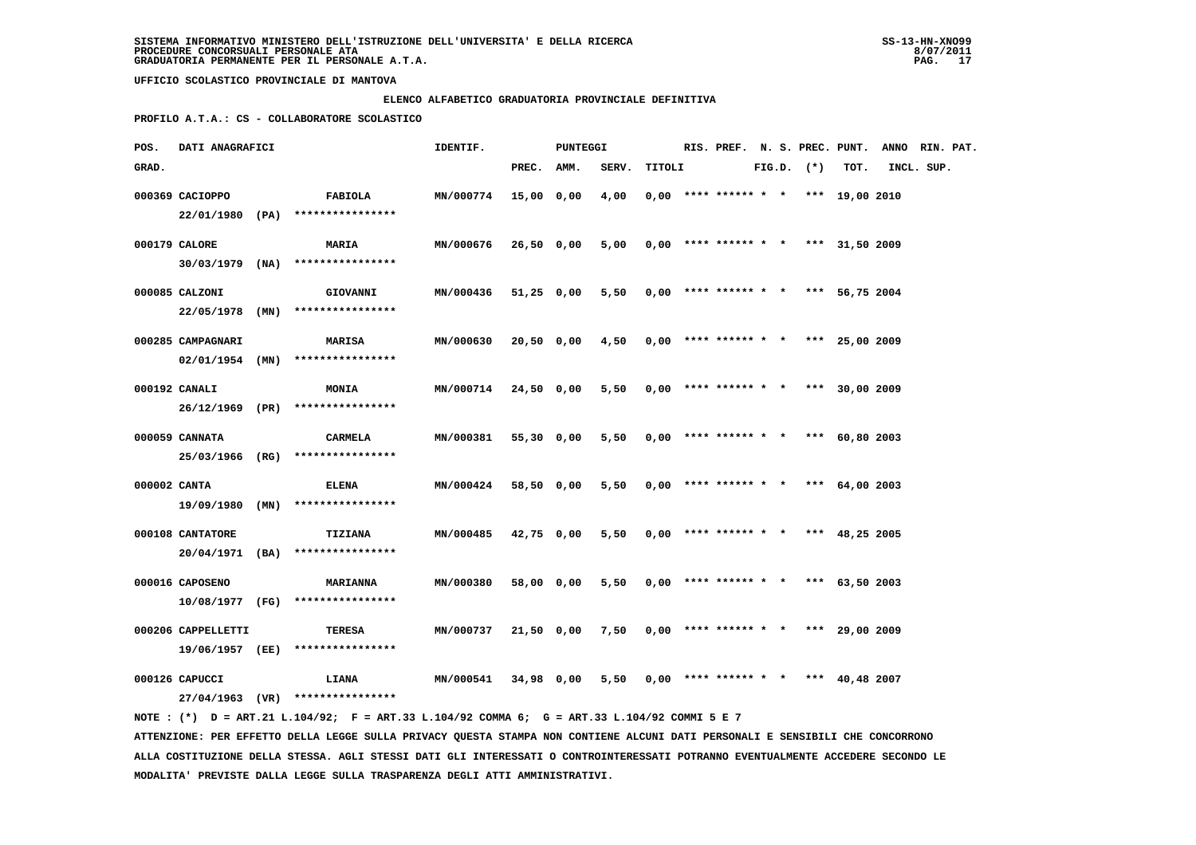### **ELENCO ALFABETICO GRADUATORIA PROVINCIALE DEFINITIVA**

 **PROFILO A.T.A.: CS - COLLABORATORE SCOLASTICO**

| POS.         | DATI ANAGRAFICI    | IDENTIF.<br><b>PUNTEGGI</b> |                                     |                  |            |            | RIS. PREF. N. S. PREC. PUNT. |        |                                       |  | ANNO RIN. PAT. |                  |            |  |
|--------------|--------------------|-----------------------------|-------------------------------------|------------------|------------|------------|------------------------------|--------|---------------------------------------|--|----------------|------------------|------------|--|
| GRAD.        |                    |                             |                                     |                  | PREC. AMM. |            | SERV.                        | TITOLI |                                       |  | $FIG.D.$ $(*)$ | TOT.             | INCL. SUP. |  |
|              | 000369 CACIOPPO    |                             | FABIOLA                             | <b>MN/000774</b> | 15,00 0,00 |            | 4,00                         |        | $0,00$ **** ****** * * *** 19,00 2010 |  |                |                  |            |  |
|              |                    |                             | 22/01/1980 (PA) ****************    |                  |            |            |                              |        |                                       |  |                |                  |            |  |
|              | 000179 CALORE      |                             | MARIA                               | MN/000676        | 26,50 0,00 |            | 5,00                         |        | $0,00$ **** ****** * * *** 31,50 2009 |  |                |                  |            |  |
|              | $30/03/1979$ (NA)  |                             | ****************                    |                  |            |            |                              |        |                                       |  |                |                  |            |  |
|              | 000085 CALZONI     |                             | <b>GIOVANNI</b>                     | MN/000436        | 51,25 0,00 |            | 5,50                         |        | $0.00$ **** ****** * *                |  |                | *** 56,75 2004   |            |  |
|              | 22/05/1978 (MN)    |                             | ****************                    |                  |            |            |                              |        |                                       |  |                |                  |            |  |
|              | 000285 CAMPAGNARI  |                             | <b>MARISA</b>                       | MN/000630        |            | 20,50 0,00 | 4,50                         |        | $0,00$ **** ****** * * *** 25,00 2009 |  |                |                  |            |  |
|              | 02/01/1954 (MN)    |                             | ****************                    |                  |            |            |                              |        |                                       |  |                |                  |            |  |
|              | 000192 CANALI      |                             | <b>MONIA</b>                        | <b>MN/000714</b> | 24,50 0,00 |            | 5,50                         |        | $0,00$ **** ****** * * *** 30,00 2009 |  |                |                  |            |  |
|              | 26/12/1969 (PR)    |                             | ****************                    |                  |            |            |                              |        |                                       |  |                |                  |            |  |
|              | 000059 CANNATA     |                             | CARMELA                             | MN/000381        | 55,30 0,00 |            | 5,50                         |        | $0,00$ **** ****** * * *** 60,80 2003 |  |                |                  |            |  |
|              | 25/03/1966 (RG)    |                             | ****************                    |                  |            |            |                              |        |                                       |  |                |                  |            |  |
| 000002 CANTA |                    |                             | <b>ELENA</b>                        | MN/000424        | 58,50 0,00 |            | 5,50                         |        | $0,00$ **** ****** * *                |  |                | *** $64,00$ 2003 |            |  |
|              | 19/09/1980 (MN)    |                             | ****************                    |                  |            |            |                              |        |                                       |  |                |                  |            |  |
|              | 000108 CANTATORE   |                             | <b>TIZIANA</b>                      | MN/000485        | 42,75 0,00 |            | 5,50                         |        | $0,00$ **** ****** * * *** 48,25 2005 |  |                |                  |            |  |
|              | 20/04/1971 (BA)    |                             | ****************                    |                  |            |            |                              |        |                                       |  |                |                  |            |  |
|              | 000016 CAPOSENO    |                             | <b>MARIANNA</b>                     | MN/000380        | 58,00 0,00 |            | 5,50                         |        | $0.00$ **** ****** * * *** 63.50 2003 |  |                |                  |            |  |
|              |                    |                             | $10/08/1977$ (FG) ***************** |                  |            |            |                              |        |                                       |  |                |                  |            |  |
|              | 000206 CAPPELLETTI |                             | TERESA                              | MN/000737        |            | 21,50 0,00 | 7,50                         |        | $0.00$ **** ****** * * *** 29.00 2009 |  |                |                  |            |  |
|              | 19/06/1957 (EE)    |                             | ****************                    |                  |            |            |                              |        |                                       |  |                |                  |            |  |
|              | 000126 CAPUCCI     |                             | <b>LIANA</b>                        | MN/000541        | 34,98 0,00 |            | 5,50                         |        | $0,00$ **** ****** * *                |  |                | *** 40,48 2007   |            |  |
|              |                    |                             | 27/04/1963 (VR) ****************    |                  |            |            |                              |        |                                       |  |                |                  |            |  |
|              |                    |                             |                                     |                  |            |            |                              |        |                                       |  |                |                  |            |  |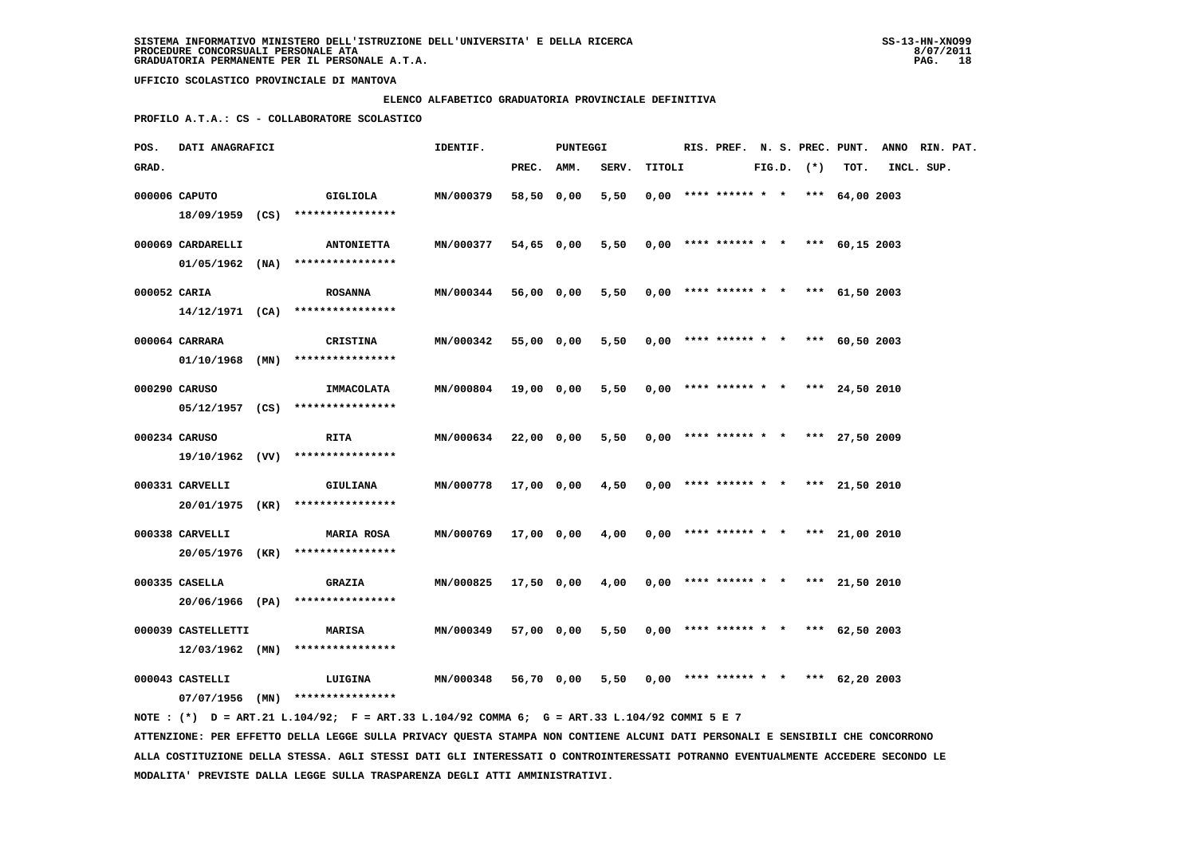### **ELENCO ALFABETICO GRADUATORIA PROVINCIALE DEFINITIVA**

 **PROFILO A.T.A.: CS - COLLABORATORE SCOLASTICO**

| POS.         | DATI ANAGRAFICI                         |                                                                                             | IDENTIF.         |            | PUNTEGGI   |       |        | RIS. PREF. N. S. PREC. PUNT.          |  |                |      | ANNO RIN. PAT. |  |
|--------------|-----------------------------------------|---------------------------------------------------------------------------------------------|------------------|------------|------------|-------|--------|---------------------------------------|--|----------------|------|----------------|--|
| GRAD.        |                                         |                                                                                             |                  | PREC.      | AMM.       | SERV. | TITOLI |                                       |  | $FIG.D.$ $(*)$ | TOT. | INCL. SUP.     |  |
|              | 000006 CAPUTO                           | GIGLIOLA                                                                                    | MN/000379        | 58,50 0,00 |            | 5,50  |        | $0,00$ **** ****** * * *** 64,00 2003 |  |                |      |                |  |
|              |                                         | 18/09/1959 (CS) ****************                                                            |                  |            |            |       |        |                                       |  |                |      |                |  |
|              | 000069 CARDARELLI                       | <b>ANTONIETTA</b>                                                                           | MN/000377        | 54,65 0,00 |            | 5,50  |        | $0,00$ **** ****** * * *** 60,15 2003 |  |                |      |                |  |
|              |                                         | $01/05/1962$ (NA) ****************                                                          |                  |            |            |       |        |                                       |  |                |      |                |  |
|              |                                         |                                                                                             |                  |            |            |       |        |                                       |  |                |      |                |  |
| 000052 CARIA |                                         | <b>ROSANNA</b>                                                                              | <b>MN/000344</b> |            | 56,00 0,00 | 5,50  |        | $0,00$ **** ****** * * *** 61,50 2003 |  |                |      |                |  |
|              |                                         | $14/12/1971$ (CA) *****************                                                         |                  |            |            |       |        |                                       |  |                |      |                |  |
|              | 000064 CARRARA                          | <b>CRISTINA</b>                                                                             | MN/000342        | 55,00 0,00 |            | 5,50  |        | $0,00$ **** ****** * * *** 60,50 2003 |  |                |      |                |  |
|              | 01/10/1968 (MN)                         | ****************                                                                            |                  |            |            |       |        |                                       |  |                |      |                |  |
|              |                                         |                                                                                             |                  |            |            |       |        |                                       |  |                |      |                |  |
|              | 000290 CARUSO                           | IMMACOLATA<br>$05/12/1957$ (CS) ****************                                            | MN/000804        |            | 19,00 0,00 | 5,50  |        | $0,00$ **** ****** * * *** 24,50 2010 |  |                |      |                |  |
|              |                                         |                                                                                             |                  |            |            |       |        |                                       |  |                |      |                |  |
|              | 000234 CARUSO                           | <b>RITA</b>                                                                                 | <b>MN/000634</b> |            | 22,00 0,00 | 5,50  |        | $0,00$ **** ****** * * *** 27,50 2009 |  |                |      |                |  |
|              |                                         | 19/10/1962 (W) ****************                                                             |                  |            |            |       |        |                                       |  |                |      |                |  |
|              | 000331 CARVELLI                         | <b>GIULIANA</b>                                                                             | MN/000778        | 17,00 0,00 |            | 4,50  |        | $0,00$ **** ****** * * *** 21,50 2010 |  |                |      |                |  |
|              |                                         | 20/01/1975 (KR) ****************                                                            |                  |            |            |       |        |                                       |  |                |      |                |  |
|              |                                         |                                                                                             |                  |            |            |       |        |                                       |  |                |      |                |  |
|              | 000338 CARVELLI                         | <b>MARIA ROSA</b>                                                                           | <b>MN/000769</b> |            | 17,00 0,00 | 4,00  |        | $0,00$ **** ****** * * *** 21,00 2010 |  |                |      |                |  |
|              |                                         | 20/05/1976 (KR) ****************                                                            |                  |            |            |       |        |                                       |  |                |      |                |  |
|              | 000335 CASELLA                          | <b>GRAZIA</b>                                                                               | MN/000825        |            | 17,50 0,00 | 4,00  |        | $0,00$ **** ****** * * *** 21,50 2010 |  |                |      |                |  |
|              |                                         | 20/06/1966 (PA) ****************                                                            |                  |            |            |       |        |                                       |  |                |      |                |  |
|              |                                         |                                                                                             |                  |            |            |       |        | $0.00$ **** ****** * * *** 62.50 2003 |  |                |      |                |  |
|              | 000039 CASTELLETTI<br>$12/03/1962$ (MN) | MARISA<br>****************                                                                  | MN/000349        | 57,00 0,00 |            | 5,50  |        |                                       |  |                |      |                |  |
|              |                                         |                                                                                             |                  |            |            |       |        |                                       |  |                |      |                |  |
|              | 000043 CASTELLI                         | LUIGINA                                                                                     | MN/000348        |            | 56,70 0,00 | 5,50  |        | $0,00$ **** ****** * * *** 62,20 2003 |  |                |      |                |  |
|              |                                         | $07/07/1956$ (MN) ****************                                                          |                  |            |            |       |        |                                       |  |                |      |                |  |
|              |                                         | NOTE: (*) D = ART.21 L.104/92; F = ART.33 L.104/92 COMMA 6; G = ART.33 L.104/92 COMMI 5 E 7 |                  |            |            |       |        |                                       |  |                |      |                |  |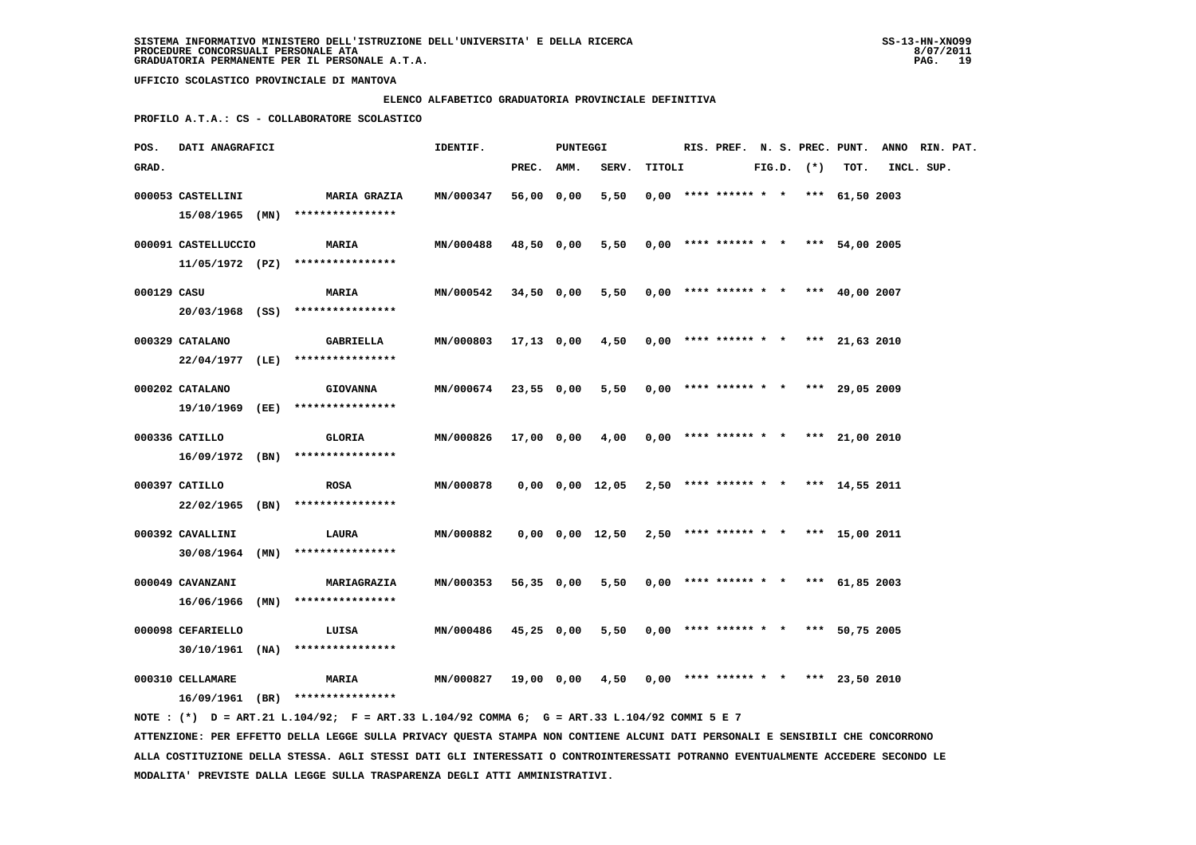### **ELENCO ALFABETICO GRADUATORIA PROVINCIALE DEFINITIVA**

 **PROFILO A.T.A.: CS - COLLABORATORE SCOLASTICO**

| POS.        | DATI ANAGRAFICI     |                                                                                             | IDENTIF.         |            | PUNTEGGI |                 |        |                                            |  |                |                | RIS. PREF. N. S. PREC. PUNT. ANNO RIN. PAT. |  |
|-------------|---------------------|---------------------------------------------------------------------------------------------|------------------|------------|----------|-----------------|--------|--------------------------------------------|--|----------------|----------------|---------------------------------------------|--|
| GRAD.       |                     |                                                                                             |                  | PREC. AMM. |          | SERV.           | TITOLI |                                            |  | $FIG.D.$ $(*)$ | TOT.           | INCL. SUP.                                  |  |
|             | 000053 CASTELLINI   | <b>MARIA GRAZIA</b>                                                                         | MN/000347        | 56,00 0,00 |          | 5,50            |        | $0.00$ **** ****** * * *** 61,50 2003      |  |                |                |                                             |  |
|             |                     | 15/08/1965 (MN) ****************                                                            |                  |            |          |                 |        |                                            |  |                |                |                                             |  |
|             | 000091 CASTELLUCCIO | <b>MARIA</b>                                                                                | MN/000488        | 48,50 0,00 |          | 5,50            |        | $0,00$ **** ****** * * *** 54,00 2005      |  |                |                |                                             |  |
|             |                     | $11/05/1972$ (PZ) ****************                                                          |                  |            |          |                 |        |                                            |  |                |                |                                             |  |
|             |                     |                                                                                             |                  |            |          |                 |        |                                            |  |                |                |                                             |  |
| 000129 CASU |                     | <b>MARIA</b>                                                                                | MN/000542        | 34,50 0,00 |          |                 |        | $5,50$ 0,00 **** ****** * * *** 40,00 2007 |  |                |                |                                             |  |
|             |                     | 20/03/1968 (SS) ****************                                                            |                  |            |          |                 |        |                                            |  |                |                |                                             |  |
|             | 000329 CATALANO     | GABRIELLA                                                                                   | MN/000803        | 17,13 0,00 |          | 4,50            |        | $0,00$ **** ****** * * *** 21,63 2010      |  |                |                |                                             |  |
|             |                     | 22/04/1977 (LE) ****************                                                            |                  |            |          |                 |        |                                            |  |                |                |                                             |  |
|             |                     |                                                                                             |                  |            |          |                 |        |                                            |  |                |                |                                             |  |
|             | 000202 CATALANO     | <b>GIOVANNA</b>                                                                             | <b>MN/000674</b> | 23,55 0,00 |          | 5,50            |        | $0,00$ **** ****** * *                     |  |                | *** 29,05 2009 |                                             |  |
|             |                     | 19/10/1969 (EE) ****************                                                            |                  |            |          |                 |        |                                            |  |                |                |                                             |  |
|             | 000336 CATILLO      | GLORIA                                                                                      | MN/000826        | 17,00 0,00 |          | 4,00            |        | $0,00$ **** ****** * * *** 21,00 2010      |  |                |                |                                             |  |
|             |                     | $16/09/1972$ (BN) ****************                                                          |                  |            |          |                 |        |                                            |  |                |                |                                             |  |
|             | 000397 CATILLO      | <b>ROSA</b>                                                                                 | MN/000878        |            |          | 0,00 0,00 12,05 |        | $2,50$ **** ****** * * *** 14,55 2011      |  |                |                |                                             |  |
|             |                     | 22/02/1965 (BN) ****************                                                            |                  |            |          |                 |        |                                            |  |                |                |                                             |  |
|             |                     |                                                                                             |                  |            |          |                 |        |                                            |  |                |                |                                             |  |
|             | 000392 CAVALLINI    | LAURA                                                                                       | MN/000882        |            |          | 0,00 0,00 12,50 |        | $2,50$ **** ****** * * *** 15,00 2011      |  |                |                |                                             |  |
|             |                     | $30/08/1964$ (MN) ****************                                                          |                  |            |          |                 |        |                                            |  |                |                |                                             |  |
|             | 000049 CAVANZANI    | MARIAGRAZIA                                                                                 | MN/000353        | 56,35 0,00 |          | 5,50            |        | $0,00$ **** ****** * * *** 61,85 2003      |  |                |                |                                             |  |
|             | 16/06/1966 (MN)     | ****************                                                                            |                  |            |          |                 |        |                                            |  |                |                |                                             |  |
|             |                     |                                                                                             |                  |            |          |                 |        |                                            |  |                |                |                                             |  |
|             | 000098 CEFARIELLO   | LUISA                                                                                       | MN/000486        | 45,25 0,00 |          | 5,50            |        | $0.00$ **** ****** * * *** 50.75 2005      |  |                |                |                                             |  |
|             | $30/10/1961$ (NA)   | ****************                                                                            |                  |            |          |                 |        |                                            |  |                |                |                                             |  |
|             | 000310 CELLAMARE    | <b>MARIA</b>                                                                                | MN/000827        | 19,00 0,00 |          | 4,50            |        | $0,00$ **** ****** * * *** 23,50 2010      |  |                |                |                                             |  |
|             |                     | $16/09/1961$ (BR) ****************                                                          |                  |            |          |                 |        |                                            |  |                |                |                                             |  |
|             |                     | NOTE: (*) D = ART.21 L.104/92; F = ART.33 L.104/92 COMMA 6; G = ART.33 L.104/92 COMMI 5 E 7 |                  |            |          |                 |        |                                            |  |                |                |                                             |  |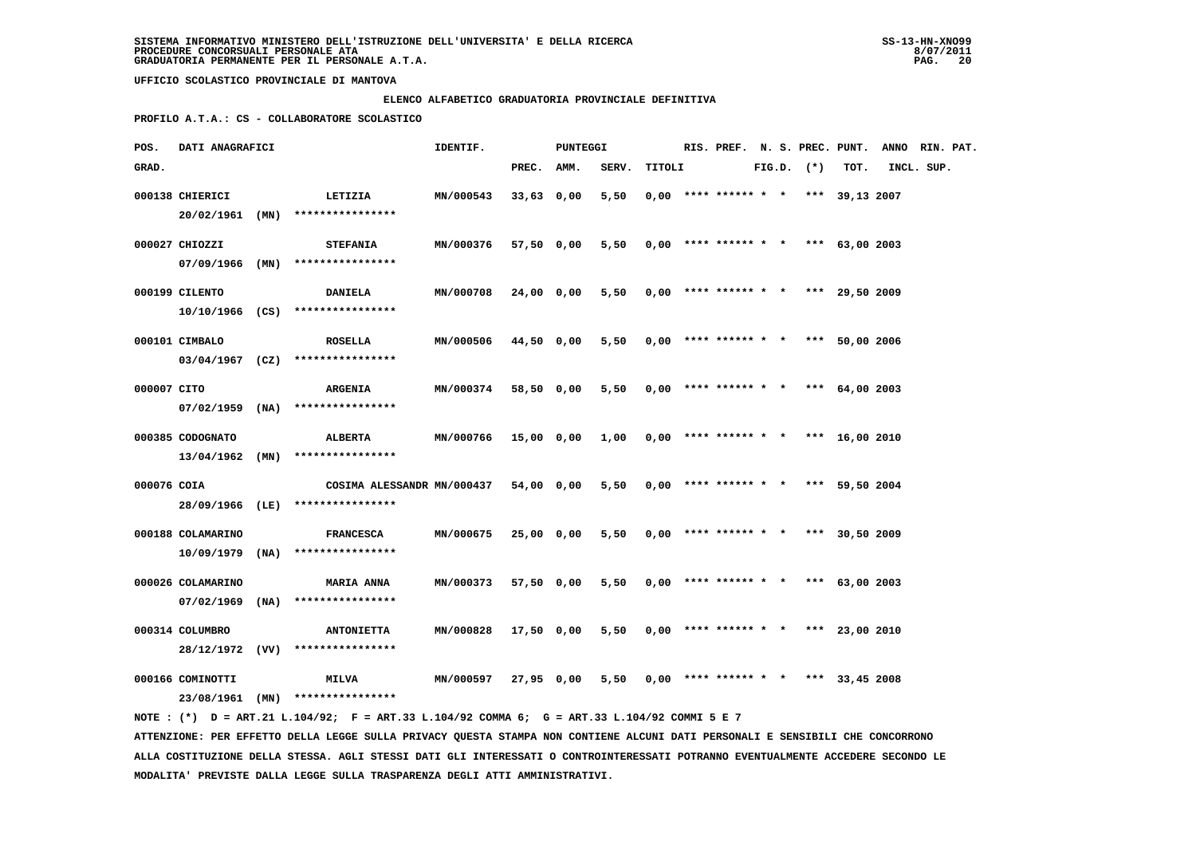# **ELENCO ALFABETICO GRADUATORIA PROVINCIALE DEFINITIVA**

 **PROFILO A.T.A.: CS - COLLABORATORE SCOLASTICO**

| POS.        | DATI ANAGRAFICI   |      |                                                                                                                               | IDENTIF.  |              | PUNTEGGI |       |        | RIS. PREF. N. S. PREC. PUNT.          |  |                |            | ANNO RIN. PAT. |  |
|-------------|-------------------|------|-------------------------------------------------------------------------------------------------------------------------------|-----------|--------------|----------|-------|--------|---------------------------------------|--|----------------|------------|----------------|--|
| GRAD.       |                   |      |                                                                                                                               |           | PREC. AMM.   |          | SERV. | TITOLI |                                       |  | $FIG.D.$ $(*)$ | TOT.       | INCL. SUP.     |  |
|             | 000138 CHIERICI   |      | LETIZIA                                                                                                                       | MN/000543 | 33,63 0,00   |          | 5,50  |        | $0,00$ **** ****** * * *** 39,13 2007 |  |                |            |                |  |
|             | $20/02/1961$ (MN) |      | ****************                                                                                                              |           |              |          |       |        |                                       |  |                |            |                |  |
|             |                   |      |                                                                                                                               |           |              |          |       |        |                                       |  |                |            |                |  |
|             | 000027 CHIOZZI    |      | <b>STEFANIA</b>                                                                                                               | MN/000376 | 57,50 0,00   |          | 5,50  |        | $0,00$ **** ****** * * *** 63,00 2003 |  |                |            |                |  |
|             | 07/09/1966 (MN)   |      | ****************                                                                                                              |           |              |          |       |        |                                       |  |                |            |                |  |
|             | 000199 CILENTO    |      | <b>DANIELA</b>                                                                                                                | MN/000708 | 24,00 0,00   |          | 5,50  |        | $0,00$ **** ****** * * *** 29,50 2009 |  |                |            |                |  |
|             | 10/10/1966 (CS)   |      | ****************                                                                                                              |           |              |          |       |        |                                       |  |                |            |                |  |
|             | 000101 CIMBALO    |      | <b>ROSELLA</b>                                                                                                                | MN/000506 | 44,50 0,00   |          | 5,50  |        | $0,00$ **** ****** * * ***            |  |                | 50,00 2006 |                |  |
|             | $03/04/1967$ (CZ) |      | ****************                                                                                                              |           |              |          |       |        |                                       |  |                |            |                |  |
|             |                   |      |                                                                                                                               |           |              |          |       |        |                                       |  |                |            |                |  |
| 000007 CITO |                   |      | <b>ARGENIA</b>                                                                                                                | MN/000374 | 58,50 0,00   |          | 5,50  |        | $0,00$ **** ****** * * *** 64,00 2003 |  |                |            |                |  |
|             | $07/02/1959$ (NA) |      | ****************                                                                                                              |           |              |          |       |        |                                       |  |                |            |                |  |
|             | 000385 CODOGNATO  |      | ALBERTA                                                                                                                       | MN/000766 | 15,00 0,00   |          | 1,00  |        | $0,00$ **** ****** * * *** 16,00 2010 |  |                |            |                |  |
|             | $13/04/1962$ (MN) |      | ****************                                                                                                              |           |              |          |       |        |                                       |  |                |            |                |  |
| 000076 COIA |                   |      |                                                                                                                               |           |              |          |       |        |                                       |  |                |            |                |  |
|             | 28/09/1966 (LE)   |      | COSIMA ALESSANDR MN/000437<br>****************                                                                                |           | 54,00 0,00   |          | 5,50  |        | $0,00$ **** ****** * * *** 59,50 2004 |  |                |            |                |  |
|             |                   |      |                                                                                                                               |           |              |          |       |        |                                       |  |                |            |                |  |
|             | 000188 COLAMARINO |      | <b>FRANCESCA</b>                                                                                                              | MN/000675 | 25,00 0,00   |          | 5,50  |        | $0,00$ **** ****** * * *** 30,50 2009 |  |                |            |                |  |
|             | 10/09/1979        | (NA) | ****************                                                                                                              |           |              |          |       |        |                                       |  |                |            |                |  |
|             | 000026 COLAMARINO |      | <b>MARIA ANNA</b>                                                                                                             | MN/000373 | 57,50 0,00   |          | 5,50  |        | $0,00$ **** ****** * * *** 63,00 2003 |  |                |            |                |  |
|             | 07/02/1969        | (NA) | ****************                                                                                                              |           |              |          |       |        |                                       |  |                |            |                |  |
|             |                   |      |                                                                                                                               |           |              |          |       |        |                                       |  |                |            |                |  |
|             | 000314 COLUMBRO   |      | <b>ANTONIETTA</b>                                                                                                             | MN/000828 | $17,50$ 0,00 |          | 5,50  |        | $0,00$ **** ****** * * *** 23,00 2010 |  |                |            |                |  |
|             | 28/12/1972 (VV)   |      | ****************                                                                                                              |           |              |          |       |        |                                       |  |                |            |                |  |
|             | 000166 COMINOTTI  |      | <b>MILVA</b>                                                                                                                  | MN/000597 | 27,95 0,00   |          | 5,50  |        | $0.00$ **** ****** * * *** 33,45 2008 |  |                |            |                |  |
|             |                   |      | 23/08/1961 (MN) ****************                                                                                              |           |              |          |       |        |                                       |  |                |            |                |  |
|             |                   |      | NOTE : (*) D = ART.21 L.104/92; F = ART.33 L.104/92 COMMA 6; G = ART.33 L.104/92 COMMI 5 E 7                                  |           |              |          |       |        |                                       |  |                |            |                |  |
|             |                   |      | ATTENZIONE: PER EFFETTO DELLA LEGGE SULLA PRIVACY QUESTA STAMPA NON CONTIENE ALCUNI DATI PERSONALI E SENSIBILI CHE CONCORRONO |           |              |          |       |        |                                       |  |                |            |                |  |

 **ALLA COSTITUZIONE DELLA STESSA. AGLI STESSI DATI GLI INTERESSATI O CONTROINTERESSATI POTRANNO EVENTUALMENTE ACCEDERE SECONDO LE MODALITA' PREVISTE DALLA LEGGE SULLA TRASPARENZA DEGLI ATTI AMMINISTRATIVI.**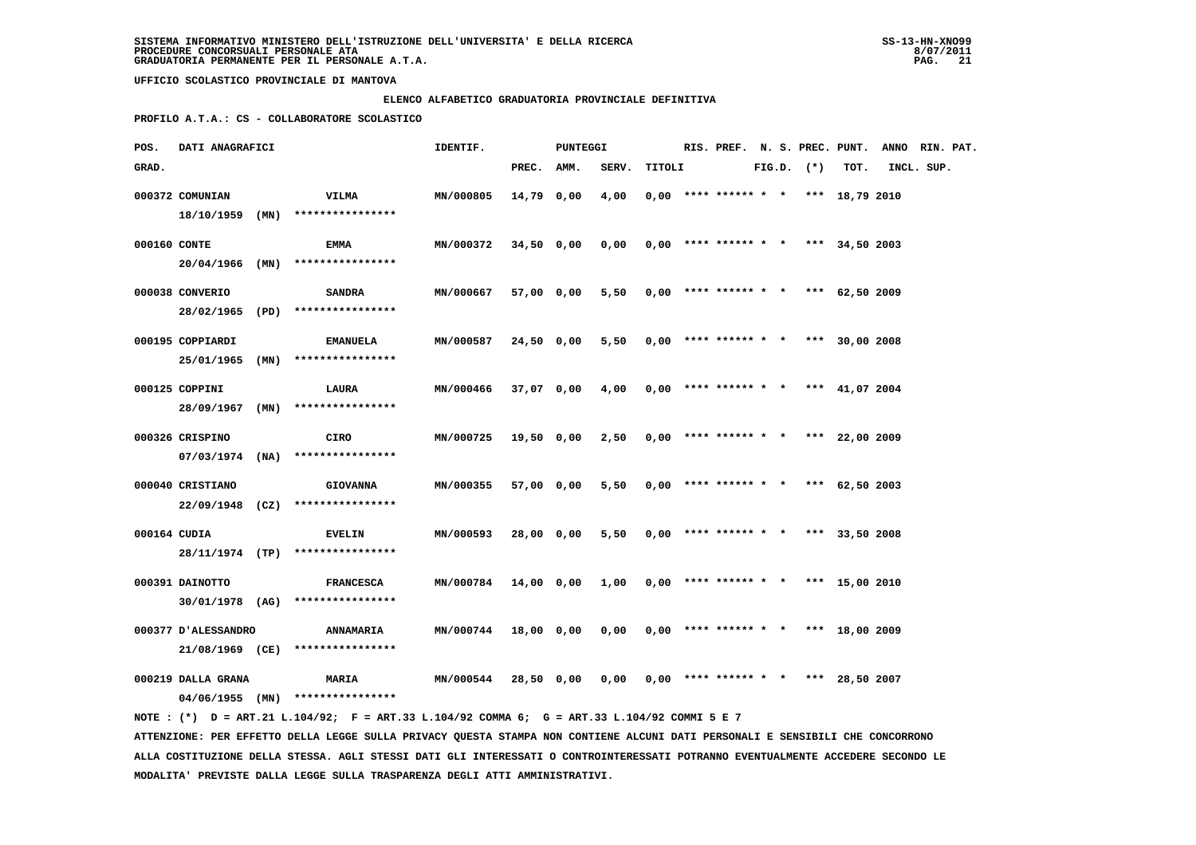### **ELENCO ALFABETICO GRADUATORIA PROVINCIALE DEFINITIVA**

 **PROFILO A.T.A.: CS - COLLABORATORE SCOLASTICO**

| POS.         | DATI ANAGRAFICI     |      |                                                                                             | IDENTIF.         |            | PUNTEGGI   |       |        |  |                                       |  |                |                  | RIS. PREF. N. S. PREC. PUNT. ANNO RIN. PAT. |  |
|--------------|---------------------|------|---------------------------------------------------------------------------------------------|------------------|------------|------------|-------|--------|--|---------------------------------------|--|----------------|------------------|---------------------------------------------|--|
| GRAD.        |                     |      |                                                                                             |                  | PREC. AMM. |            | SERV. | TITOLI |  |                                       |  | $FIG.D.$ $(*)$ | TOT.             | INCL. SUP.                                  |  |
|              | 000372 COMUNIAN     |      | VILMA                                                                                       | MN/000805        | 14,79 0,00 |            | 4,00  |        |  | $0,00$ **** ****** * * *** 18,79 2010 |  |                |                  |                                             |  |
|              | $18/10/1959$ (MN)   |      | ****************                                                                            |                  |            |            |       |        |  |                                       |  |                |                  |                                             |  |
| 000160 CONTE |                     |      | EMMA                                                                                        | MN/000372        | 34,50 0,00 |            | 0,00  |        |  | $0,00$ **** ****** * * *** 34,50 2003 |  |                |                  |                                             |  |
|              | $20/04/1966$ (MN)   |      | ****************                                                                            |                  |            |            |       |        |  |                                       |  |                |                  |                                             |  |
|              |                     |      |                                                                                             |                  |            |            |       |        |  |                                       |  |                |                  |                                             |  |
|              | 000038 CONVERIO     |      | SANDRA                                                                                      | MN/000667        |            | 57,00 0,00 | 5,50  |        |  | $0,00$ **** ****** * * *** 62,50 2009 |  |                |                  |                                             |  |
|              | 28/02/1965          | (PD) | ****************                                                                            |                  |            |            |       |        |  |                                       |  |                |                  |                                             |  |
|              | 000195 COPPIARDI    |      | <b>EMANUELA</b>                                                                             | MN/000587        | 24,50 0,00 |            | 5,50  |        |  | $0,00$ **** ****** * * *** 30,00 2008 |  |                |                  |                                             |  |
|              | 25/01/1965          | (MN) | ****************                                                                            |                  |            |            |       |        |  |                                       |  |                |                  |                                             |  |
|              |                     |      |                                                                                             |                  |            |            |       |        |  |                                       |  |                |                  |                                             |  |
|              | 000125 COPPINI      |      | LAURA                                                                                       | MN/000466        | 37,07 0,00 |            | 4,00  |        |  | $0,00$ **** ****** * *                |  |                | *** $41,07$ 2004 |                                             |  |
|              |                     |      | $28/09/1967$ (MN) *****************                                                         |                  |            |            |       |        |  |                                       |  |                |                  |                                             |  |
|              | 000326 CRISPINO     |      | CIRO                                                                                        | MN/000725        | 19,50 0,00 |            | 2,50  |        |  | $0,00$ **** ****** * *                |  |                | *** 22,00 2009   |                                             |  |
|              |                     |      | $07/03/1974$ (NA) ****************                                                          |                  |            |            |       |        |  |                                       |  |                |                  |                                             |  |
|              | 000040 CRISTIANO    |      | <b>GIOVANNA</b>                                                                             | MN/000355        | 57,00 0,00 |            | 5,50  |        |  | $0.00$ **** ****** * * *** 62.50 2003 |  |                |                  |                                             |  |
|              |                     |      | 22/09/1948 (CZ) ****************                                                            |                  |            |            |       |        |  |                                       |  |                |                  |                                             |  |
|              |                     |      |                                                                                             |                  |            |            |       |        |  |                                       |  |                |                  |                                             |  |
| 000164 CUDIA |                     |      | <b>EVELIN</b>                                                                               | MN/000593        | 28,00 0,00 |            | 5,50  |        |  | $0,00$ **** ****** * * *** 33,50 2008 |  |                |                  |                                             |  |
|              |                     |      | 28/11/1974 (TP) ****************                                                            |                  |            |            |       |        |  |                                       |  |                |                  |                                             |  |
|              | 000391 DAINOTTO     |      | <b>FRANCESCA</b>                                                                            | <b>MN/000784</b> | 14,00 0,00 |            | 1,00  |        |  | $0,00$ **** ****** * * *** 15,00 2010 |  |                |                  |                                             |  |
|              | 30/01/1978 (AG)     |      | ****************                                                                            |                  |            |            |       |        |  |                                       |  |                |                  |                                             |  |
|              |                     |      |                                                                                             |                  |            |            |       |        |  |                                       |  |                |                  |                                             |  |
|              | 000377 D'ALESSANDRO |      | <b>ANNAMARIA</b>                                                                            | <b>MN/000744</b> | 18,00 0,00 |            | 0,00  |        |  | $0.00$ **** ****** * * *** 18.00 2009 |  |                |                  |                                             |  |
|              | 21/08/1969 (CE)     |      | ****************                                                                            |                  |            |            |       |        |  |                                       |  |                |                  |                                             |  |
|              | 000219 DALLA GRANA  |      | <b>MARIA</b>                                                                                | <b>MN/000544</b> |            | 28,50 0,00 | 0,00  |        |  | $0,00$ **** ****** * * *** 28,50 2007 |  |                |                  |                                             |  |
|              |                     |      | $04/06/1955$ (MN) ****************                                                          |                  |            |            |       |        |  |                                       |  |                |                  |                                             |  |
|              |                     |      | NOTE: (*) D = ART.21 L.104/92; F = ART.33 L.104/92 COMMA 6; G = ART.33 L.104/92 COMMI 5 E 7 |                  |            |            |       |        |  |                                       |  |                |                  |                                             |  |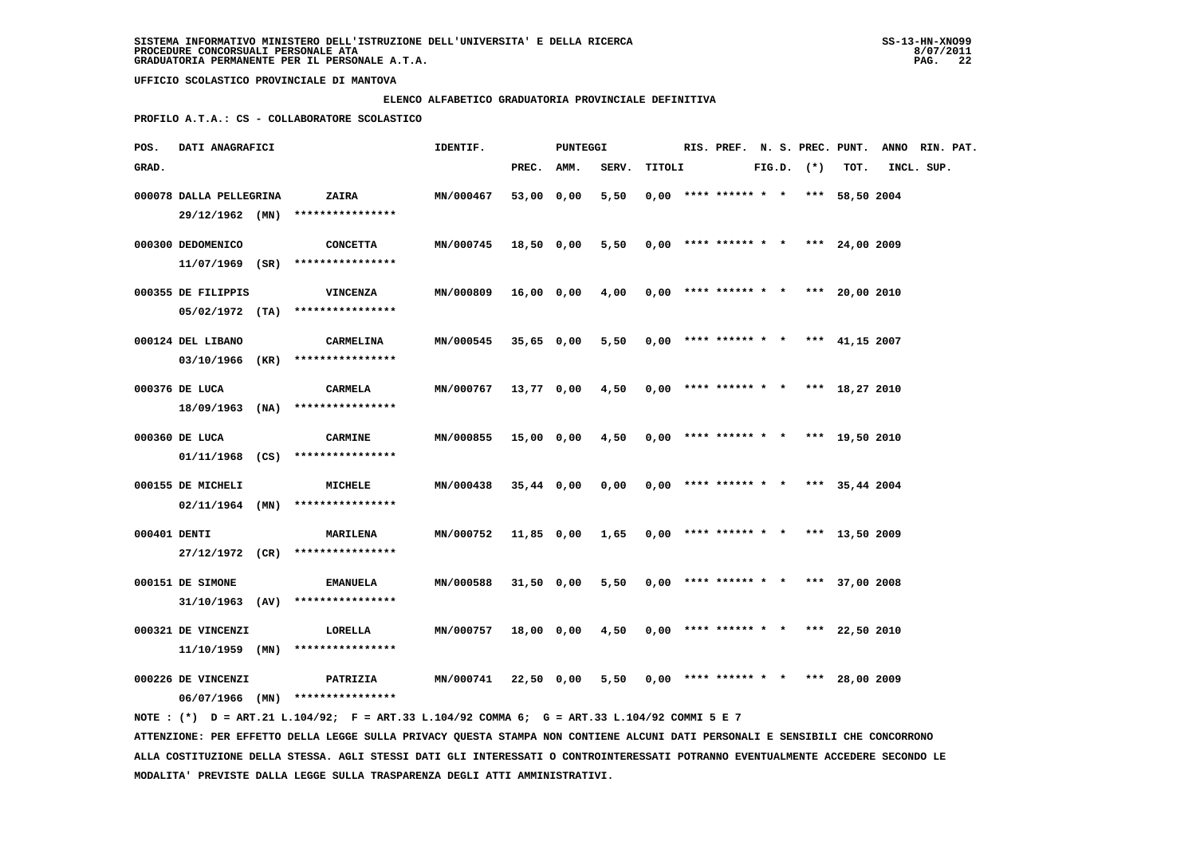### **ELENCO ALFABETICO GRADUATORIA PROVINCIALE DEFINITIVA**

 **PROFILO A.T.A.: CS - COLLABORATORE SCOLASTICO**

| POS.         | DATI ANAGRAFICI         |                                                                                             | IDENTIF.  |              | PUNTEGGI   |       |        |                        |  |              | RIS. PREF. N. S. PREC. PUNT.          | ANNO RIN. PAT. |  |
|--------------|-------------------------|---------------------------------------------------------------------------------------------|-----------|--------------|------------|-------|--------|------------------------|--|--------------|---------------------------------------|----------------|--|
| GRAD.        |                         |                                                                                             |           | PREC.        | AMM.       | SERV. | TITOLI |                        |  | FIG.D. $(*)$ | TOT.                                  | INCL. SUP.     |  |
|              | 000078 DALLA PELLEGRINA | ZAIRA                                                                                       | MN/000467 | 53,00 0,00   |            | 5,50  |        |                        |  |              | $0,00$ **** ****** * * *** 58,50 2004 |                |  |
|              | $29/12/1962$ (MN)       | ****************                                                                            |           |              |            |       |        |                        |  |              |                                       |                |  |
|              | 000300 DEDOMENICO       | <b>CONCETTA</b>                                                                             | MN/000745 | 18,50 0,00   |            | 5,50  |        |                        |  |              | $0,00$ **** ****** * * *** 24,00 2009 |                |  |
|              | 11/07/1969 (SR)         | ****************                                                                            |           |              |            |       |        |                        |  |              |                                       |                |  |
|              | 000355 DE FILIPPIS      | <b>VINCENZA</b>                                                                             | MN/000809 | 16,00 0,00   |            | 4,00  |        |                        |  |              | $0,00$ **** ****** * * *** 20,00 2010 |                |  |
|              |                         | $05/02/1972$ (TA) ****************                                                          |           |              |            |       |        |                        |  |              |                                       |                |  |
|              | 000124 DEL LIBANO       | CARMELINA                                                                                   | MN/000545 | 35,65 0,00   |            | 5,50  |        |                        |  |              | $0,00$ **** ****** * * *** 41,15 2007 |                |  |
|              | 03/10/1966 (KR)         | ****************                                                                            |           |              |            |       |        |                        |  |              |                                       |                |  |
|              | 000376 DE LUCA          | CARMELA                                                                                     | MN/000767 | 13,77 0,00   |            | 4,50  |        | $0,00$ **** ****** * * |  |              | *** 18,27 2010                        |                |  |
|              |                         | $18/09/1963$ (NA) ****************                                                          |           |              |            |       |        |                        |  |              |                                       |                |  |
|              | 000360 DE LUCA          | <b>CARMINE</b>                                                                              | MN/000855 | 15,00 0,00   |            | 4,50  |        |                        |  |              | $0,00$ **** ****** * * *** 19,50 2010 |                |  |
|              |                         | $01/11/1968$ (CS) ****************                                                          |           |              |            |       |        |                        |  |              |                                       |                |  |
|              | 000155 DE MICHELI       | <b>MICHELE</b>                                                                              | MN/000438 | $35,44$ 0,00 |            | 0,00  |        |                        |  |              | $0,00$ **** ****** * * *** 35,44 2004 |                |  |
|              |                         | $02/11/1964$ (MN) ****************                                                          |           |              |            |       |        |                        |  |              |                                       |                |  |
| 000401 DENTI |                         | <b>MARILENA</b>                                                                             | MN/000752 | 11,85 0,00   |            | 1,65  |        |                        |  |              | $0,00$ **** ****** * * *** 13,50 2009 |                |  |
|              |                         | 27/12/1972 (CR) ****************                                                            |           |              |            |       |        |                        |  |              |                                       |                |  |
|              | 000151 DE SIMONE        | <b>EMANUELA</b>                                                                             | MN/000588 | 31,50 0,00   |            | 5,50  |        |                        |  |              | $0,00$ **** ****** * * *** 37,00 2008 |                |  |
|              | $31/10/1963$ (AV)       | ****************                                                                            |           |              |            |       |        |                        |  |              |                                       |                |  |
|              | 000321 DE VINCENZI      | LORELLA                                                                                     | MN/000757 | 18,00 0,00   |            | 4,50  |        | $0,00$ **** ****** * * |  |              | *** 22,50 2010                        |                |  |
|              | $11/10/1959$ (MN)       | ****************                                                                            |           |              |            |       |        |                        |  |              |                                       |                |  |
|              | 000226 DE VINCENZI      | PATRIZIA                                                                                    | MN/000741 |              | 22,50 0,00 | 5,50  |        | $0.00$ **** ****** * * |  | ***          | 28,00 2009                            |                |  |
|              |                         | 06/07/1966 (MN) ****************                                                            |           |              |            |       |        |                        |  |              |                                       |                |  |
|              |                         | NOTE: (*) D = ART.21 L.104/92; F = ART.33 L.104/92 COMMA 6; G = ART.33 L.104/92 COMMI 5 E 7 |           |              |            |       |        |                        |  |              |                                       |                |  |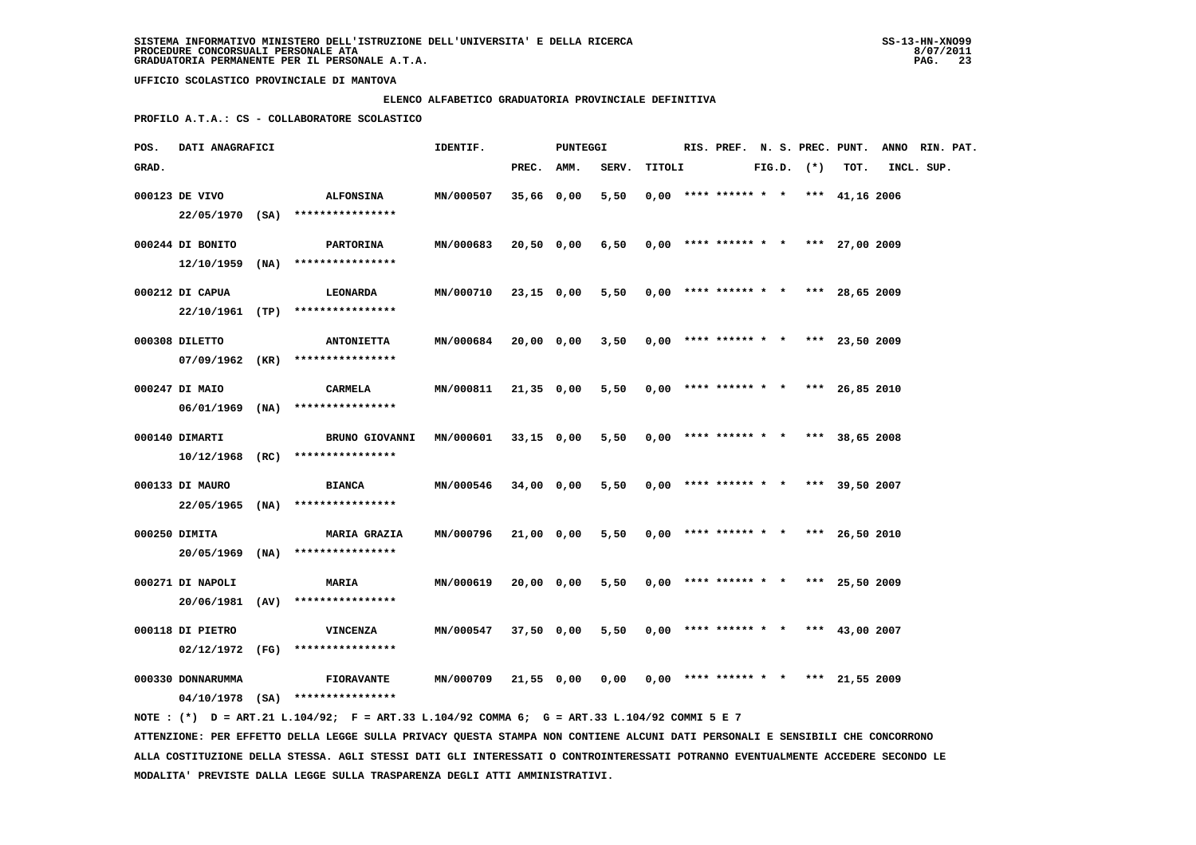# **ELENCO ALFABETICO GRADUATORIA PROVINCIALE DEFINITIVA**

 **PROFILO A.T.A.: CS - COLLABORATORE SCOLASTICO**

| POS.  | DATI ANAGRAFICI   |      |                                                                                                                               | IDENTIF.  |              | PUNTEGGI |       |        |                        |  |                | RIS. PREF. N. S. PREC. PUNT.          | ANNO RIN. PAT. |  |
|-------|-------------------|------|-------------------------------------------------------------------------------------------------------------------------------|-----------|--------------|----------|-------|--------|------------------------|--|----------------|---------------------------------------|----------------|--|
| GRAD. |                   |      |                                                                                                                               |           | PREC. AMM.   |          | SERV. | TITOLI |                        |  | $FIG.D.$ $(*)$ | TOT.                                  | INCL. SUP.     |  |
|       | 000123 DE VIVO    |      | <b>ALFONSINA</b>                                                                                                              | MN/000507 | 35,66 0,00   |          | 5,50  |        |                        |  |                | $0.00$ **** ****** * * *** 41.16 2006 |                |  |
|       | $22/05/1970$ (SA) |      | ****************                                                                                                              |           |              |          |       |        |                        |  |                |                                       |                |  |
|       | 000244 DI BONITO  |      | PARTORINA                                                                                                                     | MN/000683 | 20,50 0,00   |          | 6,50  |        |                        |  |                | $0,00$ **** ****** * * *** 27,00 2009 |                |  |
|       | 12/10/1959        | (NA) | ****************                                                                                                              |           |              |          |       |        |                        |  |                |                                       |                |  |
|       |                   |      |                                                                                                                               |           |              |          |       |        |                        |  |                |                                       |                |  |
|       | 000212 DI CAPUA   |      | <b>LEONARDA</b>                                                                                                               | MN/000710 | 23,15 0,00   |          | 5,50  |        |                        |  |                | $0,00$ **** ****** * * *** 28,65 2009 |                |  |
|       | 22/10/1961 (TP)   |      | ****************                                                                                                              |           |              |          |       |        |                        |  |                |                                       |                |  |
|       | 000308 DILETTO    |      | <b>ANTONIETTA</b>                                                                                                             | MN/000684 | 20,00 0,00   |          | 3,50  |        |                        |  |                | $0,00$ **** ****** * * *** 23,50 2009 |                |  |
|       | $07/09/1962$ (KR) |      | ****************                                                                                                              |           |              |          |       |        |                        |  |                |                                       |                |  |
|       |                   |      |                                                                                                                               |           |              |          |       |        |                        |  |                |                                       |                |  |
|       | 000247 DI MAIO    |      | <b>CARMELA</b>                                                                                                                | MN/000811 | $21,35$ 0,00 |          | 5,50  |        | $0,00$ **** ****** * * |  |                | *** 26,85 2010                        |                |  |
|       | $06/01/1969$ (NA) |      | ****************                                                                                                              |           |              |          |       |        |                        |  |                |                                       |                |  |
|       | 000140 DIMARTI    |      | <b>BRUNO GIOVANNI</b>                                                                                                         | MN/000601 | 33,15 0,00   |          | 5,50  |        | $0,00$ **** ****** * * |  |                | *** 38,65 2008                        |                |  |
|       | $10/12/1968$ (RC) |      | ****************                                                                                                              |           |              |          |       |        |                        |  |                |                                       |                |  |
|       |                   |      |                                                                                                                               |           |              |          |       |        |                        |  |                |                                       |                |  |
|       | 000133 DI MAURO   |      | <b>BIANCA</b>                                                                                                                 | MN/000546 | 34,00 0,00   |          | 5,50  |        |                        |  |                | $0,00$ **** ****** * * *** 39,50 2007 |                |  |
|       | $22/05/1965$ (NA) |      | ****************                                                                                                              |           |              |          |       |        |                        |  |                |                                       |                |  |
|       | 000250 DIMITA     |      | <b>MARIA GRAZIA</b>                                                                                                           | MN/000796 | 21,00 0,00   |          | 5,50  |        | $0,00$ **** ****** * * |  |                | *** 26,50 2010                        |                |  |
|       | 20/05/1969        | (NA) | ****************                                                                                                              |           |              |          |       |        |                        |  |                |                                       |                |  |
|       | 000271 DI NAPOLI  |      | MARIA                                                                                                                         | MN/000619 |              |          | 5,50  |        |                        |  |                | $0,00$ **** ****** * * *** 25,50 2009 |                |  |
|       | 20/06/1981        | (AV) | ****************                                                                                                              |           | 20,00 0,00   |          |       |        |                        |  |                |                                       |                |  |
|       |                   |      |                                                                                                                               |           |              |          |       |        |                        |  |                |                                       |                |  |
|       | 000118 DI PIETRO  |      | <b>VINCENZA</b>                                                                                                               | MN/000547 | 37,50 0,00   |          | 5,50  |        |                        |  |                | $0,00$ **** ****** * * *** 43,00 2007 |                |  |
|       | 02/12/1972        | (FG) | ****************                                                                                                              |           |              |          |       |        |                        |  |                |                                       |                |  |
|       | 000330 DONNARUMMA |      | <b>FIORAVANTE</b>                                                                                                             | MN/000709 | 21,55 0,00   |          | 0,00  |        |                        |  |                | $0.00$ **** ****** * * *** 21,55 2009 |                |  |
|       |                   |      | 04/10/1978 (SA) ****************                                                                                              |           |              |          |       |        |                        |  |                |                                       |                |  |
|       |                   |      | NOTE : (*) D = ART.21 L.104/92; F = ART.33 L.104/92 COMMA 6; G = ART.33 L.104/92 COMMI 5 E 7                                  |           |              |          |       |        |                        |  |                |                                       |                |  |
|       |                   |      | ATTENZIONE: PER EFFETTO DELLA LEGGE SULLA PRIVACY QUESTA STAMPA NON CONTIENE ALCUNI DATI PERSONALI E SENSIBILI CHE CONCORRONO |           |              |          |       |        |                        |  |                |                                       |                |  |

 **ALLA COSTITUZIONE DELLA STESSA. AGLI STESSI DATI GLI INTERESSATI O CONTROINTERESSATI POTRANNO EVENTUALMENTE ACCEDERE SECONDO LE MODALITA' PREVISTE DALLA LEGGE SULLA TRASPARENZA DEGLI ATTI AMMINISTRATIVI.**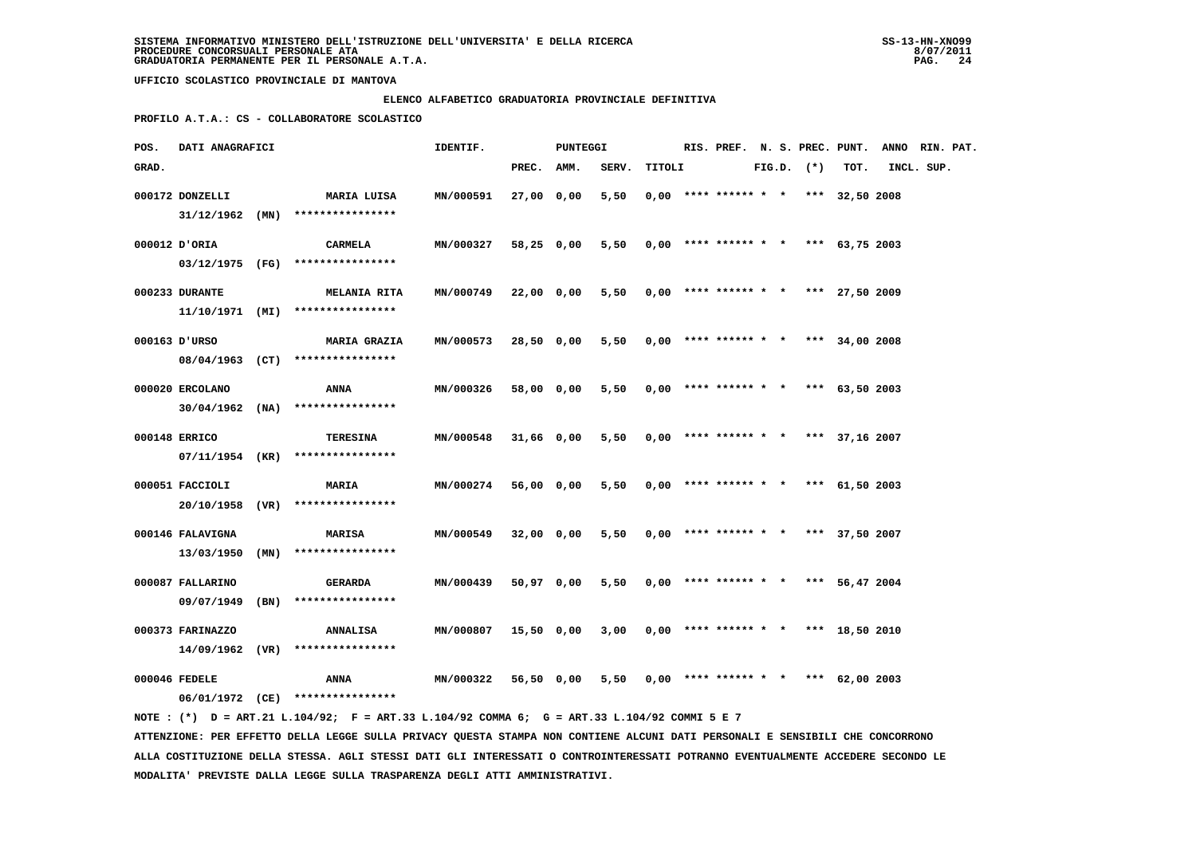#### **ELENCO ALFABETICO GRADUATORIA PROVINCIALE DEFINITIVA**

 **PROFILO A.T.A.: CS - COLLABORATORE SCOLASTICO**

| POS.  | DATI ANAGRAFICI   |      |                                     | IDENTIF.  |            | PUNTEGGI   |       |        | RIS. PREF. N. S. PREC. PUNT.          |  |                |                  | ANNO RIN. PAT. |  |
|-------|-------------------|------|-------------------------------------|-----------|------------|------------|-------|--------|---------------------------------------|--|----------------|------------------|----------------|--|
| GRAD. |                   |      |                                     |           | PREC. AMM. |            | SERV. | TITOLI |                                       |  | $FIG.D.$ $(*)$ | TOT.             | INCL. SUP.     |  |
|       | 000172 DONZELLI   |      | MARIA LUISA                         | MN/000591 | 27,00 0,00 |            | 5,50  |        | $0.00$ **** ****** * * *** 32,50 2008 |  |                |                  |                |  |
|       | $31/12/1962$ (MN) |      | ****************                    |           |            |            |       |        |                                       |  |                |                  |                |  |
|       | 000012 D'ORIA     |      | CARMELA                             | MN/000327 | 58,25 0,00 |            | 5,50  |        | $0,00$ **** ****** * *                |  |                | *** $63,75$ 2003 |                |  |
|       |                   |      | 03/12/1975 (FG) *****************   |           |            |            |       |        |                                       |  |                |                  |                |  |
|       | 000233 DURANTE    |      | <b>MELANIA RITA</b>                 | MN/000749 | 22,00 0,00 |            | 5,50  |        | $0.00$ **** ****** * * *** 27.50 2009 |  |                |                  |                |  |
|       | 11/10/1971 (MI)   |      | ****************                    |           |            |            |       |        |                                       |  |                |                  |                |  |
|       | 000163 D'URSO     |      | <b>MARIA GRAZIA</b>                 | MN/000573 | 28,50 0,00 |            | 5,50  |        | $0,00$ **** ****** * * *** 34,00 2008 |  |                |                  |                |  |
|       | 08/04/1963 (CT)   |      | ****************                    |           |            |            |       |        |                                       |  |                |                  |                |  |
|       | 000020 ERCOLANO   |      | ANNA                                | MN/000326 | 58,00 0,00 |            | 5,50  |        | $0,00$ **** ****** * * *** 63,50 2003 |  |                |                  |                |  |
|       | $30/04/1962$ (NA) |      | ****************                    |           |            |            |       |        |                                       |  |                |                  |                |  |
|       | 000148 ERRICO     |      | TERESINA                            | MN/000548 |            | 31,66 0,00 | 5,50  |        | $0,00$ **** ****** * * *** 37,16 2007 |  |                |                  |                |  |
|       | 07/11/1954 (KR)   |      | ****************                    |           |            |            |       |        |                                       |  |                |                  |                |  |
|       | 000051 FACCIOLI   |      | <b>MARIA</b>                        | MN/000274 | 56,00 0,00 |            | 5,50  |        | $0,00$ **** ****** * *                |  |                | *** $61.502003$  |                |  |
|       |                   |      | 20/10/1958 (VR) ****************    |           |            |            |       |        |                                       |  |                |                  |                |  |
|       | 000146 FALAVIGNA  |      | <b>MARISA</b>                       | MN/000549 | 32,00 0,00 |            | 5,50  |        | $0.00$ **** ****** * * *** 37.50 2007 |  |                |                  |                |  |
|       | 13/03/1950        | (MN) | ****************                    |           |            |            |       |        |                                       |  |                |                  |                |  |
|       | 000087 FALLARINO  |      | GERARDA                             | MN/000439 | 50,97 0,00 |            | 5,50  |        | $0.00$ **** ****** * * *** 56,47 2004 |  |                |                  |                |  |
|       | 09/07/1949        | (BN) | ****************                    |           |            |            |       |        |                                       |  |                |                  |                |  |
|       | 000373 FARINAZZO  |      | ANNALISA                            | MN/000807 | 15,50 0,00 |            | 3,00  |        | $0.00$ **** ****** * * *** 18.50 2010 |  |                |                  |                |  |
|       |                   |      | $14/09/1962$ (VR) ***************** |           |            |            |       |        |                                       |  |                |                  |                |  |
|       | 000046 FEDELE     |      | ANNA                                | MN/000322 | 56,50 0,00 |            | 5,50  |        | $0.00$ **** ****** * *                |  | ***            | 62,00 2003       |                |  |
|       |                   |      | 06/01/1972 (CE) ****************    |           |            |            |       |        |                                       |  |                |                  |                |  |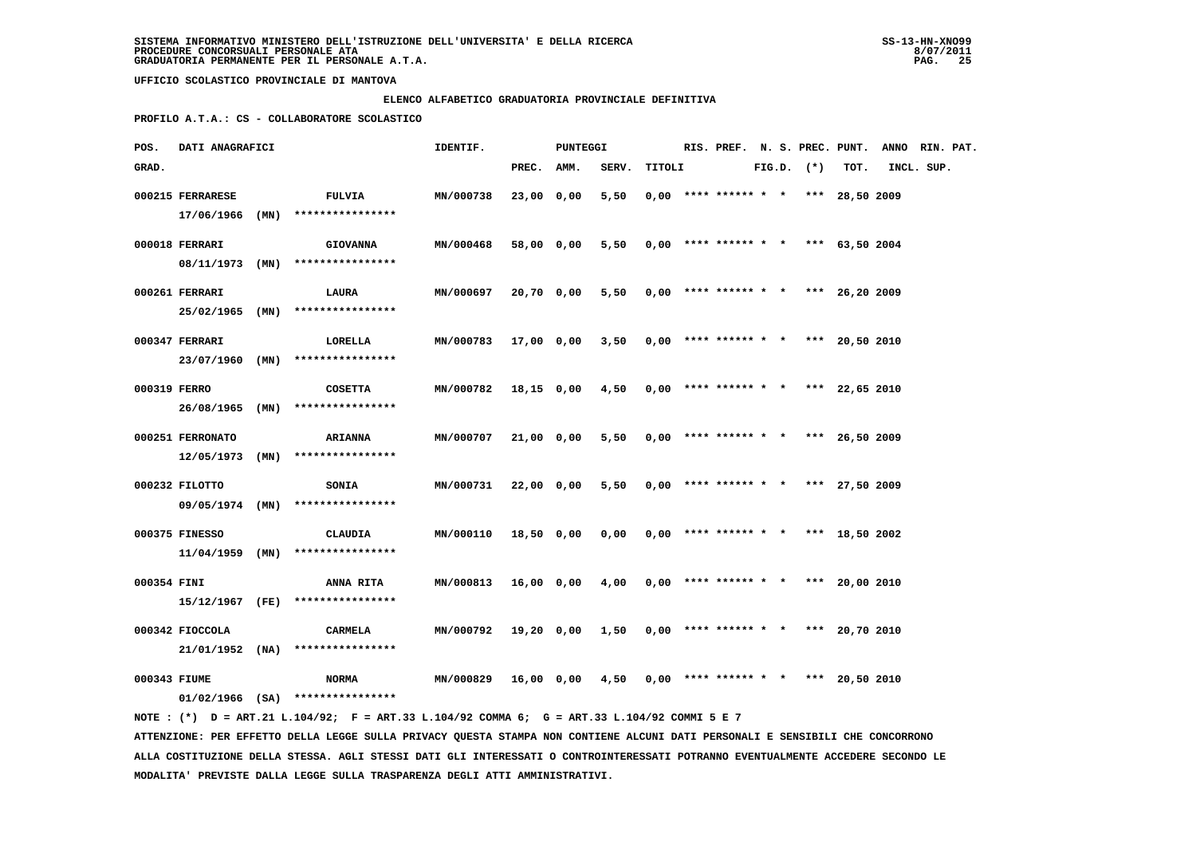### **ELENCO ALFABETICO GRADUATORIA PROVINCIALE DEFINITIVA**

 **PROFILO A.T.A.: CS - COLLABORATORE SCOLASTICO**

| ANNO RIN. PAT. | RIS. PREF. N. S. PREC. PUNT.          |                |  |                        |        |       | PUNTEGGI   |            | IDENTIF.  |                                                                            |      | DATI ANAGRAFICI                     | POS.         |
|----------------|---------------------------------------|----------------|--|------------------------|--------|-------|------------|------------|-----------|----------------------------------------------------------------------------|------|-------------------------------------|--------------|
| INCL. SUP.     | TOT.                                  | $FIG.D.$ $(*)$ |  |                        | TITOLI | SERV. |            | PREC. AMM. |           |                                                                            |      |                                     | GRAD.        |
|                | $0.00$ **** ****** * * *** 28,50 2009 |                |  |                        |        | 5,50  |            | 23,00 0,00 | MN/000738 | <b>FULVIA</b><br>****************                                          | (MN) | 000215 FERRARESE<br>17/06/1966      |              |
|                | *** $63,50$ 2004                      |                |  | $0,00$ **** ****** * * |        | 5,50  |            | 58,00 0,00 | MN/000468 | <b>GIOVANNA</b><br>****************                                        |      | 000018 FERRARI<br>08/11/1973 (MN)   |              |
|                | $0.00$ **** ****** * * *** 26.20 2009 |                |  |                        |        | 5,50  | 20,70 0,00 |            | MN/000697 | LAURA<br>****************                                                  |      | 000261 FERRARI<br>25/02/1965 (MN)   |              |
|                | $0.00$ **** ****** * * *** 20.50 2010 |                |  |                        |        | 3,50  |            | 17,00 0,00 | MN/000783 | LORELLA<br>****************                                                | (MN) | 000347 FERRARI<br>23/07/1960        |              |
|                | $0,00$ **** ****** * * *** 22,65 2010 |                |  |                        |        | 4,50  |            | 18,15 0,00 | MN/000782 | <b>COSETTA</b><br>****************                                         |      | $26/08/1965$ (MN)                   | 000319 FERRO |
|                | $0.00$ **** ****** * * *** 26.50 2009 |                |  |                        |        | 5,50  | 21,00 0,00 |            | MN/000707 | <b>ARIANNA</b><br>****************                                         | (MN) | 000251 FERRONATO<br>12/05/1973      |              |
|                | *** $27.50$ 2009                      |                |  | $0,00$ **** ****** * * |        | 5,50  | 22,00 0,00 |            | MN/000731 | <b>SONIA</b><br>****************                                           |      | 000232 FILOTTO<br>09/05/1974 (MN)   |              |
|                | $0.00$ **** ****** * * *** 18.50 2002 |                |  |                        |        | 0,00  |            | 18,50 0,00 | MN/000110 | CLAUDIA<br>****************                                                |      | 000375 FINESSO<br>$11/04/1959$ (MN) |              |
|                | $0.00$ **** ****** * * *** 20.00 2010 |                |  |                        |        | 4,00  |            | 16,00 0,00 | MN/000813 | ANNA RITA                                                                  |      |                                     | 000354 FINI  |
|                | *** 20,70 2010                        |                |  | $0,00$ **** ****** * * |        | 1,50  |            | 19,20 0,00 | MN/000792 | <b>CARMELA</b>                                                             |      | 000342 FIOCCOLA                     |              |
|                | 20,50 2010                            | ***            |  | $0.00$ **** ****** * * |        | 4,50  | 0,00       | 16,00      | MN/000829 | <b>NORMA</b>                                                               |      | 000343 FIUME                        |              |
|                |                                       |                |  |                        |        |       |            |            |           | ****************<br>****************<br>$01/02/1966$ (SA) **************** |      | 15/12/1967 (FE)<br>21/01/1952 (NA)  |              |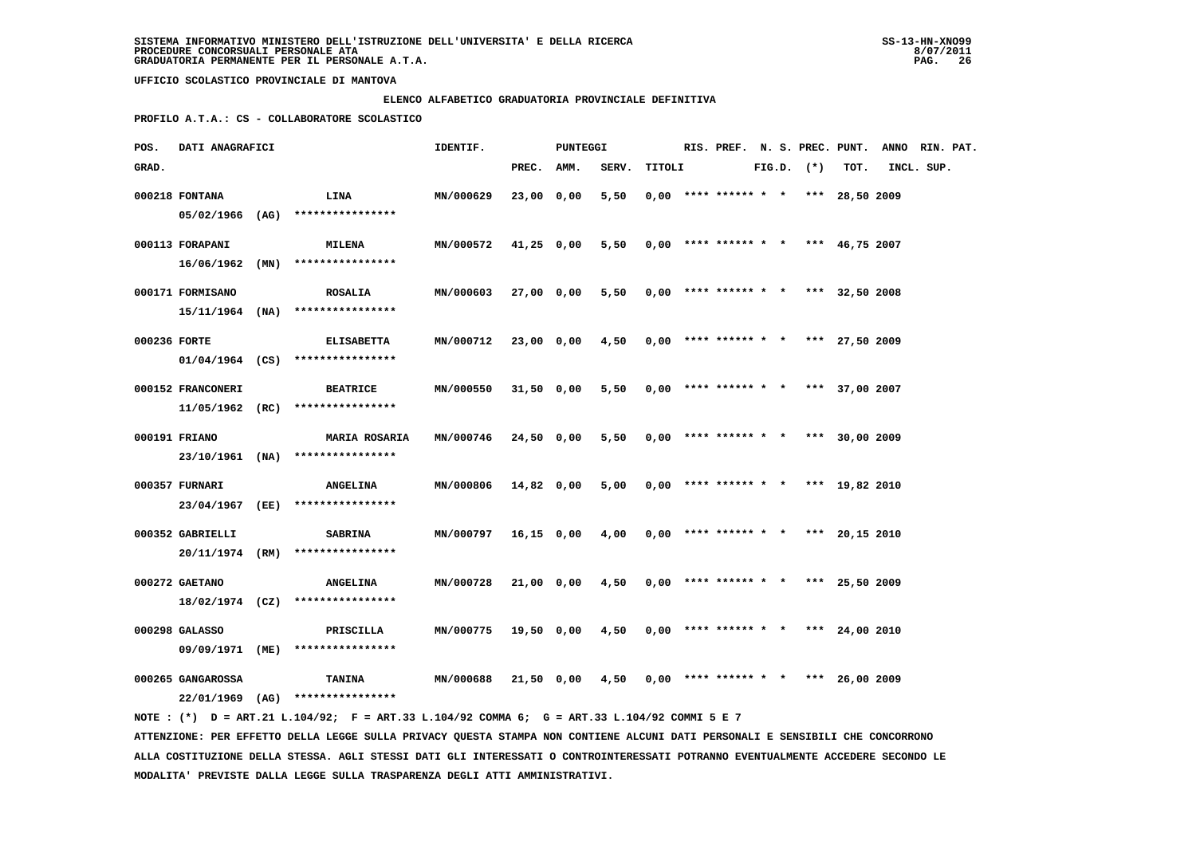### **ELENCO ALFABETICO GRADUATORIA PROVINCIALE DEFINITIVA**

 **PROFILO A.T.A.: CS - COLLABORATORE SCOLASTICO**

| POS.         | DATI ANAGRAFICI   |                                                                                             | IDENTIF.         |            | PUNTEGGI   |       |        |                                       |  |                |      | RIS. PREF. N. S. PREC. PUNT. ANNO RIN. PAT. |  |
|--------------|-------------------|---------------------------------------------------------------------------------------------|------------------|------------|------------|-------|--------|---------------------------------------|--|----------------|------|---------------------------------------------|--|
| GRAD.        |                   |                                                                                             |                  | PREC. AMM. |            | SERV. | TITOLI |                                       |  | $FIG.D.$ $(*)$ | TOT. | INCL. SUP.                                  |  |
|              | 000218 FONTANA    | LINA                                                                                        | MN/000629        | 23,00 0,00 |            | 5,50  |        | $0.00$ **** ****** * * *** 28,50 2009 |  |                |      |                                             |  |
|              |                   | 05/02/1966 (AG) ****************                                                            |                  |            |            |       |        |                                       |  |                |      |                                             |  |
|              | 000113 FORAPANI   | <b>MILENA</b>                                                                               | MN/000572        |            | 41,25 0,00 | 5,50  |        | $0,00$ **** ****** * * *** 46,75 2007 |  |                |      |                                             |  |
|              | 16/06/1962 (MN)   | ****************                                                                            |                  |            |            |       |        |                                       |  |                |      |                                             |  |
|              | 000171 FORMISANO  | <b>ROSALIA</b>                                                                              | <b>MN/000603</b> |            | 27,00 0,00 | 5,50  |        | $0,00$ **** ****** * * *** 32,50 2008 |  |                |      |                                             |  |
|              |                   | $15/11/1964$ (NA) *****************                                                         |                  |            |            |       |        |                                       |  |                |      |                                             |  |
| 000236 FORTE |                   | <b>ELISABETTA</b>                                                                           | MN/000712        | 23,00 0,00 |            | 4,50  |        | $0,00$ **** ****** * * *** 27,50 2009 |  |                |      |                                             |  |
|              |                   | $01/04/1964$ (CS) ****************                                                          |                  |            |            |       |        |                                       |  |                |      |                                             |  |
|              | 000152 FRANCONERI | <b>BEATRICE</b>                                                                             | MN/000550        |            | 31,50 0,00 | 5,50  |        | $0,00$ **** ****** * * *** 37,00 2007 |  |                |      |                                             |  |
|              |                   | $11/05/1962$ (RC) ****************                                                          |                  |            |            |       |        |                                       |  |                |      |                                             |  |
|              | 000191 FRIANO     | <b>MARIA ROSARIA</b>                                                                        | MN/000746        | 24,50 0,00 |            | 5,50  |        | $0.00$ **** ****** * * *** 30.00 2009 |  |                |      |                                             |  |
|              |                   | 23/10/1961 (NA) *****************                                                           |                  |            |            |       |        |                                       |  |                |      |                                             |  |
|              | 000357 FURNARI    | <b>ANGELINA</b>                                                                             | MN/000806        | 14,82 0,00 |            | 5,00  |        | $0.00$ **** ****** * * *** 19.82 2010 |  |                |      |                                             |  |
|              |                   | 23/04/1967 (EE) ****************                                                            |                  |            |            |       |        |                                       |  |                |      |                                             |  |
|              | 000352 GABRIELLI  | <b>SABRINA</b>                                                                              | MN/000797        |            | 16,15 0,00 | 4,00  |        | $0,00$ **** ****** * * *** 20,15 2010 |  |                |      |                                             |  |
|              |                   | $20/11/1974$ (RM) ****************                                                          |                  |            |            |       |        |                                       |  |                |      |                                             |  |
|              | 000272 GAETANO    | <b>ANGELINA</b>                                                                             | MN/000728        |            | 21,00 0,00 | 4,50  |        | $0,00$ **** ****** * * *** 25,50 2009 |  |                |      |                                             |  |
|              |                   | $18/02/1974$ (CZ) ****************                                                          |                  |            |            |       |        |                                       |  |                |      |                                             |  |
|              |                   |                                                                                             |                  |            |            |       |        |                                       |  |                |      |                                             |  |
|              | 000298 GALASSO    | PRISCILLA                                                                                   | <b>MN/000775</b> |            | 19,50 0,00 | 4,50  |        | $0,00$ **** ****** * * *** 24,00 2010 |  |                |      |                                             |  |
|              |                   | 09/09/1971 (ME) ****************                                                            |                  |            |            |       |        |                                       |  |                |      |                                             |  |
|              | 000265 GANGAROSSA | TANINA                                                                                      | MN/000688        |            | 21,50 0,00 | 4,50  |        | $0,00$ **** ****** * * *** 26,00 2009 |  |                |      |                                             |  |
|              |                   | 22/01/1969 (AG) *****************                                                           |                  |            |            |       |        |                                       |  |                |      |                                             |  |
|              |                   | NOTE: (*) D = ART.21 L.104/92; F = ART.33 L.104/92 COMMA 6; G = ART.33 L.104/92 COMMI 5 E 7 |                  |            |            |       |        |                                       |  |                |      |                                             |  |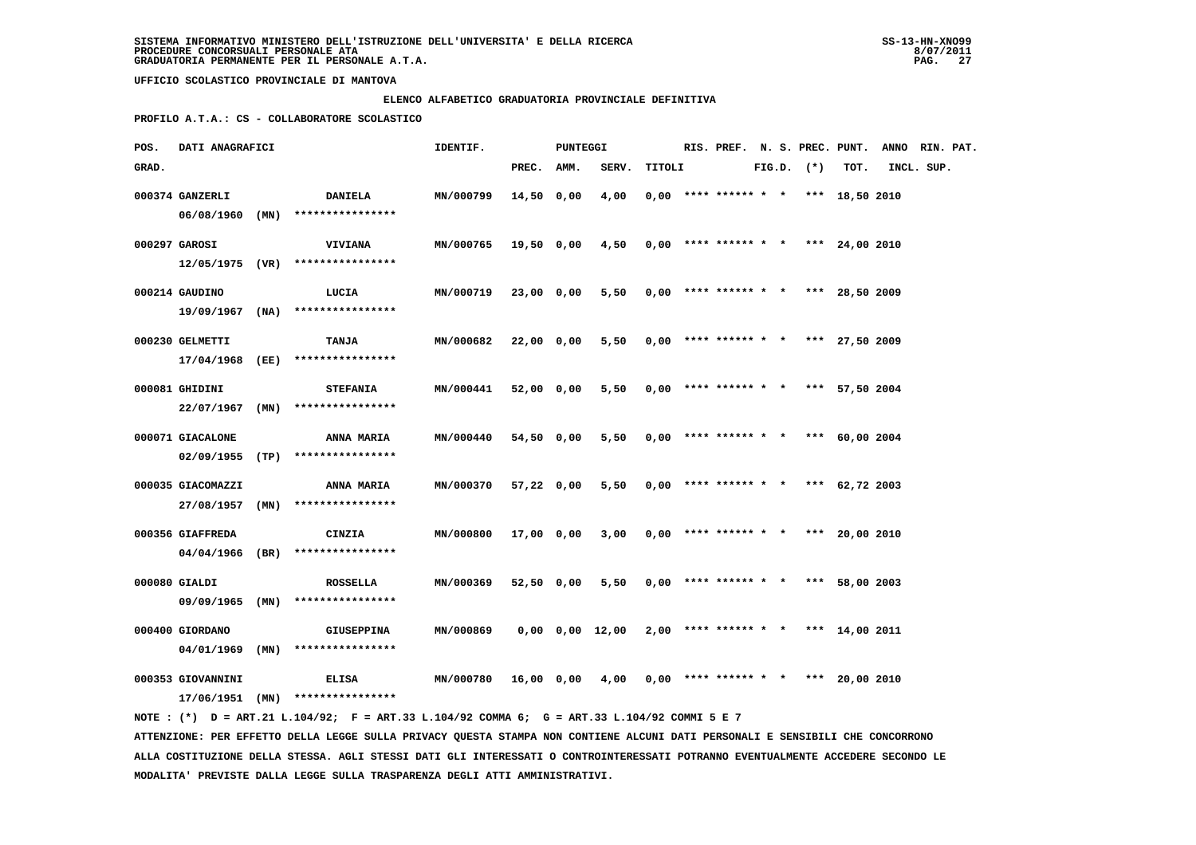### **ELENCO ALFABETICO GRADUATORIA PROVINCIALE DEFINITIVA**

 **PROFILO A.T.A.: CS - COLLABORATORE SCOLASTICO**

| POS.  | DATI ANAGRAFICI                      |      |                                                                                             | IDENTIF.         |            | PUNTEGGI |                       |        |                                       |  |                |                 | RIS. PREF. N. S. PREC. PUNT. ANNO RIN. PAT. |  |
|-------|--------------------------------------|------|---------------------------------------------------------------------------------------------|------------------|------------|----------|-----------------------|--------|---------------------------------------|--|----------------|-----------------|---------------------------------------------|--|
| GRAD. |                                      |      |                                                                                             |                  | PREC.      | AMM.     | SERV.                 | TITOLI |                                       |  | $FIG.D.$ $(*)$ | TOT.            | INCL. SUP.                                  |  |
|       | 000374 GANZERLI<br>$06/08/1960$ (MN) |      | <b>DANIELA</b><br>****************                                                          | MN/000799        | 14,50      | 0,00     | 4,00                  |        | $0.00$ **** ****** * * *** 18,50 2010 |  |                |                 |                                             |  |
|       | 000297 GAROSI                        |      | <b>VIVIANA</b><br>$12/05/1975$ (VR) ****************                                        | MN/000765        | 19,50 0,00 |          | 4,50                  |        | $0,00$ **** ****** * * *** 24,00 2010 |  |                |                 |                                             |  |
|       | 000214 GAUDINO                       |      | LUCIA                                                                                       | <b>MN/000719</b> | 23,00 0,00 |          | 5,50                  |        | $0,00$ **** ****** * * *** 28,50 2009 |  |                |                 |                                             |  |
|       | 19/09/1967 (NA)<br>000230 GELMETTI   |      | ****************<br>TANJA                                                                   | MN/000682        | 22,00 0,00 |          | 5,50                  |        | $0,00$ **** ****** * * *** 27,50 2009 |  |                |                 |                                             |  |
|       | 17/04/1968<br>000081 GHIDINI         | (EE) | ****************<br><b>STEFANIA</b>                                                         | MN/000441        | 52,00 0,00 |          | 5,50                  |        | $0,00$ **** ****** * *                |  |                | *** 57,50 2004  |                                             |  |
|       | $22/07/1967$ (MN)                    |      | ****************                                                                            |                  |            |          |                       |        |                                       |  |                |                 |                                             |  |
|       | 000071 GIACALONE                     |      | ANNA MARIA<br>$02/09/1955$ (TP) ****************                                            | MN/000440        | 54,50 0,00 |          | 5,50                  |        | $0,00$ **** ****** * *                |  |                | *** $60,002004$ |                                             |  |
|       | 000035 GIACOMAZZI<br>27/08/1957 (MN) |      | ANNA MARIA<br>****************                                                              | MN/000370        | 57,22 0,00 |          | 5,50                  |        | $0,00$ **** ****** * * *** 62,72 2003 |  |                |                 |                                             |  |
|       | 000356 GIAFFREDA<br>04/04/1966 (BR)  |      | CINZIA<br>****************                                                                  | MN/000800        | 17,00 0,00 |          | 3,00                  |        | $0,00$ **** ****** * * *** 20,00 2010 |  |                |                 |                                             |  |
|       | 000080 GIALDI                        |      | <b>ROSSELLA</b>                                                                             | MN/000369        | 52,50 0,00 |          | 5,50                  |        | $0,00$ **** ****** * * *** 58,00 2003 |  |                |                 |                                             |  |
|       | 09/09/1965<br>000400 GIORDANO        | (MN) | ****************<br><b>GIUSEPPINA</b>                                                       | MN/000869        |            |          | $0,00$ $0,00$ $12,00$ |        | $2,00$ **** ****** * * *** 14,00 2011 |  |                |                 |                                             |  |
|       | 04/01/1969<br>000353 GIOVANNINI      | (MN) | ****************<br><b>ELISA</b>                                                            | MN/000780        | 16,00 0,00 |          | 4,00                  |        | $0,00$ **** ****** * *                |  |                | *** 20,00 2010  |                                             |  |
|       |                                      |      | $17/06/1951$ (MN) ****************                                                          |                  |            |          |                       |        |                                       |  |                |                 |                                             |  |
|       |                                      |      | NOTE: (*) D = ART.21 L.104/92; F = ART.33 L.104/92 COMMA 6; G = ART.33 L.104/92 COMMI 5 E 7 |                  |            |          |                       |        |                                       |  |                |                 |                                             |  |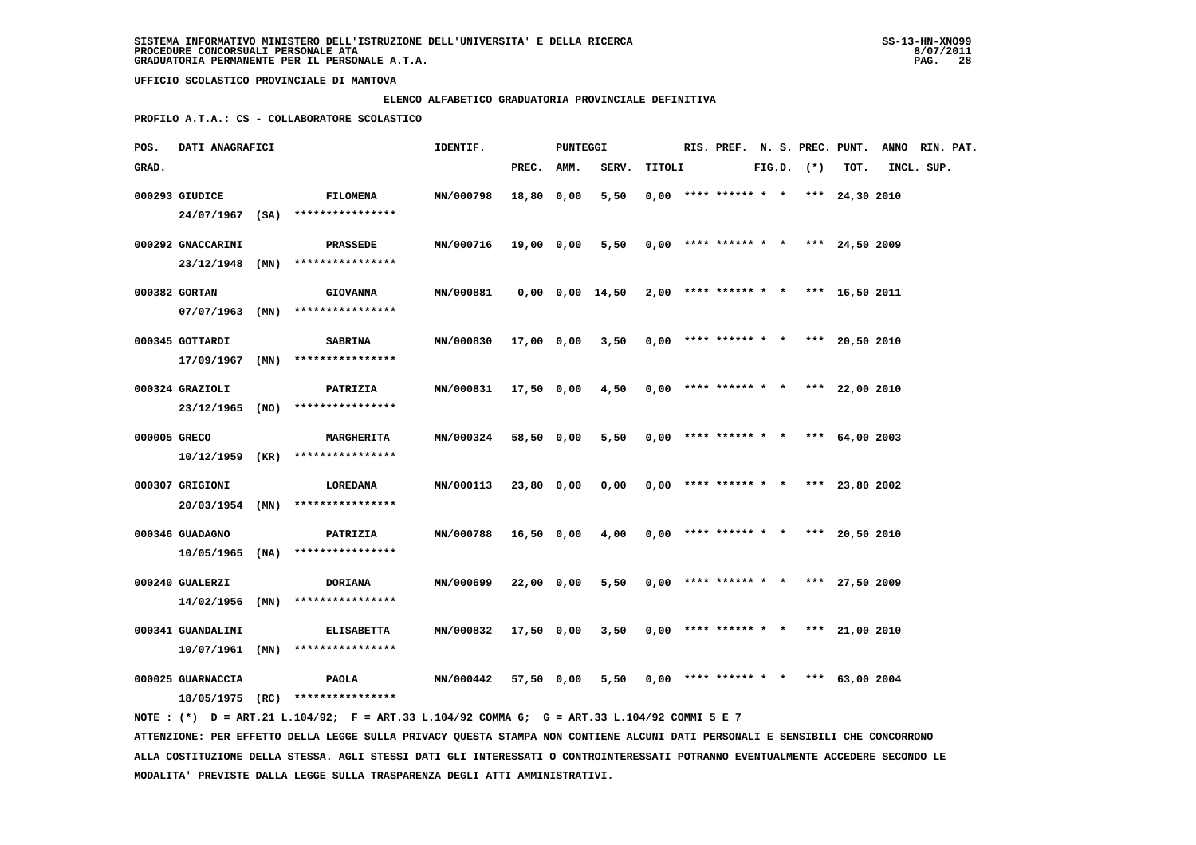### **ELENCO ALFABETICO GRADUATORIA PROVINCIALE DEFINITIVA**

 **PROFILO A.T.A.: CS - COLLABORATORE SCOLASTICO**

| POS.         | DATI ANAGRAFICI                        |                                                                                                                                 | IDENTIF.         |            | PUNTEGGI |                                                             |        |                                       |  |                |                  | RIS. PREF. N. S. PREC. PUNT. ANNO RIN. PAT. |  |
|--------------|----------------------------------------|---------------------------------------------------------------------------------------------------------------------------------|------------------|------------|----------|-------------------------------------------------------------|--------|---------------------------------------|--|----------------|------------------|---------------------------------------------|--|
| GRAD.        |                                        |                                                                                                                                 |                  | PREC. AMM. |          | SERV.                                                       | TITOLI |                                       |  | $FIG.D.$ $(*)$ | TOT.             | INCL. SUP.                                  |  |
|              | 000293 GIUDICE                         | <b>FILOMENA</b><br>24/07/1967 (SA) ****************                                                                             | MN/000798        | 18,80 0,00 |          | 5,50                                                        |        | $0.00$ **** ****** * * *** 24,30 2010 |  |                |                  |                                             |  |
|              | 000292 GNACCARINI                      | PRASSEDE<br>23/12/1948 (MN) ****************                                                                                    | <b>MN/000716</b> | 19,00 0,00 |          | 5,50                                                        |        | $0,00$ **** ****** * * *** 24,50 2009 |  |                |                  |                                             |  |
|              | 000382 GORTAN                          | <b>GIOVANNA</b><br>****************                                                                                             | MN/000881        |            |          | $0,00$ $0,00$ $14,50$ $2,00$ **** ****** * * *** 16,50 2011 |        |                                       |  |                |                  |                                             |  |
|              | $07/07/1963$ (MN)<br>000345 GOTTARDI   | <b>SABRINA</b>                                                                                                                  | MN/000830        | 17,00 0,00 |          | 3,50                                                        |        | $0.00$ **** ****** * * *** 20.50 2010 |  |                |                  |                                             |  |
|              | $17/09/1967$ (MN)<br>000324 GRAZIOLI   | ****************<br>PATRIZIA                                                                                                    | MN/000831        | 17,50 0,00 |          | 4,50                                                        |        | $0,00$ **** ****** * *                |  |                | *** 22,00 2010   |                                             |  |
|              |                                        | 23/12/1965 (NO) ****************                                                                                                |                  |            |          |                                                             |        |                                       |  |                |                  |                                             |  |
| 000005 GRECO |                                        | <b>MARGHERITA</b><br>$10/12/1959$ (KR) ****************                                                                         | MN/000324        | 58,50 0,00 |          | 5,50                                                        |        | $0,00$ **** ****** * * *** 64,00 2003 |  |                |                  |                                             |  |
|              | 000307 GRIGIONI<br>20/03/1954 (MN)     | LOREDANA<br>****************                                                                                                    | MN/000113        | 23,80 0,00 |          | 0,00                                                        |        | $0.00$ **** ****** * * *** 23,80 2002 |  |                |                  |                                             |  |
|              | 000346 GUADAGNO                        | PATRIZIA<br>10/05/1965 (NA) ****************                                                                                    | MN/000788        | 16,50 0,00 |          | 4,00                                                        |        | $0,00$ **** ****** * * *** 20,50 2010 |  |                |                  |                                             |  |
|              | 000240 GUALERZI                        | DORIANA                                                                                                                         | MN/000699        | 22,00 0,00 |          | 5,50                                                        |        | $0,00$ **** ****** * * *** 27,50 2009 |  |                |                  |                                             |  |
|              | $14/02/1956$ (MN)<br>000341 GUANDALINI | ****************<br><b>ELISABETTA</b>                                                                                           | MN/000832        | 17,50 0,00 |          | 3,50                                                        |        | $0.00$ **** ****** * * *** 21,00 2010 |  |                |                  |                                             |  |
|              | $10/07/1961$ (MN)<br>000025 GUARNACCIA | ****************<br>PAOLA                                                                                                       | MN/000442        | 57,50 0,00 |          | 5,50                                                        |        | $0,00$ **** ****** * *                |  |                | *** $63,00$ 2004 |                                             |  |
|              |                                        | 18/05/1975 (RC) ****************<br>NOTE: (*) D = ART.21 L.104/92; F = ART.33 L.104/92 COMMA 6; G = ART.33 L.104/92 COMMI 5 E 7 |                  |            |          |                                                             |        |                                       |  |                |                  |                                             |  |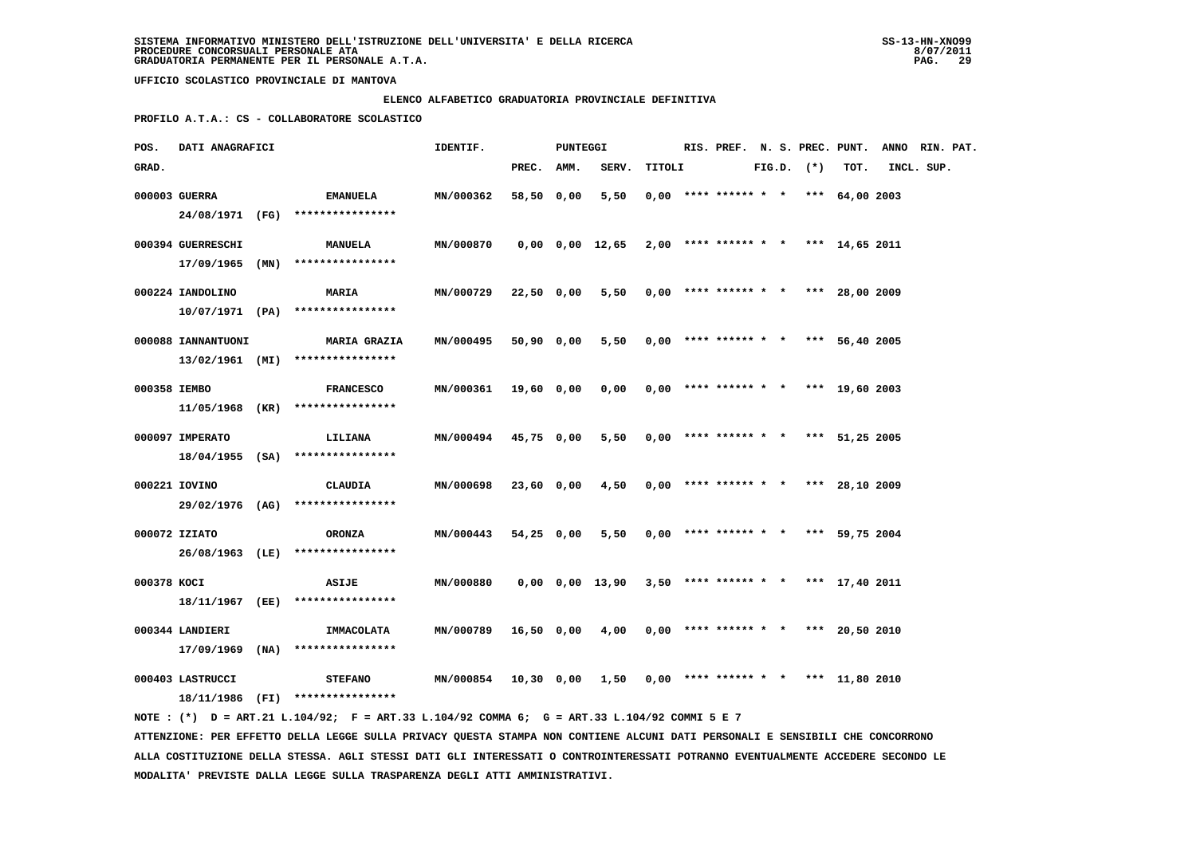### **ELENCO ALFABETICO GRADUATORIA PROVINCIALE DEFINITIVA**

 **PROFILO A.T.A.: CS - COLLABORATORE SCOLASTICO**

| POS.         | DATI ANAGRAFICI                       |                                                                                             | IDENTIF.         |            | PUNTEGGI |                 |        |                        |  |              | RIS. PREF. N. S. PREC. PUNT.          | ANNO RIN. PAT. |  |
|--------------|---------------------------------------|---------------------------------------------------------------------------------------------|------------------|------------|----------|-----------------|--------|------------------------|--|--------------|---------------------------------------|----------------|--|
| GRAD.        |                                       |                                                                                             |                  | PREC.      | AMM.     | SERV.           | TITOLI |                        |  | FIG.D. $(*)$ | TOT.                                  | INCL. SUP.     |  |
|              | 000003 GUERRA                         | <b>EMANUELA</b><br>24/08/1971 (FG) ****************                                         | MN/000362        | 58,50 0,00 |          | 5,50            |        | $0,00$ **** ****** * * |  |              | *** 64,00 2003                        |                |  |
|              | 000394 GUERRESCHI<br>17/09/1965 (MN)  | <b>MANUELA</b><br>****************                                                          | MN/000870        |            |          | 0,00 0,00 12,65 |        |                        |  |              | $2,00$ **** ****** * * *** 14,65 2011 |                |  |
|              | 000224 IANDOLINO                      | <b>MARIA</b><br>$10/07/1971$ (PA) ****************                                          | MN/000729        | 22,50 0,00 |          | 5,50            |        |                        |  |              | $0,00$ **** ****** * * *** 28,00 2009 |                |  |
|              | 000088 IANNANTUONI<br>13/02/1961 (MI) | <b>MARIA GRAZIA</b><br>****************                                                     | MN/000495        | 50,90 0,00 |          | 5,50            |        |                        |  |              | $0,00$ **** ****** * * *** 56,40 2005 |                |  |
| 000358 IEMBO |                                       | <b>FRANCESCO</b><br>$11/05/1968$ (KR) ****************                                      | MN/000361        | 19,60 0,00 |          | 0,00            |        | $0,00$ **** ****** * * |  |              | *** 19,60 2003                        |                |  |
|              | 000097 IMPERATO                       | LILIANA<br>18/04/1955 (SA) ****************                                                 | MN/000494        | 45,75 0,00 |          | 5,50            |        | $0,00$ **** ****** * * |  |              | *** 51,25 2005                        |                |  |
|              | 000221 IOVINO<br>29/02/1976 (AG)      | <b>CLAUDIA</b><br>****************                                                          | MN/000698        | 23,60 0,00 |          | 4,50            |        |                        |  |              | $0,00$ **** ****** * * *** 28,10 2009 |                |  |
|              | 000072 IZIATO<br>26/08/1963 (LE)      | <b>ORONZA</b><br>****************                                                           | MN/000443        | 54,25 0,00 |          | 5,50            |        |                        |  |              | $0,00$ **** ****** * * *** 59,75 2004 |                |  |
| 000378 KOCI  | 18/11/1967 (EE)                       | <b>ASIJE</b><br>****************                                                            | MN/000880        |            |          | 0,00 0,00 13,90 |        |                        |  |              | $3,50$ **** ****** * * *** 17,40 2011 |                |  |
|              | 000344 LANDIERI<br>$17/09/1969$ (NA)  | IMMACOLATA<br>****************                                                              | MN/000789        | 16,50 0,00 |          | 4,00            |        | $0,00$ **** ****** * * |  |              | *** 20,50 2010                        |                |  |
|              | 000403 LASTRUCCI                      | <b>STEFANO</b><br>18/11/1986 (FI) ****************                                          | <b>MN/000854</b> | 10,30 0,00 |          | 1,50            |        | $0.00$ **** ****** * * |  |              | *** 11,80 2010                        |                |  |
|              |                                       | NOTE: (*) D = ART.21 L.104/92; F = ART.33 L.104/92 COMMA 6; G = ART.33 L.104/92 COMMI 5 E 7 |                  |            |          |                 |        |                        |  |              |                                       |                |  |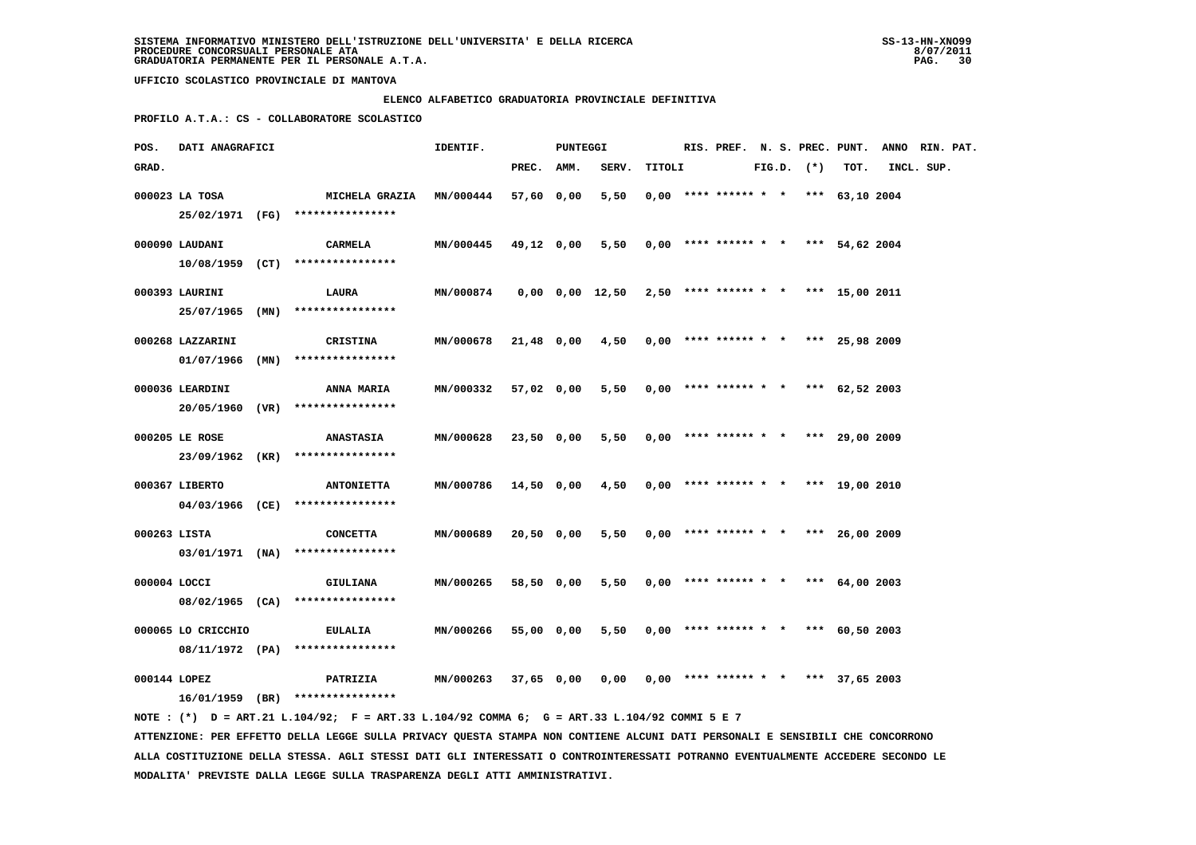### **ELENCO ALFABETICO GRADUATORIA PROVINCIALE DEFINITIVA**

 **PROFILO A.T.A.: CS - COLLABORATORE SCOLASTICO**

| POS.         | DATI ANAGRAFICI                    |      |                                                              | IDENTIF.         |            | PUNTEGGI |                                                           |        | RIS. PREF. N. S. PREC. PUNT.          |  |                |                | ANNO RIN. PAT. |  |
|--------------|------------------------------------|------|--------------------------------------------------------------|------------------|------------|----------|-----------------------------------------------------------|--------|---------------------------------------|--|----------------|----------------|----------------|--|
| GRAD.        |                                    |      |                                                              |                  | PREC. AMM. |          | SERV.                                                     | TITOLI |                                       |  | $FIG.D.$ $(*)$ | TOT.           | INCL. SUP.     |  |
|              | 000023 LA TOSA                     |      | MICHELA GRAZIA MN/000444<br>25/02/1971 (FG) **************** |                  | 57,60 0,00 |          | 5,50                                                      |        | $0.00$ **** ****** * * *** 63,10 2004 |  |                |                |                |  |
|              | 000090 LAUDANI                     |      | <b>CARMELA</b><br>$10/08/1959$ (CT) *****************        | MN/000445        | 49,12 0,00 |          | 5,50                                                      |        | $0,00$ **** ****** * *                |  |                | *** 54,62 2004 |                |  |
|              | 000393 LAURINI<br>25/07/1965 (MN)  |      | LAURA<br>****************                                    | <b>MN/000874</b> |            |          | $0,00$ $0,00$ $12,50$ $2,50$ **** ****** * *** 15,00 2011 |        |                                       |  |                |                |                |  |
|              | 000268 LAZZARINI<br>01/07/1966     | (MN) | CRISTINA<br>****************                                 | MN/000678        | 21,48 0,00 |          | 4,50                                                      |        | $0.00$ **** ****** * * *** 25,98 2009 |  |                |                |                |  |
|              | 000036 LEARDINI<br>20/05/1960 (VR) |      | ANNA MARIA<br>****************                               | MN/000332        | 57,02 0,00 |          | 5,50                                                      |        | $0,00$ **** ****** * * *** 62,52 2003 |  |                |                |                |  |
|              | 000205 LE ROSE<br>23/09/1962 (KR)  |      | <b>ANASTASIA</b><br>****************                         | MN/000628        | 23,50 0,00 |          | 5,50                                                      |        | $0.00$ **** ****** * * *** 29.00 2009 |  |                |                |                |  |
|              | 000367 LIBERTO                     |      | <b>ANTONIETTA</b><br>04/03/1966 (CE) ****************        | MN/000786        | 14,50 0,00 |          | 4,50                                                      |        | $0,00$ **** ****** * * *** 19,00 2010 |  |                |                |                |  |
| 000263 LISTA |                                    |      | <b>CONCETTA</b><br>03/01/1971 (NA) ****************          | MN/000689        | 20,50 0,00 |          | 5,50                                                      |        | $0.00$ **** ****** * * *** 26.00 2009 |  |                |                |                |  |
| 000004 LOCCI | 08/02/1965 (CA)                    |      | GIULIANA<br>****************                                 | MN/000265        | 58,50 0,00 |          | $5,50$ 0,00 **** ****** * * *** 64,00 2003                |        |                                       |  |                |                |                |  |
|              | 000065 LO CRICCHIO                 |      | EULALIA<br>08/11/1972 (PA) ****************                  | MN/000266        | 55,00 0,00 |          | 5,50                                                      |        | $0.00$ **** ****** * * *** 60.50 2003 |  |                |                |                |  |
| 000144 LOPEZ |                                    |      | <b>PATRIZIA</b><br>16/01/1959 (BR) ****************          | MN/000263        | 37,65 0,00 |          | 0,00                                                      |        | $0.00$ **** ****** * * *** 37.65 2003 |  |                |                |                |  |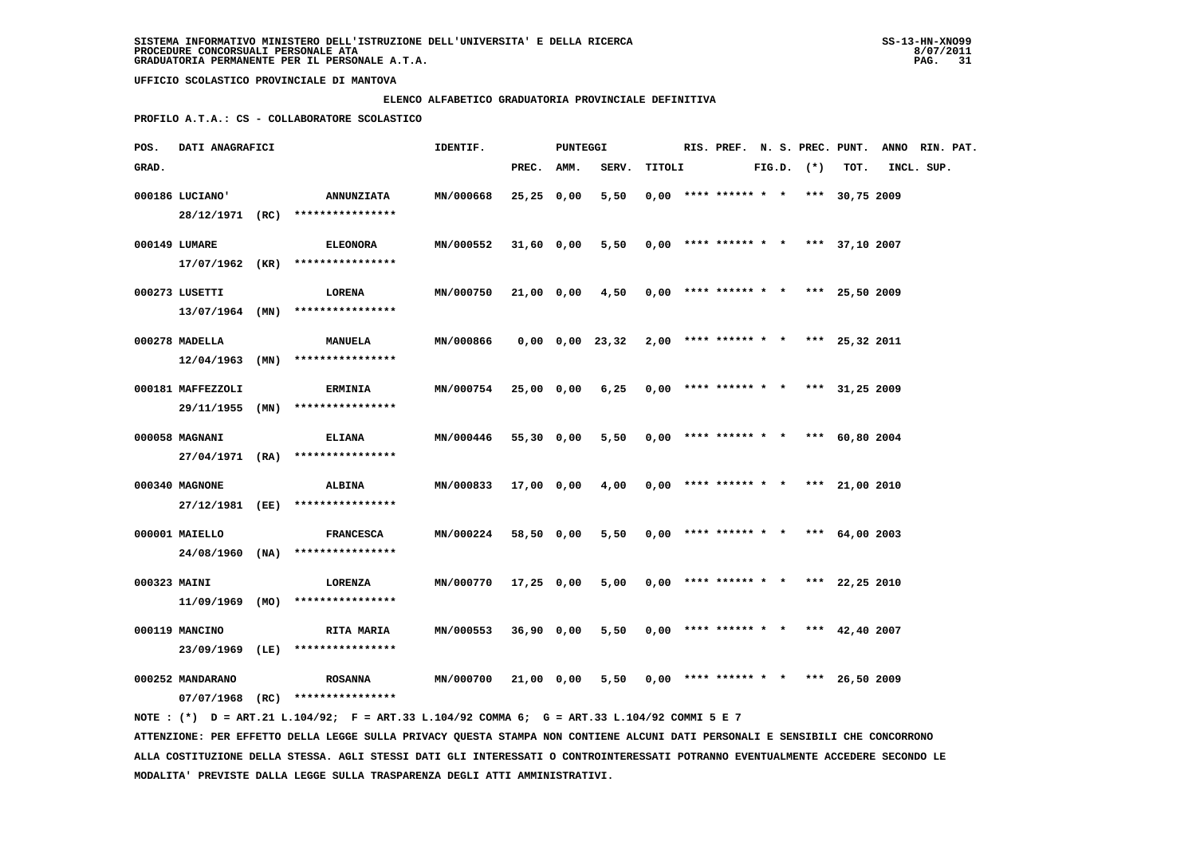#### **ELENCO ALFABETICO GRADUATORIA PROVINCIALE DEFINITIVA**

 **PROFILO A.T.A.: CS - COLLABORATORE SCOLASTICO**

| POS.         | DATI ANAGRAFICI   |                                     | IDENTIF.         |              | <b>PUNTEGGI</b> |                       |        | RIS. PREF. N. S. PREC. PUNT.          |  |                |                  | ANNO RIN. PAT. |  |
|--------------|-------------------|-------------------------------------|------------------|--------------|-----------------|-----------------------|--------|---------------------------------------|--|----------------|------------------|----------------|--|
| GRAD.        |                   |                                     |                  | PREC. AMM.   |                 | SERV.                 | TITOLI |                                       |  | $FIG.D.$ $(*)$ | TOT.             | INCL. SUP.     |  |
|              | 000186 LUCIANO'   | <b>ANNUNZIATA</b>                   | MN/000668        | $25,25$ 0,00 |                 | 5,50                  |        | $0,00$ **** ****** * *                |  |                | *** 30,75 2009   |                |  |
|              |                   | 28/12/1971 (RC) ****************    |                  |              |                 |                       |        |                                       |  |                |                  |                |  |
|              | 000149 LUMARE     | <b>ELEONORA</b>                     | MN/000552        | 31,60 0,00   |                 | 5,50                  |        | $0,00$ **** ****** * * *** 37,10 2007 |  |                |                  |                |  |
|              |                   | 17/07/1962 (KR) ****************    |                  |              |                 |                       |        |                                       |  |                |                  |                |  |
|              | 000273 LUSETTI    | LORENA                              | MN/000750        | 21,00 0,00   |                 | 4,50                  |        | $0,00$ **** ****** * *                |  |                | *** 25,50 2009   |                |  |
|              |                   | $13/07/1964$ (MN) ****************  |                  |              |                 |                       |        |                                       |  |                |                  |                |  |
|              | 000278 MADELLA    | <b>MANUELA</b>                      | MN/000866        |              |                 | $0,00$ $0,00$ $23,32$ |        | $2,00$ **** ****** * * *** 25,32 2011 |  |                |                  |                |  |
|              | $12/04/1963$ (MN) | ****************                    |                  |              |                 |                       |        |                                       |  |                |                  |                |  |
|              | 000181 MAFFEZZOLI | <b>ERMINIA</b>                      | <b>MN/000754</b> | 25,00 0,00   |                 | 6,25                  |        | $0,00$ **** ****** * * *** 31,25 2009 |  |                |                  |                |  |
|              | 29/11/1955 (MN)   | ****************                    |                  |              |                 |                       |        |                                       |  |                |                  |                |  |
|              | 000058 MAGNANI    | <b>ELIANA</b>                       | MN/000446        | 55,30 0,00   |                 | 5,50                  |        | $0,00$ **** ****** * *                |  |                | *** 60,80 2004   |                |  |
|              |                   | $27/04/1971$ (RA) ***************** |                  |              |                 |                       |        |                                       |  |                |                  |                |  |
|              | 000340 MAGNONE    | <b>ALBINA</b>                       | MN/000833        | 17,00 0,00   |                 | 4,00                  |        | $0,00$ **** ****** * * *** 21,00 2010 |  |                |                  |                |  |
|              | 27/12/1981 (EE)   | ****************                    |                  |              |                 |                       |        |                                       |  |                |                  |                |  |
|              | 000001 MAIELLO    | <b>FRANCESCA</b>                    | <b>MN/000224</b> | 58,50 0,00   |                 | 5,50                  |        | $0,00$ **** ****** * *                |  |                | *** 64,00 2003   |                |  |
|              | 24/08/1960 (NA)   | ****************                    |                  |              |                 |                       |        |                                       |  |                |                  |                |  |
| 000323 MAINI |                   | LORENZA                             | <b>MN/000770</b> | 17,25 0,00   |                 | 5,00                  |        | $0,00$ **** ****** * * *** 22,25 2010 |  |                |                  |                |  |
|              | $11/09/1969$ (MO) | ****************                    |                  |              |                 |                       |        |                                       |  |                |                  |                |  |
|              | 000119 MANCINO    | <b>RITA MARIA</b>                   | MN/000553        | 36,90 0,00   |                 | 5,50                  |        | $0,00$ **** ****** * *                |  |                | *** $42,40$ 2007 |                |  |
|              | $23/09/1969$ (LE) | ****************                    |                  |              |                 |                       |        |                                       |  |                |                  |                |  |
|              | 000252 MANDARANO  | <b>ROSANNA</b>                      | MN/000700        | 21,00 0,00   |                 | 5,50                  |        | $0,00$ **** ****** * *                |  |                | *** 26,50 2009   |                |  |
|              | $07/07/1968$ (RC) | ****************                    |                  |              |                 |                       |        |                                       |  |                |                  |                |  |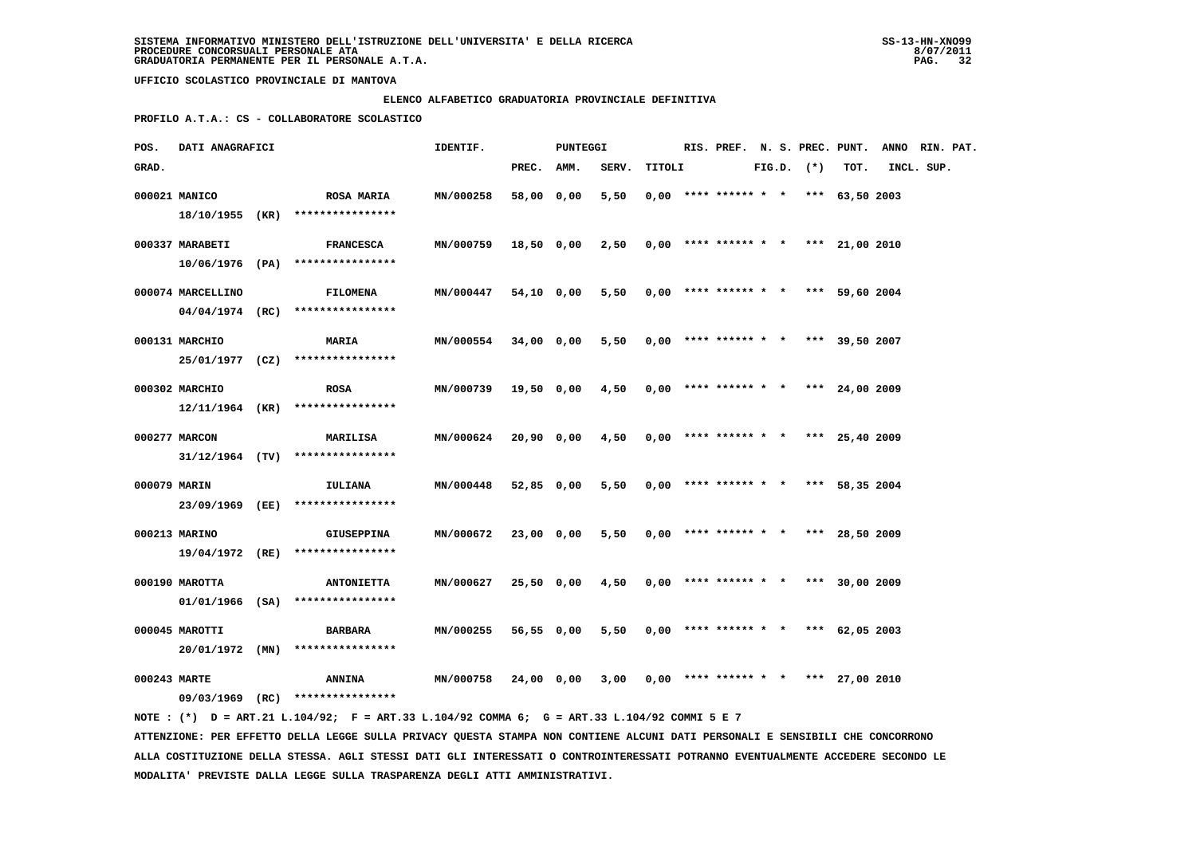### **ELENCO ALFABETICO GRADUATORIA PROVINCIALE DEFINITIVA**

 **PROFILO A.T.A.: CS - COLLABORATORE SCOLASTICO**

| POS.         | DATI ANAGRAFICI                      |                                                        | IDENTIF.         |            | PUNTEGGI |       |        | RIS. PREF. N. S. PREC. PUNT.          |  |                |                  | ANNO RIN. PAT. |  |
|--------------|--------------------------------------|--------------------------------------------------------|------------------|------------|----------|-------|--------|---------------------------------------|--|----------------|------------------|----------------|--|
| GRAD.        |                                      |                                                        |                  | PREC. AMM. |          | SERV. | TITOLI |                                       |  | $FIG.D.$ $(*)$ | TOT.             | INCL. SUP.     |  |
|              | 000021 MANICO                        | <b>ROSA MARIA</b><br>****************                  | MN/000258        | 58,00 0,00 |          | 5,50  |        | $0.00$ **** ****** * * *** 63,50 2003 |  |                |                  |                |  |
|              | 18/10/1955 (KR)<br>000337 MARABETI   | <b>FRANCESCA</b>                                       | MN/000759        | 18,50 0,00 |          | 2,50  |        | $0,00$ **** ****** * *                |  |                | *** 21,00 2010   |                |  |
|              |                                      | $10/06/1976$ (PA) ****************                     |                  |            |          |       |        |                                       |  |                |                  |                |  |
|              | 000074 MARCELLINO<br>04/04/1974 (RC) | <b>FILOMENA</b><br>****************                    | MN/000447        | 54,10 0,00 |          | 5,50  |        | $0.00$ **** ****** * * *** 59.60 2004 |  |                |                  |                |  |
|              | 000131 MARCHIO                       | MARIA                                                  | MN/000554        | 34,00 0,00 |          | 5,50  |        | $0,00$ **** ****** * * *** 39,50 2007 |  |                |                  |                |  |
|              | 25/01/1977 (CZ)                      | ****************                                       |                  |            |          |       |        |                                       |  |                |                  |                |  |
|              | 000302 MARCHIO<br>12/11/1964 (KR)    | <b>ROSA</b><br>****************                        | MN/000739        | 19,50 0,00 |          | 4,50  |        | $0.00$ **** ****** * * *** 24,00 2009 |  |                |                  |                |  |
|              | 000277 MARCON                        | <b>MARILISA</b><br>$31/12/1964$ (TV) ***************** | <b>MN/000624</b> | 20,90 0,00 |          | 4,50  |        | $0,00$ **** ****** * * *** 25,40 2009 |  |                |                  |                |  |
| 000079 MARIN |                                      | IULIANA                                                | MN/000448        | 52,85 0,00 |          | 5,50  |        | $0.00$ **** ****** * *                |  |                | *** 58,35 2004   |                |  |
|              | 23/09/1969 (EE)                      | ****************                                       |                  |            |          |       |        |                                       |  |                |                  |                |  |
|              | 000213 MARINO<br>19/04/1972 (RE)     | <b>GIUSEPPINA</b><br>****************                  | MN/000672        | 23,00 0,00 |          | 5,50  |        | $0.00$ **** ****** * * *** 28.50 2009 |  |                |                  |                |  |
|              | 000190 MAROTTA                       | <b>ANTONIETTA</b>                                      | MN/000627        | 25,50 0,00 |          | 4,50  |        | $0.00$ **** ****** * * *** 30.00 2009 |  |                |                  |                |  |
|              | $01/01/1966$ (SA)                    | ****************                                       |                  |            |          |       |        |                                       |  |                |                  |                |  |
|              | 000045 MAROTTI<br>$20/01/1972$ (MN)  | <b>BARBARA</b><br>****************                     | MN/000255        | 56,55 0,00 |          | 5,50  |        | $0,00$ **** ****** * *                |  |                | *** $62,05,2003$ |                |  |
| 000243 MARTE |                                      | <b>ANNINA</b>                                          | MN/000758        | 24,00      | 0,00     | 3,00  |        | $0.00$ **** ****** * *                |  | ***            | 27,00 2010       |                |  |
|              |                                      | 09/03/1969 (RC) ****************                       |                  |            |          |       |        |                                       |  |                |                  |                |  |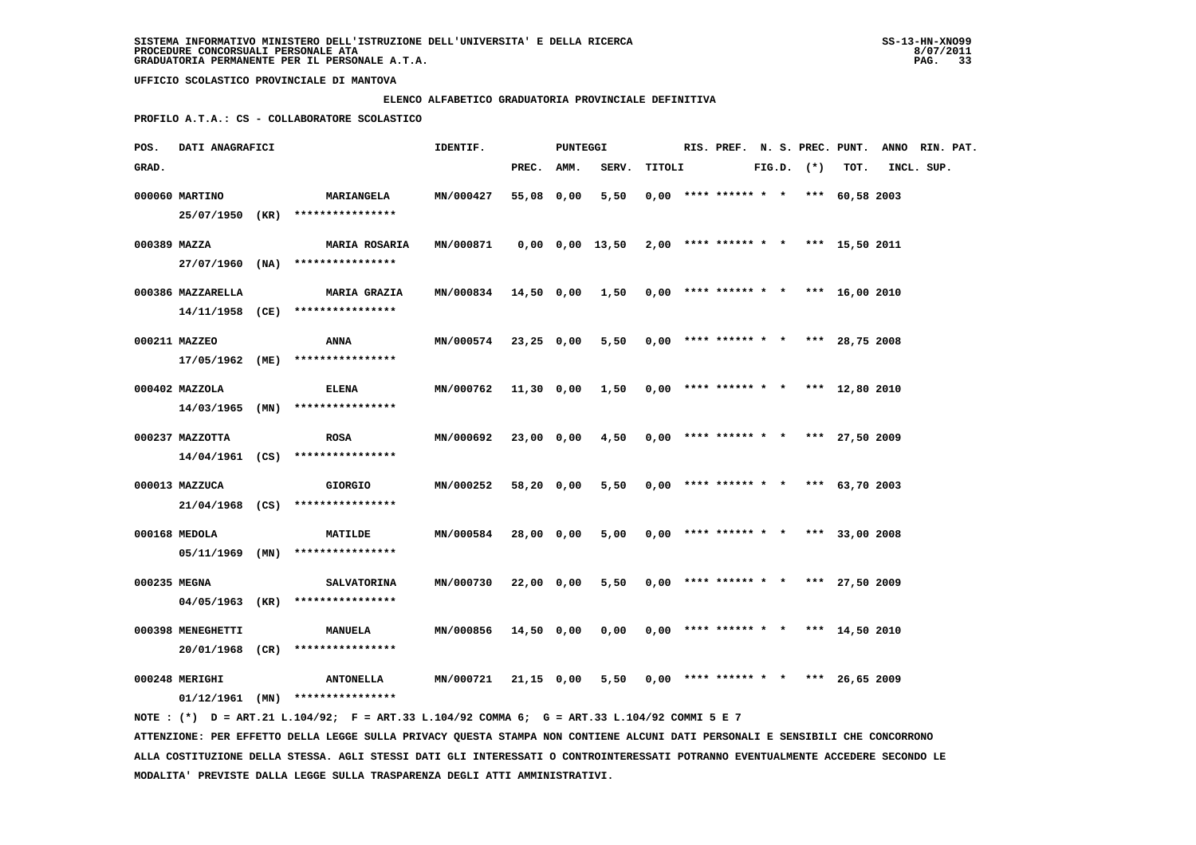#### **ELENCO ALFABETICO GRADUATORIA PROVINCIALE DEFINITIVA**

 **PROFILO A.T.A.: CS - COLLABORATORE SCOLASTICO**

| POS.         | DATI ANAGRAFICI                      |                                                                                             | IDENTIF.                                                    |            | PUNTEGGI |                                                           |        |                                       |  |                |      | RIS. PREF. N. S. PREC. PUNT. ANNO RIN. PAT. |  |
|--------------|--------------------------------------|---------------------------------------------------------------------------------------------|-------------------------------------------------------------|------------|----------|-----------------------------------------------------------|--------|---------------------------------------|--|----------------|------|---------------------------------------------|--|
| GRAD.        |                                      |                                                                                             |                                                             | PREC. AMM. |          | SERV.                                                     | TITOLI |                                       |  | $FIG.D.$ $(*)$ | TOT. | INCL. SUP.                                  |  |
|              | 000060 MARTINO                       | <b>MARIANGELA</b><br>25/07/1950 (KR) ****************                                       | MN/000427                                                   | 55,08 0,00 |          | 5,50                                                      |        | $0,00$ **** ****** * * *** 60,58 2003 |  |                |      |                                             |  |
| 000389 MAZZA |                                      | <b>MARIA ROSARIA</b><br>$27/07/1960$ (NA) ****************                                  | MN/000871                                                   |            |          | $0,00$ $0,00$ $13,50$ $2,00$ **** ****** * *** 15,50 2011 |        |                                       |  |                |      |                                             |  |
|              | 000386 MAZZARELLA                    | <b>MARIA GRAZIA</b><br>$14/11/1958$ (CE) *****************                                  | MN/000834 14,50 0,00 1,50 0,00 **** ****** * *** 16,00 2010 |            |          |                                                           |        |                                       |  |                |      |                                             |  |
|              | 000211 MAZZEO                        | ANNA                                                                                        | <b>MN/000574</b>                                            | 23,25 0,00 |          | 5,50                                                      |        | $0,00$ **** ****** * * *** 28,75 2008 |  |                |      |                                             |  |
|              | 17/05/1962 (ME)<br>000402 MAZZOLA    | ****************<br>ELENA                                                                   | MN/000762                                                   |            |          | 11,30 0,00 1,50                                           |        | $0,00$ **** ****** * * *** 12,80 2010 |  |                |      |                                             |  |
|              | 000237 MAZZOTTA                      | $14/03/1965$ (MN) ****************<br><b>ROSA</b>                                           | MN/000692                                                   | 23,00 0,00 |          | 4,50                                                      |        | $0,00$ **** ****** * * *** 27,50 2009 |  |                |      |                                             |  |
|              | 000013 MAZZUCA                       | $14/04/1961$ (CS) ****************<br><b>GIORGIO</b>                                        | MN/000252                                                   | 58,20 0,00 |          | 5,50                                                      |        | $0.00$ **** ****** * * *** 63,70 2003 |  |                |      |                                             |  |
|              |                                      | $21/04/1968$ (CS) ****************                                                          |                                                             |            |          |                                                           |        |                                       |  |                |      |                                             |  |
|              | 000168 MEDOLA                        | MATILDE<br>$05/11/1969$ (MN) ****************                                               | MN/000584                                                   | 28,00 0,00 |          | 5,00                                                      |        | $0,00$ **** ****** * * *** 33,00 2008 |  |                |      |                                             |  |
| 000235 MEGNA |                                      | <b>SALVATORINA</b><br>$04/05/1963$ (KR) ****************                                    | MN/000730                                                   | 22,00 0,00 |          | 5,50                                                      |        | $0,00$ **** ****** * * *** 27,50 2009 |  |                |      |                                             |  |
|              | 000398 MENEGHETTI<br>20/01/1968 (CR) | MANUELA<br>****************                                                                 | MN/000856                                                   | 14,50 0,00 |          | 0,00                                                      |        | $0.00$ **** ****** * * *** 14,50 2010 |  |                |      |                                             |  |
|              | 000248 MERIGHI                       | <b>ANTONELLA</b><br>$01/12/1961$ (MN) ****************                                      | MN/000721                                                   | 21,15 0,00 |          | 5,50                                                      |        | $0,00$ **** ****** * * *** 26,65 2009 |  |                |      |                                             |  |
|              |                                      | NOTE: (*) D = ART.21 L.104/92; F = ART.33 L.104/92 COMMA 6; G = ART.33 L.104/92 COMMI 5 E 7 |                                                             |            |          |                                                           |        |                                       |  |                |      |                                             |  |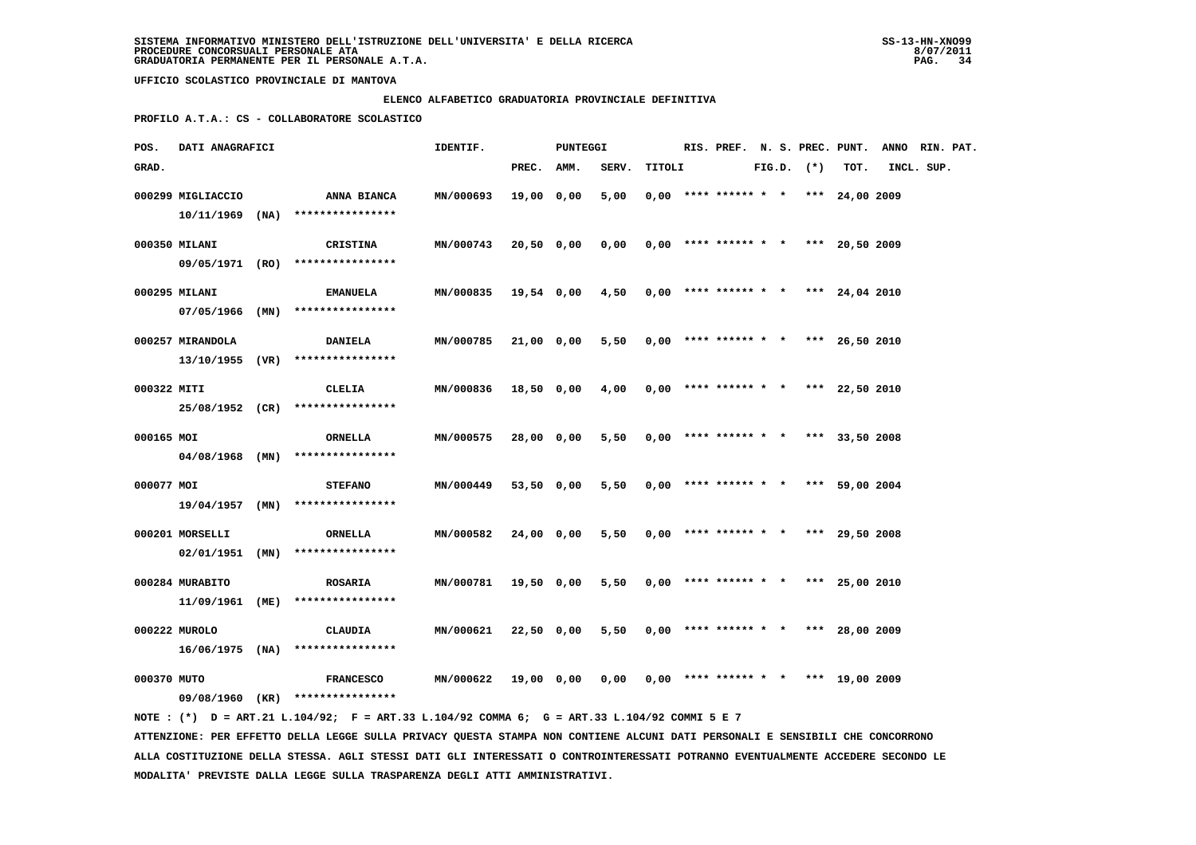### **ELENCO ALFABETICO GRADUATORIA PROVINCIALE DEFINITIVA**

 **PROFILO A.T.A.: CS - COLLABORATORE SCOLASTICO**

| POS.        | DATI ANAGRAFICI   |                                    | IDENTIF.         |            | <b>PUNTEGGI</b> |       |        | RIS. PREF. N. S. PREC. PUNT.          |  |                |                | ANNO RIN. PAT. |  |
|-------------|-------------------|------------------------------------|------------------|------------|-----------------|-------|--------|---------------------------------------|--|----------------|----------------|----------------|--|
| GRAD.       |                   |                                    |                  | PREC.      | AMM.            | SERV. | TITOLI |                                       |  | $FIG.D.$ $(*)$ | TOT.           | INCL. SUP.     |  |
|             | 000299 MIGLIACCIO | ANNA BIANCA                        | MN/000693        | 19,00 0,00 |                 | 5,00  |        | $0,00$ **** ****** * * *** 24,00 2009 |  |                |                |                |  |
|             |                   | $10/11/1969$ (NA) **************** |                  |            |                 |       |        |                                       |  |                |                |                |  |
|             | 000350 MILANI     | CRISTINA                           | MN/000743        | 20,50 0,00 |                 | 0,00  |        | $0,00$ **** ****** * * *** 20,50 2009 |  |                |                |                |  |
|             |                   | 09/05/1971 (RO) ****************   |                  |            |                 |       |        |                                       |  |                |                |                |  |
|             | 000295 MILANI     | <b>EMANUELA</b>                    | MN/000835        | 19,54 0,00 |                 | 4,50  |        | $0.00$ **** ****** * * *** 24.04 2010 |  |                |                |                |  |
|             | 07/05/1966 (MIN)  | ****************                   |                  |            |                 |       |        |                                       |  |                |                |                |  |
|             | 000257 MIRANDOLA  | <b>DANIELA</b>                     | MN/000785        | 21,00 0,00 |                 | 5,50  |        | $0,00$ **** ****** * * *** 26,50 2010 |  |                |                |                |  |
|             |                   | $13/10/1955$ (VR) **************** |                  |            |                 |       |        |                                       |  |                |                |                |  |
| 000322 MITI |                   | CLELIA                             | MN/000836        | 18,50 0,00 |                 | 4,00  |        | $0,00$ **** ****** * * *** 22,50 2010 |  |                |                |                |  |
|             | 25/08/1952 (CR)   | ****************                   |                  |            |                 |       |        |                                       |  |                |                |                |  |
| 000165 MOI  |                   | ORNELLA                            | MN/000575        | 28,00 0,00 |                 | 5,50  |        | $0,00$ **** ****** * * *** 33,50 2008 |  |                |                |                |  |
|             | 04/08/1968 (MN)   | ****************                   |                  |            |                 |       |        |                                       |  |                |                |                |  |
| 000077 MOI  |                   | <b>STEFANO</b>                     | <b>MN/000449</b> | 53,50 0,00 |                 | 5,50  |        | $0,00$ **** ****** * * *** 59,00 2004 |  |                |                |                |  |
|             | 19/04/1957 (MN)   | ****************                   |                  |            |                 |       |        |                                       |  |                |                |                |  |
|             | 000201 MORSELLI   | ORNELLA                            | <b>MN/000582</b> | 24,00 0,00 |                 | 5,50  |        | $0,00$ **** ****** * * *** 29,50 2008 |  |                |                |                |  |
|             | $02/01/1951$ (MN) | ****************                   |                  |            |                 |       |        |                                       |  |                |                |                |  |
|             | 000284 MURABITO   | <b>ROSARIA</b>                     | MN/000781        | 19,50 0,00 |                 | 5,50  |        | $0,00$ **** ****** * *                |  |                | *** 25,00 2010 |                |  |
|             |                   | $11/09/1961$ (ME) **************** |                  |            |                 |       |        |                                       |  |                |                |                |  |
|             | 000222 MUROLO     | <b>CLAUDIA</b>                     | MN/000621        | 22,50 0,00 |                 | 5,50  |        | $0.00$ **** ****** * * *** 28.00 2009 |  |                |                |                |  |
|             | 16/06/1975 (NA)   | ****************                   |                  |            |                 |       |        |                                       |  |                |                |                |  |
| 000370 MUTO |                   | <b>FRANCESCO</b>                   | MN/000622        | 19,00 0,00 |                 | 0,00  |        | $0,00$ **** ****** * * *** 19,00 2009 |  |                |                |                |  |
|             | 09/08/1960 (KR)   | ****************                   |                  |            |                 |       |        |                                       |  |                |                |                |  |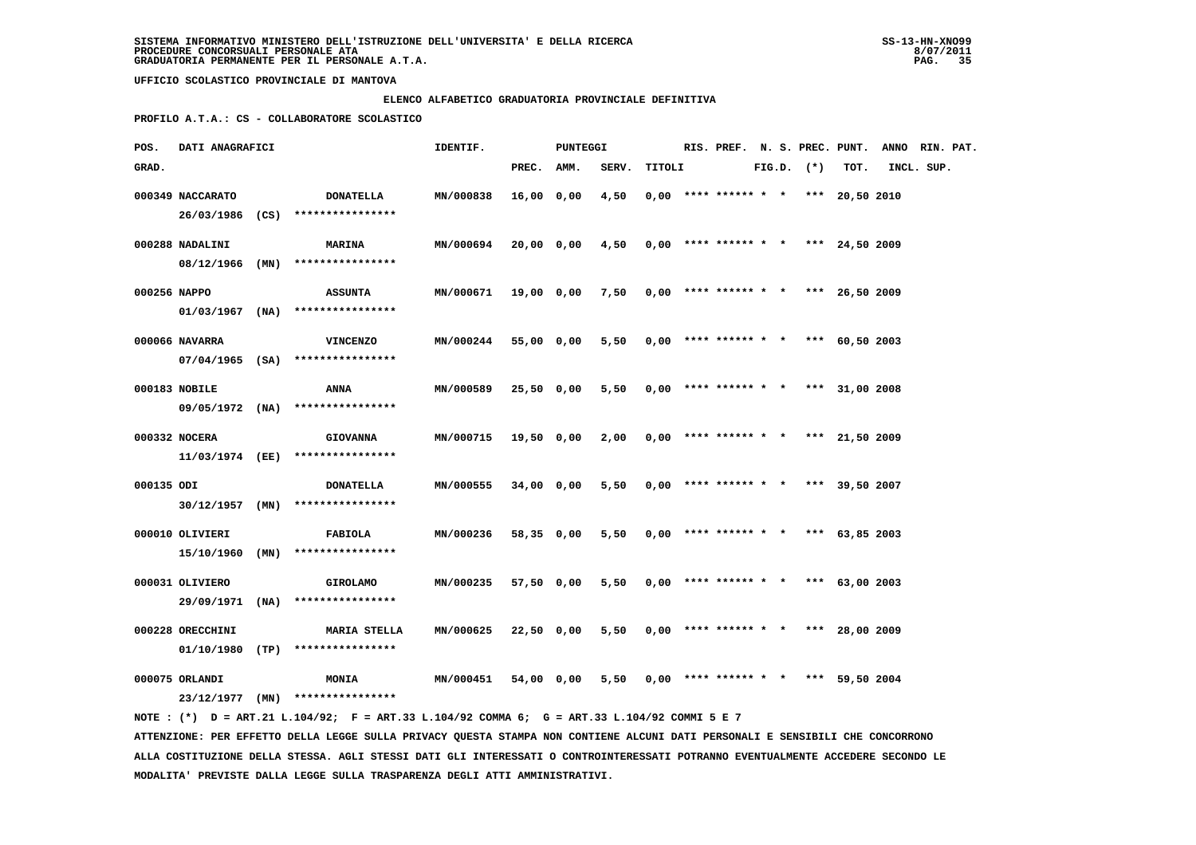### **ELENCO ALFABETICO GRADUATORIA PROVINCIALE DEFINITIVA**

 **PROFILO A.T.A.: CS - COLLABORATORE SCOLASTICO**

| POS.       | DATI ANAGRAFICI  |                                                                                             | IDENTIF.             |            | PUNTEGGI   |       |        |                                       |  |                |      | RIS. PREF. N. S. PREC. PUNT. ANNO RIN. PAT. |  |
|------------|------------------|---------------------------------------------------------------------------------------------|----------------------|------------|------------|-------|--------|---------------------------------------|--|----------------|------|---------------------------------------------|--|
| GRAD.      |                  |                                                                                             |                      | PREC.      | AMM.       | SERV. | TITOLI |                                       |  | $FIG.D.$ $(*)$ | TOT. | INCL. SUP.                                  |  |
|            | 000349 NACCARATO | <b>DONATELLA</b>                                                                            | MN/000838            | 16,00 0,00 |            | 4,50  |        | $0.00$ **** ****** * * *** 20.50 2010 |  |                |      |                                             |  |
|            |                  | 26/03/1986 (CS) ****************                                                            |                      |            |            |       |        |                                       |  |                |      |                                             |  |
|            | 000288 NADALINI  | <b>MARINA</b>                                                                               | MN/000694            |            | 20,00 0,00 | 4,50  |        | $0,00$ **** ****** * * *** 24,50 2009 |  |                |      |                                             |  |
|            |                  | 08/12/1966 (MN) ****************                                                            |                      |            |            |       |        |                                       |  |                |      |                                             |  |
|            | 000256 NAPPO     | <b>ASSUNTA</b>                                                                              | <b>MN/000671</b>     |            | 19,00 0,00 | 7,50  |        | $0,00$ **** ****** * * *** 26,50 2009 |  |                |      |                                             |  |
|            |                  | $01/03/1967$ (NA) ****************                                                          |                      |            |            |       |        |                                       |  |                |      |                                             |  |
|            | 000066 NAVARRA   | <b>VINCENZO</b>                                                                             | <b>MN/000244</b>     |            | 55,00 0,00 | 5,50  |        | $0.00$ **** ****** * * *** 60.50 2003 |  |                |      |                                             |  |
|            |                  | 07/04/1965 (SA) ****************                                                            |                      |            |            |       |        |                                       |  |                |      |                                             |  |
|            | 000183 NOBILE    | ANNA                                                                                        | MN/000589            | 25,50 0,00 |            | 5,50  |        | $0,00$ **** ****** * * *** 31,00 2008 |  |                |      |                                             |  |
|            |                  | 09/05/1972 (NA) ****************                                                            |                      |            |            |       |        |                                       |  |                |      |                                             |  |
|            |                  |                                                                                             |                      |            |            |       |        |                                       |  |                |      |                                             |  |
|            | 000332 NOCERA    | <b>GIOVANNA</b>                                                                             | MN/000715            | 19,50 0,00 |            | 2,00  |        | $0,00$ **** ****** * * *** 21,50 2009 |  |                |      |                                             |  |
|            |                  | 11/03/1974 (EE) ****************                                                            |                      |            |            |       |        |                                       |  |                |      |                                             |  |
| 000135 ODI |                  | <b>DONATELLA</b>                                                                            | <b>MN/000555</b>     | 34,00 0,00 |            | 5,50  |        | $0,00$ **** ****** * * *** 39,50 2007 |  |                |      |                                             |  |
|            |                  | $30/12/1957$ (MN) ****************                                                          |                      |            |            |       |        |                                       |  |                |      |                                             |  |
|            | 000010 OLIVIERI  | FABIOLA                                                                                     | <b>MN/000236</b>     |            | 58,35 0,00 | 5,50  |        | $0,00$ **** ****** * * *** 63,85 2003 |  |                |      |                                             |  |
|            |                  | $15/10/1960$ (MN) ****************                                                          |                      |            |            |       |        |                                       |  |                |      |                                             |  |
|            | 000031 OLIVIERO  | <b>GIROLAMO</b>                                                                             | MN/000235            |            | 57,50 0,00 | 5,50  |        | $0,00$ **** ****** * * *** 63,00 2003 |  |                |      |                                             |  |
|            |                  | 29/09/1971 (NA) ****************                                                            |                      |            |            |       |        |                                       |  |                |      |                                             |  |
|            |                  |                                                                                             |                      |            |            |       |        |                                       |  |                |      |                                             |  |
|            | 000228 ORECCHINI | <b>MARIA STELLA</b><br>$01/10/1980$ (TP) ****************                                   | MN/000625 22,50 0,00 |            |            | 5,50  |        | $0,00$ **** ****** * * *** 28,00 2009 |  |                |      |                                             |  |
|            |                  |                                                                                             |                      |            |            |       |        |                                       |  |                |      |                                             |  |
|            | 000075 ORLANDI   | <b>MONIA</b>                                                                                | MN/000451            |            | 54,00 0,00 | 5,50  |        | $0,00$ **** ****** * * *** 59,50 2004 |  |                |      |                                             |  |
|            |                  | 23/12/1977 (MN) ****************                                                            |                      |            |            |       |        |                                       |  |                |      |                                             |  |
|            |                  | NOTE: (*) D = ART.21 L.104/92; F = ART.33 L.104/92 COMMA 6; G = ART.33 L.104/92 COMMI 5 E 7 |                      |            |            |       |        |                                       |  |                |      |                                             |  |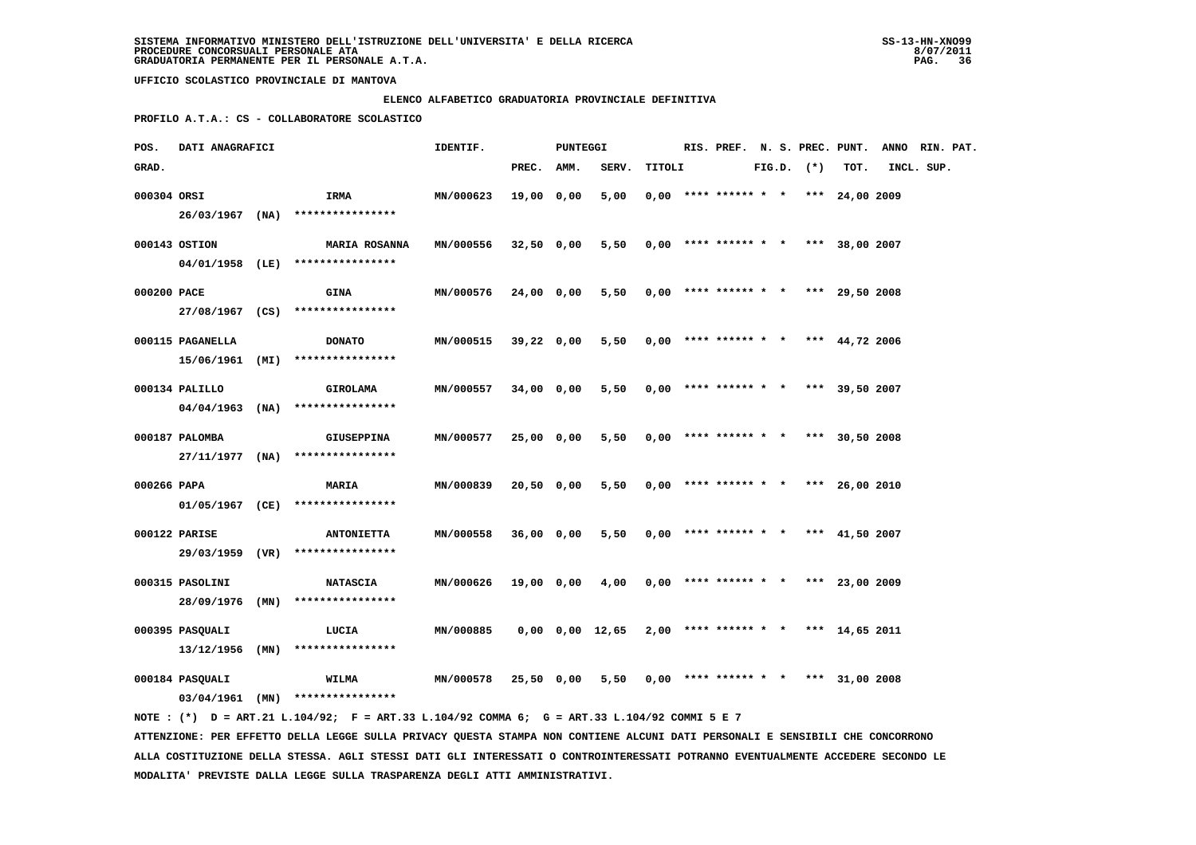### **ELENCO ALFABETICO GRADUATORIA PROVINCIALE DEFINITIVA**

 **PROFILO A.T.A.: CS - COLLABORATORE SCOLASTICO**

| POS.        | <b>DATI ANAGRAFICI</b> |                                                                                              | IDENTIF.         |            | PUNTEGGI |                                                           |        |                                            |  |                |      | RIS. PREF. N. S. PREC. PUNT. ANNO RIN. PAT. |  |
|-------------|------------------------|----------------------------------------------------------------------------------------------|------------------|------------|----------|-----------------------------------------------------------|--------|--------------------------------------------|--|----------------|------|---------------------------------------------|--|
| GRAD.       |                        |                                                                                              |                  | PREC. AMM. |          | SERV.                                                     | TITOLI |                                            |  | $FIG.D.$ $(*)$ | TOT. | INCL. SUP.                                  |  |
| 000304 ORSI |                        | <b>IRMA</b>                                                                                  | MN/000623        | 19,00 0,00 |          | 5,00                                                      |        | $0.00$ **** ****** * * *** 24,00 2009      |  |                |      |                                             |  |
|             |                        | $26/03/1967$ (NA) ****************                                                           |                  |            |          |                                                           |        |                                            |  |                |      |                                             |  |
|             | 000143 OSTION          | <b>MARIA ROSANNA</b>                                                                         | <b>MN/000556</b> | 32,50 0,00 |          |                                                           |        | $5,50$ 0,00 **** ****** * * *** 38,00 2007 |  |                |      |                                             |  |
|             |                        | 04/01/1958 (LE) ****************                                                             |                  |            |          |                                                           |        |                                            |  |                |      |                                             |  |
| 000200 PACE |                        | <b>GINA</b>                                                                                  | <b>MN/000576</b> | 24,00 0,00 |          |                                                           |        | $5,50$ 0,00 **** ****** * * *** 29,50 2008 |  |                |      |                                             |  |
|             |                        | 27/08/1967 (CS) ****************                                                             |                  |            |          |                                                           |        |                                            |  |                |      |                                             |  |
|             | 000115 PAGANELLA       | <b>DONATO</b>                                                                                | MN/000515        | 39,22 0,00 |          |                                                           |        | 5,50 0,00 **** ****** * * *** 44,72 2006   |  |                |      |                                             |  |
|             |                        | 15/06/1961 (MI) ****************                                                             |                  |            |          |                                                           |        |                                            |  |                |      |                                             |  |
|             | 000134 PALILLO         | <b>GIROLAMA</b>                                                                              | <b>MN/000557</b> | 34,00 0,00 |          | 5,50                                                      |        | $0,00$ **** ****** * * *** 39,50 2007      |  |                |      |                                             |  |
|             |                        | $04/04/1963$ (NA) ****************                                                           |                  |            |          |                                                           |        |                                            |  |                |      |                                             |  |
|             | 000187 PALOMBA         | <b>GIUSEPPINA</b>                                                                            | MN/000577        | 25,00 0,00 |          | 5,50                                                      |        | $0,00$ **** ****** * * *** 30,50 2008      |  |                |      |                                             |  |
|             |                        | $27/11/1977$ (NA) ****************                                                           |                  |            |          |                                                           |        |                                            |  |                |      |                                             |  |
| 000266 PAPA |                        | <b>MARIA</b>                                                                                 | MN/000839        | 20,50 0,00 |          | 5,50                                                      |        | $0,00$ **** ****** * * *** 26,00 2010      |  |                |      |                                             |  |
|             |                        | 01/05/1967 (CE) ****************                                                             |                  |            |          |                                                           |        |                                            |  |                |      |                                             |  |
|             | 000122 PARISE          | <b>ANTONIETTA</b>                                                                            | <b>MN/000558</b> | 36,00 0,00 |          | 5,50                                                      |        | $0,00$ **** ****** * * *** 41,50 2007      |  |                |      |                                             |  |
|             |                        | 29/03/1959 (VR) ****************                                                             |                  |            |          |                                                           |        |                                            |  |                |      |                                             |  |
|             | 000315 PASOLINI        | <b>NATASCIA</b>                                                                              | <b>MN/000626</b> | 19,00 0,00 |          | 4,00                                                      |        | $0,00$ **** ****** * * *** 23,00 2009      |  |                |      |                                             |  |
|             |                        | 28/09/1976 (MN) ****************                                                             |                  |            |          |                                                           |        |                                            |  |                |      |                                             |  |
|             | 000395 PASQUALI        | LUCIA                                                                                        | MN/000885        |            |          | $0,00$ $0,00$ $12,65$ $2,00$ **** ****** * *** 14,65 2011 |        |                                            |  |                |      |                                             |  |
|             |                        | $13/12/1956$ (MN) ****************                                                           |                  |            |          |                                                           |        |                                            |  |                |      |                                             |  |
|             | 000184 PASQUALI        | <b>WILMA</b>                                                                                 | <b>MN/000578</b> | 25,50 0,00 |          |                                                           |        | $5,50$ 0,00 **** ****** * * *** 31,00 2008 |  |                |      |                                             |  |
|             |                        | $03/04/1961$ (MN) *****************                                                          |                  |            |          |                                                           |        |                                            |  |                |      |                                             |  |
|             |                        | NOTE : (*) D = ART.21 L.104/92; F = ART.33 L.104/92 COMMA 6; G = ART.33 L.104/92 COMMI 5 E 7 |                  |            |          |                                                           |        |                                            |  |                |      |                                             |  |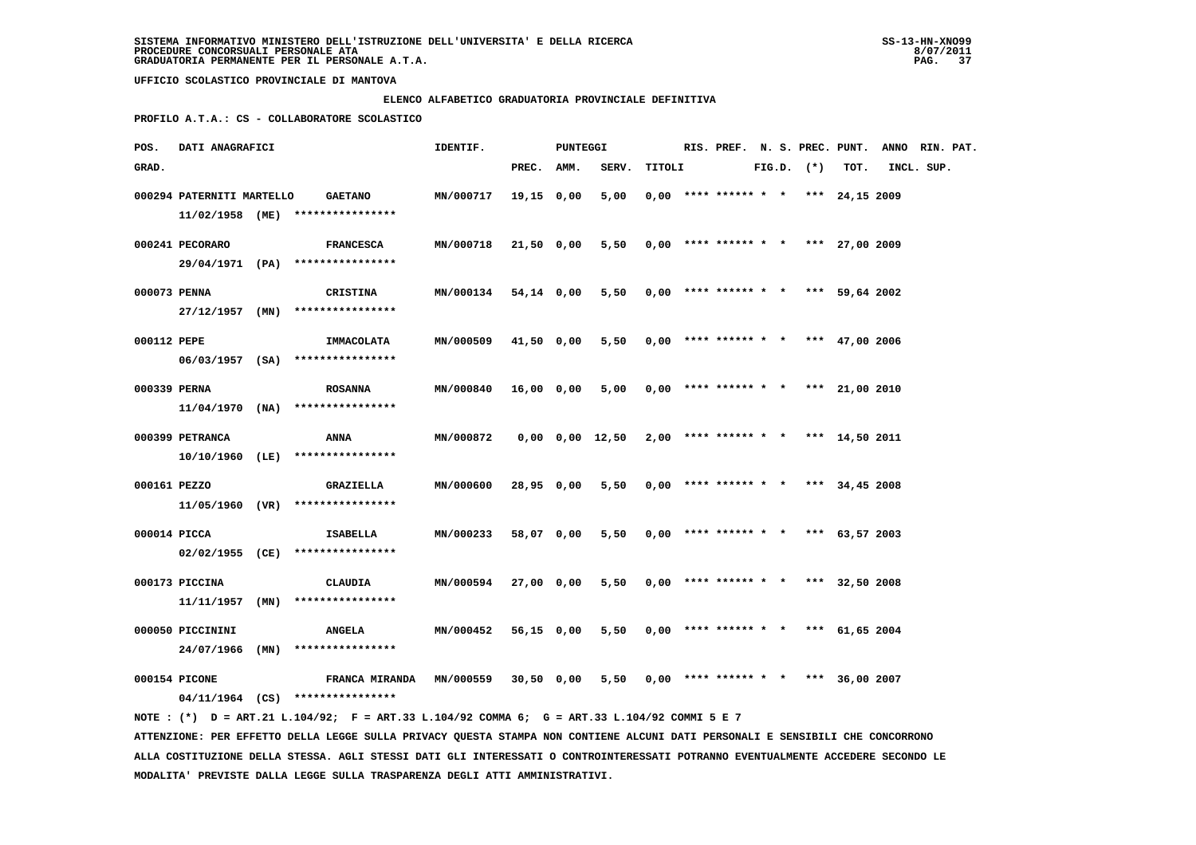### **ELENCO ALFABETICO GRADUATORIA PROVINCIALE DEFINITIVA**

 **PROFILO A.T.A.: CS - COLLABORATORE SCOLASTICO**

| POS.         | DATI ANAGRAFICI           |                                                                                             | IDENTIF.             |            | <b>PUNTEGGI</b> |                                            |        |  |                                       |  |                |      | RIS. PREF. N. S. PREC. PUNT. ANNO RIN. PAT. |  |
|--------------|---------------------------|---------------------------------------------------------------------------------------------|----------------------|------------|-----------------|--------------------------------------------|--------|--|---------------------------------------|--|----------------|------|---------------------------------------------|--|
| GRAD.        |                           |                                                                                             |                      | PREC. AMM. |                 | SERV.                                      | TITOLI |  |                                       |  | $FIG.D.$ $(*)$ | TOT. | INCL. SUP.                                  |  |
|              | 000294 PATERNITI MARTELLO | <b>GAETANO</b>                                                                              | <b>MN/000717</b>     | 19,15 0,00 |                 | 5,00                                       |        |  | $0,00$ **** ****** * * *** 24,15 2009 |  |                |      |                                             |  |
|              |                           | $11/02/1958$ (ME) ****************                                                          |                      |            |                 |                                            |        |  |                                       |  |                |      |                                             |  |
|              |                           |                                                                                             |                      |            |                 |                                            |        |  |                                       |  |                |      |                                             |  |
|              | 000241 PECORARO           | <b>FRANCESCA</b><br>29/04/1971 (PA) ****************                                        | <b>MN/000718</b>     | 21,50 0,00 |                 | $5,50$ 0,00 **** ****** * * *** 27,00 2009 |        |  |                                       |  |                |      |                                             |  |
|              |                           |                                                                                             |                      |            |                 |                                            |        |  |                                       |  |                |      |                                             |  |
| 000073 PENNA |                           | CRISTINA                                                                                    | MN/000134 54,14 0,00 |            |                 | $5,50$ 0,00 **** ****** * * *** 59,64 2002 |        |  |                                       |  |                |      |                                             |  |
|              |                           | $27/12/1957$ (MN) *****************                                                         |                      |            |                 |                                            |        |  |                                       |  |                |      |                                             |  |
| 000112 PEPE  |                           | IMMACOLATA                                                                                  | <b>MN/000509</b>     | 41,50 0,00 |                 | 5,50                                       |        |  | $0,00$ **** ****** * * *** 47,00 2006 |  |                |      |                                             |  |
|              |                           | $06/03/1957$ (SA) ****************                                                          |                      |            |                 |                                            |        |  |                                       |  |                |      |                                             |  |
|              |                           |                                                                                             |                      |            |                 |                                            |        |  |                                       |  |                |      |                                             |  |
| 000339 PERNA |                           | <b>ROSANNA</b>                                                                              | <b>MN/000840</b>     | 16,00 0,00 |                 | 5,00                                       |        |  | $0.00$ **** ****** * * *** 21,00 2010 |  |                |      |                                             |  |
|              |                           | $11/04/1970$ (NA) ****************                                                          |                      |            |                 |                                            |        |  |                                       |  |                |      |                                             |  |
|              | 000399 PETRANCA           | ANNA                                                                                        | MN/000872            |            |                 | $0,00$ $0,00$ $12,50$                      |        |  | $2,00$ **** ****** * * *** 14,50 2011 |  |                |      |                                             |  |
|              |                           | 10/10/1960 (LE) ****************                                                            |                      |            |                 |                                            |        |  |                                       |  |                |      |                                             |  |
| 000161 PEZZO |                           | <b>GRAZIELLA</b>                                                                            | <b>MN/000600</b>     | 28,95 0,00 |                 | 5,50                                       |        |  | $0,00$ **** ****** * * *** 34,45 2008 |  |                |      |                                             |  |
|              |                           | $11/05/1960$ (VR) *****************                                                         |                      |            |                 |                                            |        |  |                                       |  |                |      |                                             |  |
|              |                           |                                                                                             |                      |            |                 |                                            |        |  |                                       |  |                |      |                                             |  |
| 000014 PICCA |                           | ISABELLA                                                                                    | MN/000233            | 58,07 0,00 |                 | 5,50                                       |        |  | $0,00$ **** ****** * * *** 63,57 2003 |  |                |      |                                             |  |
|              |                           | 02/02/1955 (CE) *****************                                                           |                      |            |                 |                                            |        |  |                                       |  |                |      |                                             |  |
|              | 000173 PICCINA            | CLAUDIA                                                                                     | MN/000594            | 27,00 0,00 |                 | 5,50                                       |        |  | $0.00$ **** ****** * * *** 32.50 2008 |  |                |      |                                             |  |
|              | 11/11/1957 (MN)           | ****************                                                                            |                      |            |                 |                                            |        |  |                                       |  |                |      |                                             |  |
|              |                           |                                                                                             |                      |            |                 |                                            |        |  |                                       |  |                |      |                                             |  |
|              | 000050 PICCININI          | <b>ANGELA</b>                                                                               | MN/000452            | 56,15 0,00 |                 | 5,50                                       |        |  | $0,00$ **** ****** * * *** 61,65 2004 |  |                |      |                                             |  |
|              | 24/07/1966 (MN)           | ****************                                                                            |                      |            |                 |                                            |        |  |                                       |  |                |      |                                             |  |
|              | 000154 PICONE             | FRANCA MIRANDA MN/000559                                                                    |                      | 30,50 0,00 |                 | 5,50                                       |        |  | $0,00$ **** ****** * * *** 36,00 2007 |  |                |      |                                             |  |
|              |                           | $04/11/1964$ (CS) ****************                                                          |                      |            |                 |                                            |        |  |                                       |  |                |      |                                             |  |
|              |                           | NOTE: (*) D = ART.21 L.104/92; F = ART.33 L.104/92 COMMA 6; G = ART.33 L.104/92 COMMI 5 E 7 |                      |            |                 |                                            |        |  |                                       |  |                |      |                                             |  |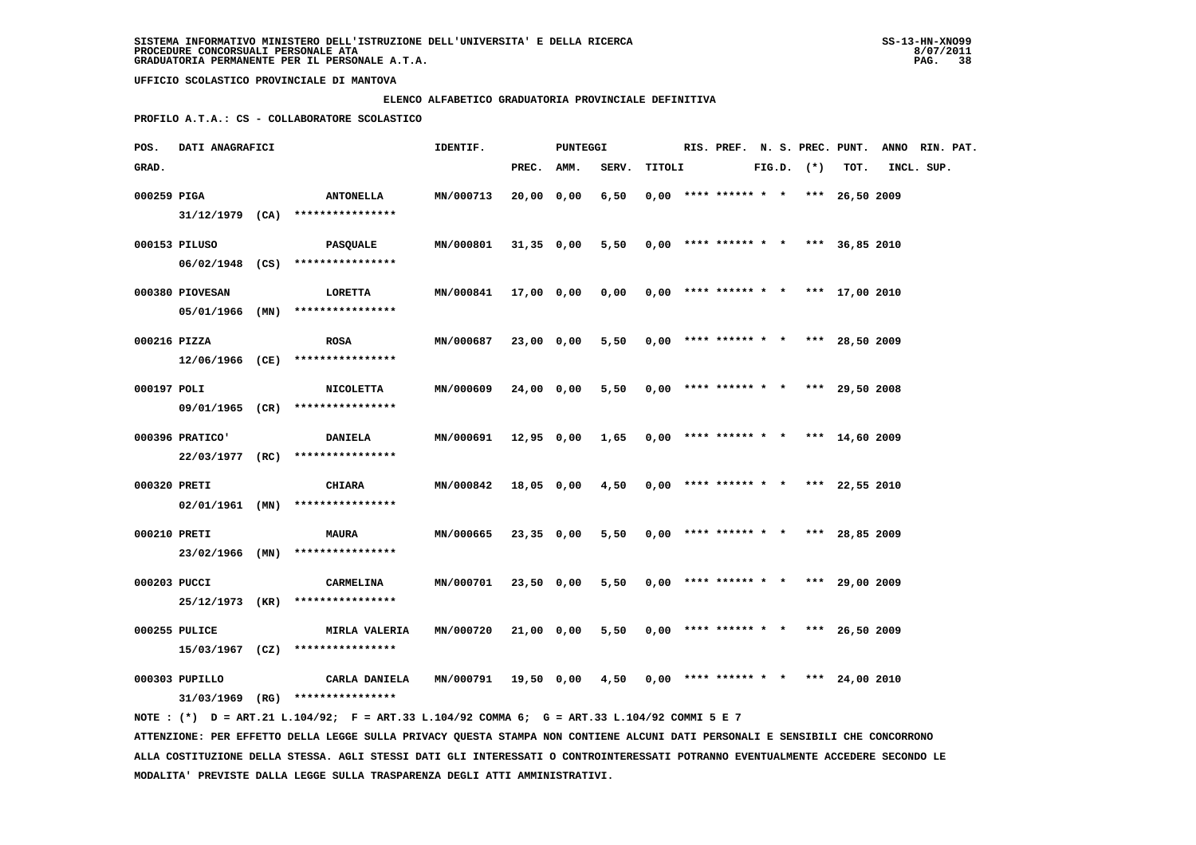# **ELENCO ALFABETICO GRADUATORIA PROVINCIALE DEFINITIVA**

 **PROFILO A.T.A.: CS - COLLABORATORE SCOLASTICO**

| POS.        | DATI ANAGRAFICI |                                                                                                                               | IDENTIF.         |              | <b>PUNTEGGI</b> |                 |        | RIS. PREF. N. S. PREC. PUNT. |                                       |  |              | ANNO RIN. PAT. |            |  |
|-------------|-----------------|-------------------------------------------------------------------------------------------------------------------------------|------------------|--------------|-----------------|-----------------|--------|------------------------------|---------------------------------------|--|--------------|----------------|------------|--|
| GRAD.       |                 |                                                                                                                               |                  | PREC.        | AMM.            | SERV.           | TITOLI |                              |                                       |  | FIG.D. $(*)$ | TOT.           | INCL. SUP. |  |
| 000259 PIGA |                 | <b>ANTONELLA</b>                                                                                                              | MN/000713        | 20,00 0,00   |                 | 6,50            |        |                              | $0,00$ **** ****** * * *** 26,50 2009 |  |              |                |            |  |
|             |                 | 31/12/1979 (CA) ****************                                                                                              |                  |              |                 |                 |        |                              |                                       |  |              |                |            |  |
|             | 000153 PILUSO   | PASQUALE                                                                                                                      | MN/000801        | $31,35$ 0,00 |                 | 5,50            |        |                              | $0,00$ **** ****** * * *** 36,85 2010 |  |              |                |            |  |
|             |                 | 06/02/1948 (CS) ****************                                                                                              |                  |              |                 |                 |        |                              |                                       |  |              |                |            |  |
|             |                 |                                                                                                                               |                  |              |                 |                 |        |                              |                                       |  |              |                |            |  |
|             | 000380 PIOVESAN | LORETTA                                                                                                                       | MN/000841        | 17,00 0,00   |                 | 0,00            |        |                              | $0,00$ **** ****** * * *** 17,00 2010 |  |              |                |            |  |
|             |                 | 05/01/1966 (MN) ****************                                                                                              |                  |              |                 |                 |        |                              |                                       |  |              |                |            |  |
|             | 000216 PIZZA    | <b>ROSA</b>                                                                                                                   | MN/000687        | 23,00 0,00   |                 | 5,50            |        |                              | $0,00$ **** ****** * * *** 28,50 2009 |  |              |                |            |  |
|             | 12/06/1966 (CE) | ****************                                                                                                              |                  |              |                 |                 |        |                              |                                       |  |              |                |            |  |
| 000197 POLI |                 | <b>NICOLETTA</b>                                                                                                              | MN/000609        | 24,00 0,00   |                 | 5,50            |        |                              | $0,00$ **** ****** * * *** 29,50 2008 |  |              |                |            |  |
|             |                 | 09/01/1965 (CR) ****************                                                                                              |                  |              |                 |                 |        |                              |                                       |  |              |                |            |  |
|             |                 |                                                                                                                               |                  |              |                 |                 |        |                              |                                       |  |              |                |            |  |
|             | 000396 PRATICO' | <b>DANIELA</b>                                                                                                                | MN/000691        |              |                 | 12,95 0,00 1,65 |        |                              | $0,00$ **** ****** * * *** 14,60 2009 |  |              |                |            |  |
|             |                 | 22/03/1977 (RC) ****************                                                                                              |                  |              |                 |                 |        |                              |                                       |  |              |                |            |  |
|             | 000320 PRETI    | CHIARA                                                                                                                        | MN/000842        |              | 18,05 0,00      | 4,50            |        |                              | $0,00$ **** ****** * * *** 22,55 2010 |  |              |                |            |  |
|             | 02/01/1961 (MN) | ****************                                                                                                              |                  |              |                 |                 |        |                              |                                       |  |              |                |            |  |
|             | 000210 PRETI    | <b>MAURA</b>                                                                                                                  | MN/000665        | 23,35 0,00   |                 | 5,50            |        |                              | $0,00$ **** ****** * * *** 28,85 2009 |  |              |                |            |  |
|             |                 | 23/02/1966 (MN) ****************                                                                                              |                  |              |                 |                 |        |                              |                                       |  |              |                |            |  |
|             |                 |                                                                                                                               |                  |              |                 |                 |        |                              |                                       |  |              |                |            |  |
|             | 000203 PUCCI    | CARMELINA                                                                                                                     | <b>MN/000701</b> | 23,50 0,00   |                 | 5,50            |        |                              | $0,00$ **** ****** * * *** 29,00 2009 |  |              |                |            |  |
|             |                 | 25/12/1973 (KR) ****************                                                                                              |                  |              |                 |                 |        |                              |                                       |  |              |                |            |  |
|             | 000255 PULICE   | MIRLA VALERIA                                                                                                                 | MN/000720        | 21,00 0,00   |                 | 5,50            |        |                              | $0,00$ **** ****** * * *** 26,50 2009 |  |              |                |            |  |
|             |                 | $15/03/1967$ (CZ) ****************                                                                                            |                  |              |                 |                 |        |                              |                                       |  |              |                |            |  |
|             | 000303 PUPILLO  | CARLA DANIELA                                                                                                                 | MN/000791        |              |                 |                 |        |                              | $0,00$ **** ****** * * *** 24,00 2010 |  |              |                |            |  |
|             |                 | $31/03/1969$ (RG) *****************                                                                                           |                  | 19,50 0,00   |                 | 4,50            |        |                              |                                       |  |              |                |            |  |
|             |                 | NOTE : (*) D = ART.21 L.104/92; F = ART.33 L.104/92 COMMA 6; G = ART.33 L.104/92 COMMI 5 E 7                                  |                  |              |                 |                 |        |                              |                                       |  |              |                |            |  |
|             |                 | ATTENZIONE: PER EFFETTO DELLA LEGGE SULLA PRIVACY QUESTA STAMPA NON CONTIENE ALCUNI DATI PERSONALI E SENSIBILI CHE CONCORRONO |                  |              |                 |                 |        |                              |                                       |  |              |                |            |  |

 **ALLA COSTITUZIONE DELLA STESSA. AGLI STESSI DATI GLI INTERESSATI O CONTROINTERESSATI POTRANNO EVENTUALMENTE ACCEDERE SECONDO LE MODALITA' PREVISTE DALLA LEGGE SULLA TRASPARENZA DEGLI ATTI AMMINISTRATIVI.**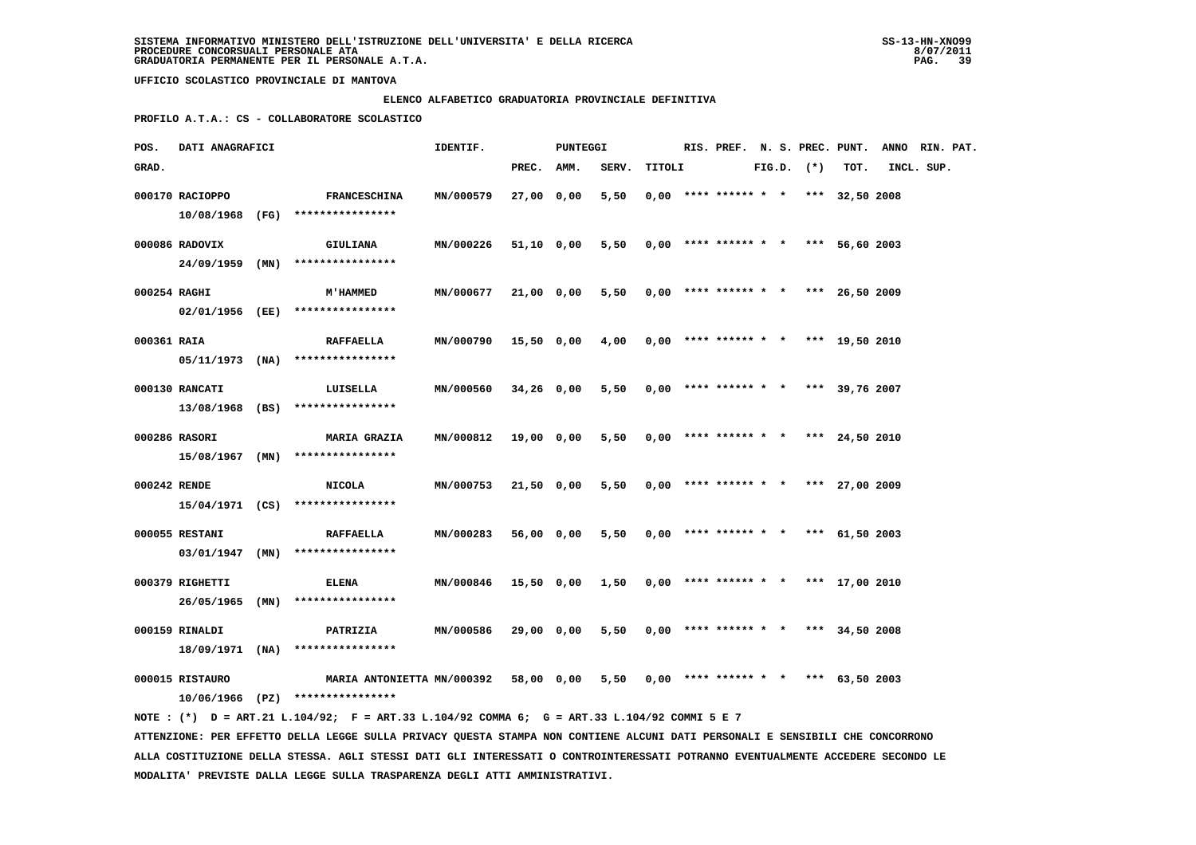# **ELENCO ALFABETICO GRADUATORIA PROVINCIALE DEFINITIVA**

 **PROFILO A.T.A.: CS - COLLABORATORE SCOLASTICO**

| POS.         | DATI ANAGRAFICI |                                                                                                                               | IDENTIF.  |            | PUNTEGGI   |       |        |                                       |  |                |      | RIS. PREF. N. S. PREC. PUNT. ANNO RIN. PAT. |  |
|--------------|-----------------|-------------------------------------------------------------------------------------------------------------------------------|-----------|------------|------------|-------|--------|---------------------------------------|--|----------------|------|---------------------------------------------|--|
| GRAD.        |                 |                                                                                                                               |           | PREC.      | AMM.       | SERV. | TITOLI |                                       |  | $FIG.D.$ $(*)$ | TOT. | INCL. SUP.                                  |  |
|              | 000170 RACIOPPO | <b>FRANCESCHINA</b>                                                                                                           | MN/000579 | 27,00 0,00 |            | 5,50  |        | $0.00$ **** ****** * * *** 32.50 2008 |  |                |      |                                             |  |
|              |                 | 10/08/1968 (FG) ****************                                                                                              |           |            |            |       |        |                                       |  |                |      |                                             |  |
|              | 000086 RADOVIX  |                                                                                                                               |           |            |            |       |        |                                       |  |                |      |                                             |  |
|              | 24/09/1959 (MN) | GIULIANA<br>****************                                                                                                  | MN/000226 |            | 51,10 0,00 | 5,50  |        | $0,00$ **** ****** * * *** 56,60 2003 |  |                |      |                                             |  |
|              |                 |                                                                                                                               |           |            |            |       |        |                                       |  |                |      |                                             |  |
| 000254 RAGHI |                 | <b>M'HAMMED</b>                                                                                                               | MN/000677 | 21,00 0,00 |            | 5,50  |        | $0,00$ **** ****** * * *** 26,50 2009 |  |                |      |                                             |  |
|              | 02/01/1956 (EE) | ****************                                                                                                              |           |            |            |       |        |                                       |  |                |      |                                             |  |
| 000361 RAIA  |                 | <b>RAFFAELLA</b>                                                                                                              | MN/000790 | 15,50 0,00 |            | 4,00  |        | $0,00$ **** ****** * * *** 19,50 2010 |  |                |      |                                             |  |
|              | 05/11/1973 (NA) | ****************                                                                                                              |           |            |            |       |        |                                       |  |                |      |                                             |  |
|              | 000130 RANCATI  | LUISELLA                                                                                                                      | MN/000560 | 34,26 0,00 |            | 5,50  |        | $0,00$ **** ****** * * *** 39,76 2007 |  |                |      |                                             |  |
|              | 13/08/1968 (BS) | ****************                                                                                                              |           |            |            |       |        |                                       |  |                |      |                                             |  |
|              |                 |                                                                                                                               |           |            |            |       |        |                                       |  |                |      |                                             |  |
|              | 000286 RASORI   | <b>MARIA GRAZIA</b>                                                                                                           | MN/000812 | 19,00 0,00 |            | 5,50  |        | $0,00$ **** ****** * * *** 24,50 2010 |  |                |      |                                             |  |
|              |                 | $15/08/1967$ (MN) *****************                                                                                           |           |            |            |       |        |                                       |  |                |      |                                             |  |
| 000242 RENDE |                 | <b>NICOLA</b>                                                                                                                 | MN/000753 | 21,50 0,00 |            | 5,50  |        | $0.00$ **** ****** * * *** 27,00 2009 |  |                |      |                                             |  |
|              |                 | 15/04/1971 (CS) ****************                                                                                              |           |            |            |       |        |                                       |  |                |      |                                             |  |
|              | 000055 RESTANI  | <b>RAFFAELLA</b>                                                                                                              | MN/000283 | 56,00 0,00 |            | 5,50  |        | $0,00$ **** ****** * * *** 61,50 2003 |  |                |      |                                             |  |
|              | 03/01/1947 (MN) | ****************                                                                                                              |           |            |            |       |        |                                       |  |                |      |                                             |  |
|              |                 |                                                                                                                               |           |            |            |       |        |                                       |  |                |      |                                             |  |
|              | 000379 RIGHETTI | ELENA                                                                                                                         | MN/000846 |            | 15,50 0,00 | 1,50  |        | $0,00$ **** ****** * * *** 17,00 2010 |  |                |      |                                             |  |
|              | 26/05/1965 (MN) | ****************                                                                                                              |           |            |            |       |        |                                       |  |                |      |                                             |  |
|              | 000159 RINALDI  | PATRIZIA                                                                                                                      | MN/000586 | 29,00 0,00 |            | 5,50  |        | $0,00$ **** ****** * * *** 34,50 2008 |  |                |      |                                             |  |
|              | 18/09/1971 (NA) | ****************                                                                                                              |           |            |            |       |        |                                       |  |                |      |                                             |  |
|              | 000015 RISTAURO | MARIA ANTONIETTA MN/000392                                                                                                    |           |            | 58,00 0,00 | 5,50  |        | $0,00$ **** ****** * * *** 63,50 2003 |  |                |      |                                             |  |
|              |                 | $10/06/1966$ (PZ) ****************                                                                                            |           |            |            |       |        |                                       |  |                |      |                                             |  |
|              |                 | NOTE : (*) D = ART.21 L.104/92; F = ART.33 L.104/92 COMMA 6; G = ART.33 L.104/92 COMMI 5 E 7                                  |           |            |            |       |        |                                       |  |                |      |                                             |  |
|              |                 | ATTENZIONE: PER EFFETTO DELLA LEGGE SULLA PRIVACY QUESTA STAMPA NON CONTIENE ALCUNI DATI PERSONALI E SENSIBILI CHE CONCORRONO |           |            |            |       |        |                                       |  |                |      |                                             |  |

 **ALLA COSTITUZIONE DELLA STESSA. AGLI STESSI DATI GLI INTERESSATI O CONTROINTERESSATI POTRANNO EVENTUALMENTE ACCEDERE SECONDO LE MODALITA' PREVISTE DALLA LEGGE SULLA TRASPARENZA DEGLI ATTI AMMINISTRATIVI.**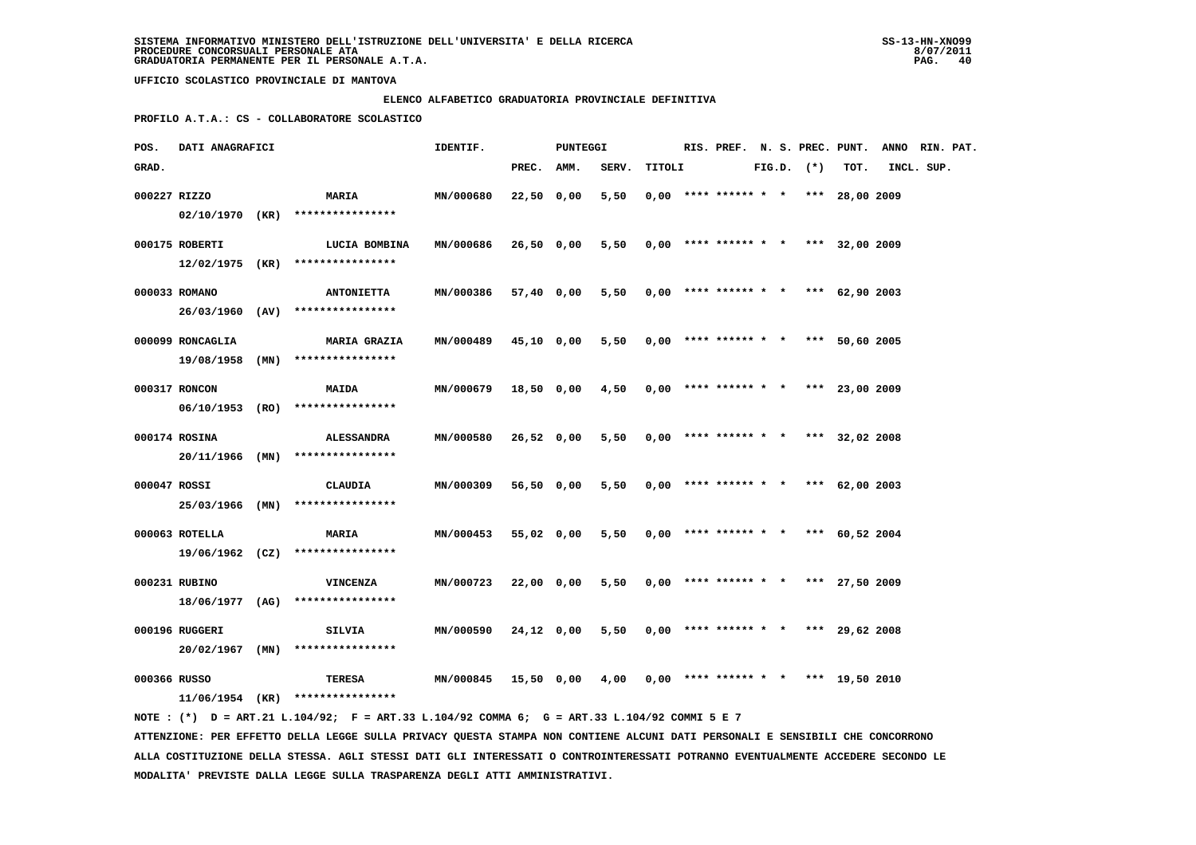#### **ELENCO ALFABETICO GRADUATORIA PROVINCIALE DEFINITIVA**

 **PROFILO A.T.A.: CS - COLLABORATORE SCOLASTICO**

| POS.         | DATI ANAGRAFICI                     |                                                          | IDENTIF.         |              | <b>PUNTEGGI</b> |       |        |                                       |  |                |      | RIS. PREF. N. S. PREC. PUNT. ANNO RIN. PAT. |  |
|--------------|-------------------------------------|----------------------------------------------------------|------------------|--------------|-----------------|-------|--------|---------------------------------------|--|----------------|------|---------------------------------------------|--|
| GRAD.        |                                     |                                                          |                  | PREC. AMM.   |                 | SERV. | TITOLI |                                       |  | $FIG.D.$ $(*)$ | TOT. | INCL. SUP.                                  |  |
| 000227 RIZZO |                                     | <b>MARIA</b>                                             | MN/000680        | $22,50$ 0,00 |                 | 5,50  |        | $0,00$ **** ****** * * *** 28,00 2009 |  |                |      |                                             |  |
|              | 000175 ROBERTI                      | $02/10/1970$ (KR) ****************<br>LUCIA BOMBINA      | <b>MN/000686</b> | 26,50 0,00   |                 | 5,50  |        | $0.00$ **** ****** * * *** 32.00 2009 |  |                |      |                                             |  |
|              |                                     | $12/02/1975$ (KR) *****************                      |                  |              |                 |       |        |                                       |  |                |      |                                             |  |
|              | 000033 ROMANO                       | <b>ANTONIETTA</b><br>26/03/1960 (AV) ****************    | MN/000386        |              | 57,40 0,00      | 5,50  |        | $0,00$ **** ****** * * *** 62,90 2003 |  |                |      |                                             |  |
|              | 000099 RONCAGLIA                    | <b>MARIA GRAZIA</b>                                      | MN/000489        | 45,10 0,00   |                 | 5,50  |        | $0,00$ **** ****** * * *** 50,60 2005 |  |                |      |                                             |  |
|              | 19/08/1958 (MN)<br>000317 RONCON    | ****************<br><b>MAIDA</b>                         | MN/000679        | 18,50 0,00   |                 | 4,50  |        | $0,00$ **** ****** * * *** 23,00 2009 |  |                |      |                                             |  |
|              |                                     | 06/10/1953 (RO) ****************                         |                  |              |                 |       |        |                                       |  |                |      |                                             |  |
|              | 000174 ROSINA                       | <b>ALESSANDRA</b><br>$20/11/1966$ (MN) ***************** | MN/000580        | 26,52 0,00   |                 | 5,50  |        | $0.00$ **** ****** * * *** 32.02 2008 |  |                |      |                                             |  |
| 000047 ROSSI |                                     | CLAUDIA                                                  | <b>MN/000309</b> | 56,50 0,00   |                 | 5,50  |        | $0,00$ **** ****** * * *** 62,00 2003 |  |                |      |                                             |  |
|              | 25/03/1966 (MN)                     | ****************                                         |                  |              |                 |       |        |                                       |  |                |      |                                             |  |
|              | 000063 ROTELLA                      | <b>MARIA</b><br>$19/06/1962$ (CZ) *****************      | MN/000453        | 55,02 0,00   |                 | 5,50  |        | $0.00$ **** ****** * * *** 60.52 2004 |  |                |      |                                             |  |
|              | 000231 RUBINO                       | <b>VINCENZA</b>                                          | MN/000723        | 22,00 0,00   |                 | 5,50  |        | $0,00$ **** ****** * * *** 27,50 2009 |  |                |      |                                             |  |
|              |                                     | 18/06/1977 (AG) ****************                         |                  |              |                 |       |        |                                       |  |                |      |                                             |  |
|              | 000196 RUGGERI<br>$20/02/1967$ (MN) | SILVIA<br>****************                               | MN/000590        | 24,12 0,00   |                 | 5,50  |        | $0,00$ **** ****** * * *** 29,62 2008 |  |                |      |                                             |  |
| 000366 RUSSO |                                     |                                                          | <b>MN/000845</b> | 15,50 0,00   |                 | 4,00  |        | $0,00$ **** ****** * * *** 19,50 2010 |  |                |      |                                             |  |
|              | $11/06/1954$ (KR)                   | TERESA<br>****************                               |                  |              |                 |       |        |                                       |  |                |      |                                             |  |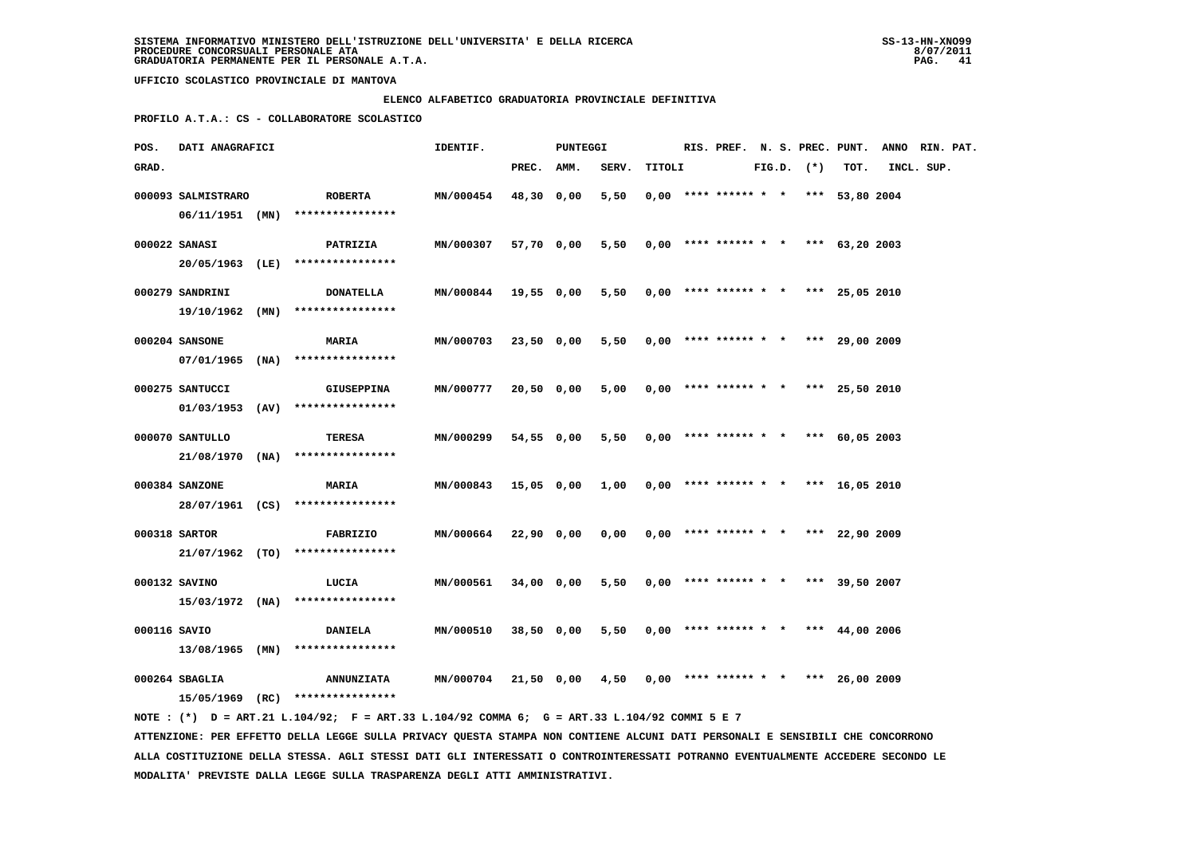### **ELENCO ALFABETICO GRADUATORIA PROVINCIALE DEFINITIVA**

 **PROFILO A.T.A.: CS - COLLABORATORE SCOLASTICO**

| POS.         | DATI ANAGRAFICI    |                                                                                             | IDENTIF.             |            | PUNTEGGI   |                                            |        |  |                                       |  |                |      | RIS. PREF. N. S. PREC. PUNT. ANNO RIN. PAT. |  |
|--------------|--------------------|---------------------------------------------------------------------------------------------|----------------------|------------|------------|--------------------------------------------|--------|--|---------------------------------------|--|----------------|------|---------------------------------------------|--|
| GRAD.        |                    |                                                                                             |                      | PREC. AMM. |            | SERV.                                      | TITOLI |  |                                       |  | $FIG.D.$ $(*)$ | TOT. | INCL. SUP.                                  |  |
|              | 000093 SALMISTRARO | <b>ROBERTA</b><br>06/11/1951 (MN) ****************                                          | MN/000454            | 48,30 0,00 |            | 5,50                                       |        |  | $0.00$ **** ****** * * *** 53,80 2004 |  |                |      |                                             |  |
|              |                    |                                                                                             |                      |            |            |                                            |        |  |                                       |  |                |      |                                             |  |
|              | 000022 SANASI      | PATRIZIA                                                                                    | MN/000307            |            | 57,70 0,00 | 5,50                                       |        |  | $0,00$ **** ****** * * *** 63,20 2003 |  |                |      |                                             |  |
|              |                    | 20/05/1963 (LE) ****************                                                            |                      |            |            |                                            |        |  |                                       |  |                |      |                                             |  |
|              | 000279 SANDRINI    | <b>DONATELLA</b>                                                                            | MN/000844 19,55 0,00 |            |            | 5,50                                       |        |  | $0,00$ **** ****** * * *** 25,05 2010 |  |                |      |                                             |  |
|              |                    | $19/10/1962$ (MN) *****************                                                         |                      |            |            |                                            |        |  |                                       |  |                |      |                                             |  |
|              | 000204 SANSONE     | <b>MARIA</b>                                                                                | <b>MN/000703</b>     | 23,50 0,00 |            | 5,50                                       |        |  | $0,00$ **** ****** * * *** 29,00 2009 |  |                |      |                                             |  |
|              |                    | $07/01/1965$ (NA) ****************                                                          |                      |            |            |                                            |        |  |                                       |  |                |      |                                             |  |
|              |                    |                                                                                             |                      |            |            |                                            |        |  |                                       |  |                |      |                                             |  |
|              | 000275 SANTUCCI    | GIUSEPPINA                                                                                  | MN/000777            | 20,50 0,00 |            | 5,00                                       |        |  | $0,00$ **** ****** * * *** 25,50 2010 |  |                |      |                                             |  |
|              |                    | $01/03/1953$ (AV) ****************                                                          |                      |            |            |                                            |        |  |                                       |  |                |      |                                             |  |
|              | 000070 SANTULLO    | TERESA                                                                                      | MN/000299            |            | 54,55 0,00 | 5,50                                       |        |  | $0,00$ **** ****** * * *** 60,05 2003 |  |                |      |                                             |  |
|              |                    | $21/08/1970$ (NA) ****************                                                          |                      |            |            |                                            |        |  |                                       |  |                |      |                                             |  |
|              | 000384 SANZONE     | <b>MARIA</b>                                                                                | MN/000843            |            | 15,05 0,00 | 1,00                                       |        |  | $0.00$ **** ****** * * *** 16.05 2010 |  |                |      |                                             |  |
|              |                    | 28/07/1961 (CS) ****************                                                            |                      |            |            |                                            |        |  |                                       |  |                |      |                                             |  |
|              |                    |                                                                                             |                      |            |            |                                            |        |  |                                       |  |                |      |                                             |  |
|              | 000318 SARTOR      | FABRIZIO                                                                                    | <b>MN/000664</b>     | 22,90 0,00 |            | 0,00                                       |        |  | $0,00$ **** ****** * * *** 22,90 2009 |  |                |      |                                             |  |
|              |                    | $21/07/1962$ (TO) *****************                                                         |                      |            |            |                                            |        |  |                                       |  |                |      |                                             |  |
|              | 000132 SAVINO      | LUCIA                                                                                       | MN/000561            | 34,00 0,00 |            | 5,50                                       |        |  | $0,00$ **** ****** * * *** 39,50 2007 |  |                |      |                                             |  |
|              |                    | $15/03/1972$ (NA) ****************                                                          |                      |            |            |                                            |        |  |                                       |  |                |      |                                             |  |
| 000116 SAVIO |                    | <b>DANIELA</b>                                                                              | <b>MN/000510</b>     |            | 38,50 0,00 | $5,50$ 0,00 **** ****** * * *** 44,00 2006 |        |  |                                       |  |                |      |                                             |  |
|              |                    | $13/08/1965$ (MN) *****************                                                         |                      |            |            |                                            |        |  |                                       |  |                |      |                                             |  |
|              |                    |                                                                                             |                      |            |            |                                            |        |  |                                       |  |                |      |                                             |  |
|              | 000264 SBAGLIA     | <b>ANNUNZIATA</b>                                                                           | MN/000704            |            | 21,50 0,00 | 4,50                                       |        |  | $0,00$ **** ****** * * *** 26,00 2009 |  |                |      |                                             |  |
|              |                    | 15/05/1969 (RC) ****************                                                            |                      |            |            |                                            |        |  |                                       |  |                |      |                                             |  |
|              |                    | NOTE: (*) D = ART.21 L.104/92; F = ART.33 L.104/92 COMMA 6; G = ART.33 L.104/92 COMMI 5 E 7 |                      |            |            |                                            |        |  |                                       |  |                |      |                                             |  |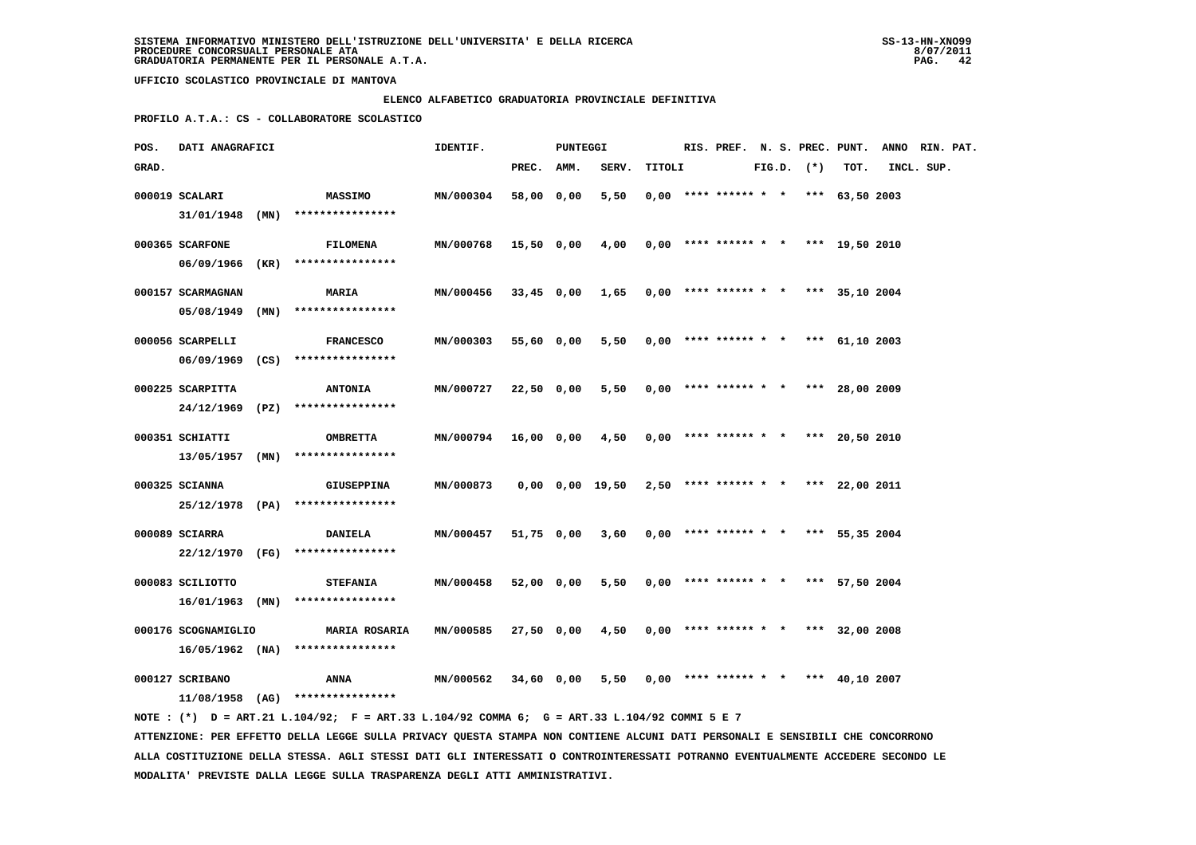# **ELENCO ALFABETICO GRADUATORIA PROVINCIALE DEFINITIVA**

 **PROFILO A.T.A.: CS - COLLABORATORE SCOLASTICO**

| POS.  | DATI ANAGRAFICI     |                                                                                                                                 | IDENTIF.             |              | PUNTEGGI |                                                             |        |  |                                       |  |                |      | RIS. PREF. N. S. PREC. PUNT. ANNO RIN. PAT. |  |
|-------|---------------------|---------------------------------------------------------------------------------------------------------------------------------|----------------------|--------------|----------|-------------------------------------------------------------|--------|--|---------------------------------------|--|----------------|------|---------------------------------------------|--|
| GRAD. |                     |                                                                                                                                 |                      | PREC. AMM.   |          | SERV.                                                       | TITOLI |  |                                       |  | $FIG.D.$ $(*)$ | TOT. | INCL. SUP.                                  |  |
|       | 000019 SCALARI      | <b>MASSIMO</b>                                                                                                                  | MN/000304            | 58,00 0,00   |          | 5,50                                                        |        |  | $0,00$ **** ****** * * *** 63,50 2003 |  |                |      |                                             |  |
|       |                     | $31/01/1948$ (MN) *****************                                                                                             |                      |              |          |                                                             |        |  |                                       |  |                |      |                                             |  |
|       | 000365 SCARFONE     | <b>FILOMENA</b>                                                                                                                 | MN/000768            | 15,50 0,00   |          | 4,00                                                        |        |  | $0,00$ **** ****** * * *** 19,50 2010 |  |                |      |                                             |  |
|       |                     | 06/09/1966 (KR) ****************                                                                                                |                      |              |          |                                                             |        |  |                                       |  |                |      |                                             |  |
|       |                     |                                                                                                                                 |                      |              |          |                                                             |        |  |                                       |  |                |      |                                             |  |
|       | 000157 SCARMAGNAN   | <b>MARIA</b>                                                                                                                    | MN/000456            | $33,45$ 0,00 |          | 1,65                                                        |        |  | $0,00$ **** ****** * * *** 35,10 2004 |  |                |      |                                             |  |
|       |                     | $05/08/1949$ (MN) ****************                                                                                              |                      |              |          |                                                             |        |  |                                       |  |                |      |                                             |  |
|       | 000056 SCARPELLI    | <b>FRANCESCO</b>                                                                                                                | MN/000303            | 55,60 0,00   |          | 5,50                                                        |        |  | $0,00$ **** ****** * * *** 61,10 2003 |  |                |      |                                             |  |
|       |                     | 06/09/1969 (CS) ****************                                                                                                |                      |              |          |                                                             |        |  |                                       |  |                |      |                                             |  |
|       | 000225 SCARPITTA    | <b>ANTONIA</b>                                                                                                                  | MN/000727            | 22,50 0,00   |          | 5,50                                                        |        |  | $0,00$ **** ****** * * *** 28,00 2009 |  |                |      |                                             |  |
|       |                     | 24/12/1969 (PZ) ****************                                                                                                |                      |              |          |                                                             |        |  |                                       |  |                |      |                                             |  |
|       | 000351 SCHIATTI     | <b>OMBRETTA</b>                                                                                                                 | <b>MN/000794</b>     | 16,00 0,00   |          | 4,50                                                        |        |  | $0,00$ **** ****** * * *** 20,50 2010 |  |                |      |                                             |  |
|       | 13/05/1957 (MN)     | ****************                                                                                                                |                      |              |          |                                                             |        |  |                                       |  |                |      |                                             |  |
|       |                     |                                                                                                                                 |                      |              |          |                                                             |        |  |                                       |  |                |      |                                             |  |
|       | 000325 SCIANNA      | <b>GIUSEPPINA</b><br>25/12/1978 (PA) ****************                                                                           | MN/000873            |              |          | $0,00$ $0,00$ $19,50$ $2,50$ **** ****** * * *** 22,00 2011 |        |  |                                       |  |                |      |                                             |  |
|       |                     |                                                                                                                                 |                      |              |          |                                                             |        |  |                                       |  |                |      |                                             |  |
|       | 000089 SCIARRA      | <b>DANIELA</b>                                                                                                                  | MN/000457            | 51,75 0,00   |          | 3,60                                                        |        |  | $0.00$ **** ****** * * *** 55.35 2004 |  |                |      |                                             |  |
|       |                     | 22/12/1970 (FG) ****************                                                                                                |                      |              |          |                                                             |        |  |                                       |  |                |      |                                             |  |
|       | 000083 SCILIOTTO    | <b>STEFANIA</b>                                                                                                                 | MN/000458            | 52,00 0,00   |          | 5,50                                                        |        |  | $0,00$ **** ****** * * *** 57,50 2004 |  |                |      |                                             |  |
|       |                     | $16/01/1963$ (MN) ****************                                                                                              |                      |              |          |                                                             |        |  |                                       |  |                |      |                                             |  |
|       | 000176 SCOGNAMIGLIO | <b>MARIA ROSARIA</b>                                                                                                            | MN/000585            | 27,50 0,00   |          | 4,50                                                        |        |  | $0,00$ **** ****** * * *** 32,00 2008 |  |                |      |                                             |  |
|       |                     | $16/05/1962$ (NA) *****************                                                                                             |                      |              |          |                                                             |        |  |                                       |  |                |      |                                             |  |
|       |                     |                                                                                                                                 |                      |              |          |                                                             |        |  |                                       |  |                |      |                                             |  |
|       | 000127 SCRIBANO     | ANNA                                                                                                                            | MN/000562 34,60 0,00 |              |          | 5,50                                                        |        |  | $0,00$ **** ****** * * *** 40,10 2007 |  |                |      |                                             |  |
|       |                     | 11/08/1958 (AG) ****************<br>NOTE: (*) D = ART.21 L.104/92; F = ART.33 L.104/92 COMMA 6; G = ART.33 L.104/92 COMMI 5 E 7 |                      |              |          |                                                             |        |  |                                       |  |                |      |                                             |  |
|       |                     |                                                                                                                                 |                      |              |          | $\frac{1}{2}$                                               |        |  |                                       |  |                |      |                                             |  |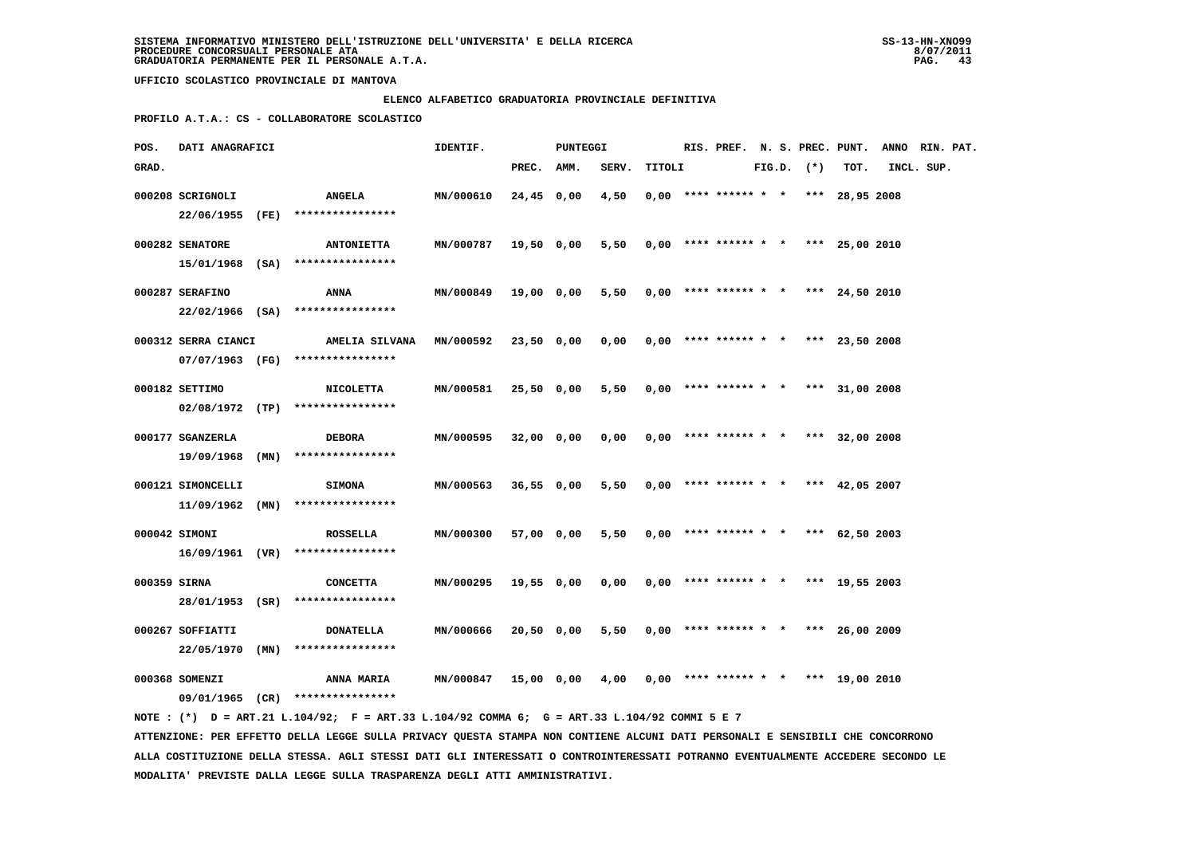### **ELENCO ALFABETICO GRADUATORIA PROVINCIALE DEFINITIVA**

 **PROFILO A.T.A.: CS - COLLABORATORE SCOLASTICO**

| POS.         | DATI ANAGRAFICI     |                                                                                             | IDENTIF.  |              | <b>PUNTEGGI</b> |       |        |  |                                       |  |                |                  | RIS. PREF. N. S. PREC. PUNT. ANNO RIN. PAT. |  |
|--------------|---------------------|---------------------------------------------------------------------------------------------|-----------|--------------|-----------------|-------|--------|--|---------------------------------------|--|----------------|------------------|---------------------------------------------|--|
| GRAD.        |                     |                                                                                             |           | PREC. AMM.   |                 | SERV. | TITOLI |  |                                       |  | $FIG.D.$ $(*)$ | TOT.             | INCL. SUP.                                  |  |
|              | 000208 SCRIGNOLI    | <b>ANGELA</b>                                                                               | MN/000610 | $24,45$ 0,00 |                 | 4,50  |        |  | $0.00$ **** ****** * * *** 28,95 2008 |  |                |                  |                                             |  |
|              | 22/06/1955 (FE)     | ****************                                                                            |           |              |                 |       |        |  |                                       |  |                |                  |                                             |  |
|              | 000282 SENATORE     | <b>ANTONIETTA</b>                                                                           | MN/000787 | 19,50 0,00   |                 | 5,50  |        |  | $0,00$ **** ****** * * *** 25,00 2010 |  |                |                  |                                             |  |
|              |                     | $15/01/1968$ (SA) ****************                                                          |           |              |                 |       |        |  |                                       |  |                |                  |                                             |  |
|              | 000287 SERAFINO     | <b>ANNA</b>                                                                                 | MN/000849 |              | 19,00 0,00      | 5,50  |        |  | $0,00$ **** ****** * * *** 24,50 2010 |  |                |                  |                                             |  |
|              |                     | 22/02/1966 (SA) ****************                                                            |           |              |                 |       |        |  |                                       |  |                |                  |                                             |  |
|              | 000312 SERRA CIANCI | AMELIA SILVANA                                                                              | MN/000592 | 23,50 0,00   |                 | 0,00  |        |  | $0.00$ **** ****** * * *** 23,50 2008 |  |                |                  |                                             |  |
|              |                     | 07/07/1963 (FG) ****************                                                            |           |              |                 |       |        |  |                                       |  |                |                  |                                             |  |
|              | 000182 SETTIMO      | <b>NICOLETTA</b>                                                                            | MN/000581 | 25,50 0,00   |                 | 5,50  |        |  | $0,00$ **** ****** * *                |  |                | *** $31,00$ 2008 |                                             |  |
|              |                     | $02/08/1972$ (TP) ****************                                                          |           |              |                 |       |        |  |                                       |  |                |                  |                                             |  |
|              | 000177 SGANZERLA    | <b>DEBORA</b>                                                                               | MN/000595 | 32,00 0,00   |                 | 0,00  |        |  | $0,00$ **** ****** * *                |  |                | *** $32,00$ 2008 |                                             |  |
|              | 19/09/1968 (MN)     | ****************                                                                            |           |              |                 |       |        |  |                                       |  |                |                  |                                             |  |
|              | 000121 SIMONCELLI   | <b>SIMONA</b>                                                                               | MN/000563 | $36,55$ 0,00 |                 | 5,50  |        |  | $0,00$ **** ****** * * *** 42,05 2007 |  |                |                  |                                             |  |
|              | $11/09/1962$ (MN)   | ****************                                                                            |           |              |                 |       |        |  |                                       |  |                |                  |                                             |  |
|              | 000042 SIMONI       | <b>ROSSELLA</b>                                                                             | MN/000300 | 57,00 0,00   |                 | 5,50  |        |  | $0,00$ **** ****** * * *** 62,50 2003 |  |                |                  |                                             |  |
|              |                     | $16/09/1961$ (VR) ****************                                                          |           |              |                 |       |        |  |                                       |  |                |                  |                                             |  |
| 000359 SIRNA |                     | <b>CONCETTA</b>                                                                             | MN/000295 |              | 19,55 0,00      | 0,00  |        |  | $0.00$ **** ****** * * *** 19.55 2003 |  |                |                  |                                             |  |
|              | 28/01/1953 (SR)     | ****************                                                                            |           |              |                 |       |        |  |                                       |  |                |                  |                                             |  |
|              | 000267 SOFFIATTI    | <b>DONATELLA</b>                                                                            | MN/000666 | 20,50 0,00   |                 | 5,50  |        |  | $0.00$ **** ****** * * *** 26,00 2009 |  |                |                  |                                             |  |
|              | 22/05/1970 (MN)     | ****************                                                                            |           |              |                 |       |        |  |                                       |  |                |                  |                                             |  |
|              | 000368 SOMENZI      | <b>ANNA MARIA</b>                                                                           | MN/000847 |              | 15,00 0,00      | 4,00  |        |  | $0,00$ **** ****** * *                |  |                | *** 19,00 2010   |                                             |  |
|              |                     | 09/01/1965 (CR) ****************                                                            |           |              |                 |       |        |  |                                       |  |                |                  |                                             |  |
|              |                     | NOTE: (*) D = ART.21 L.104/92; F = ART.33 L.104/92 COMMA 6; G = ART.33 L.104/92 COMMI 5 E 7 |           |              |                 |       |        |  |                                       |  |                |                  |                                             |  |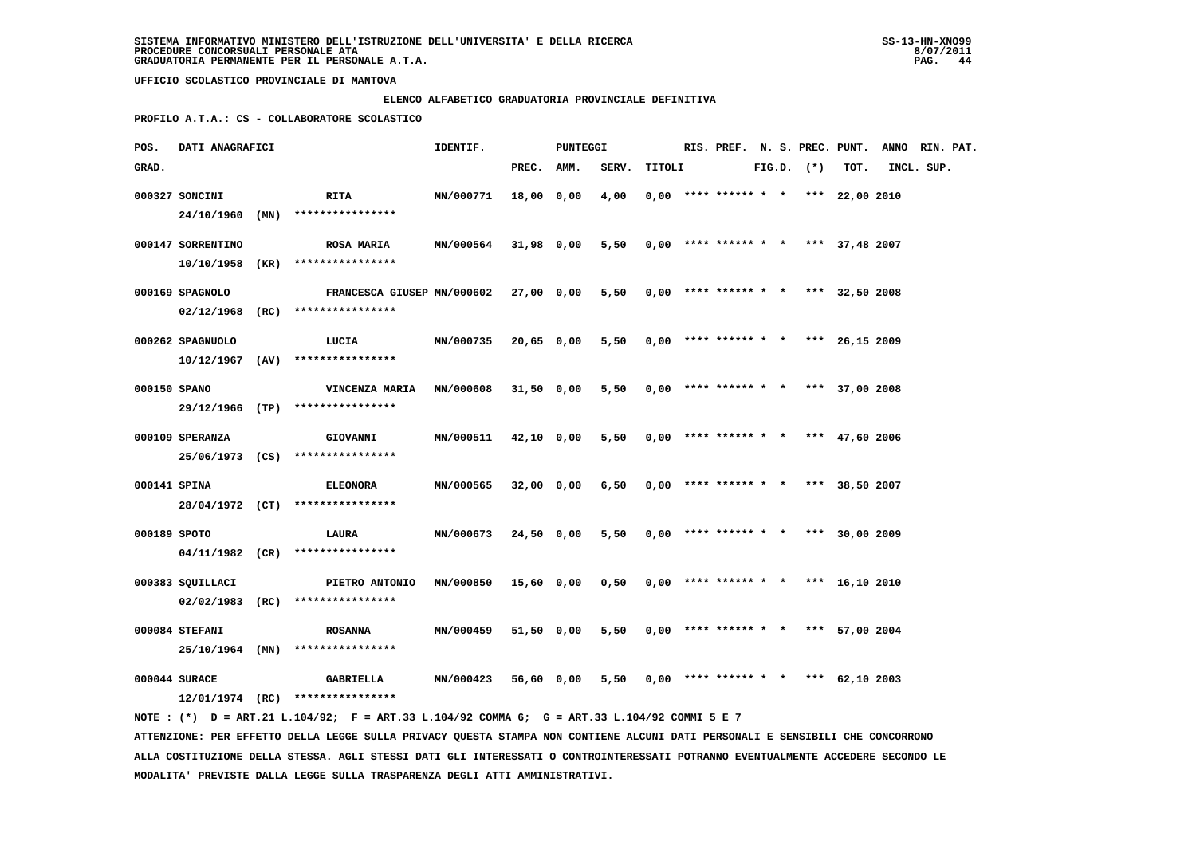# **ELENCO ALFABETICO GRADUATORIA PROVINCIALE DEFINITIVA**

 **PROFILO A.T.A.: CS - COLLABORATORE SCOLASTICO**

| POS.         | DATI ANAGRAFICI   |      |                                                                                                                               | IDENTIF.         |              | <b>PUNTEGGI</b> |       |        |  |                                       |  |                |                  | RIS. PREF. N. S. PREC. PUNT. ANNO RIN. PAT. |  |
|--------------|-------------------|------|-------------------------------------------------------------------------------------------------------------------------------|------------------|--------------|-----------------|-------|--------|--|---------------------------------------|--|----------------|------------------|---------------------------------------------|--|
| GRAD.        |                   |      |                                                                                                                               |                  | PREC. AMM.   |                 | SERV. | TITOLI |  |                                       |  | $FIG.D.$ $(*)$ | TOT.             | INCL. SUP.                                  |  |
|              | 000327 SONCINI    |      | <b>RITA</b>                                                                                                                   | <b>MN/000771</b> | 18,00 0,00   |                 | 4,00  |        |  | $0.00$ **** ****** * * *** 22.00 2010 |  |                |                  |                                             |  |
|              | 24/10/1960 (MN)   |      | ****************                                                                                                              |                  |              |                 |       |        |  |                                       |  |                |                  |                                             |  |
|              | 000147 SORRENTINO |      | <b>ROSA MARIA</b>                                                                                                             | MN/000564        | 31,98 0,00   |                 | 5,50  |        |  | $0,00$ **** ****** * * *** 37,48 2007 |  |                |                  |                                             |  |
|              | 10/10/1958        | (KR) | ****************                                                                                                              |                  |              |                 |       |        |  |                                       |  |                |                  |                                             |  |
|              |                   |      |                                                                                                                               |                  |              |                 |       |        |  |                                       |  |                |                  |                                             |  |
|              | 000169 SPAGNOLO   |      | FRANCESCA GIUSEP MN/000602                                                                                                    |                  | 27,00 0,00   |                 | 5,50  |        |  | $0,00$ **** ****** * * *** 32,50 2008 |  |                |                  |                                             |  |
|              | $02/12/1968$ (RC) |      | ****************                                                                                                              |                  |              |                 |       |        |  |                                       |  |                |                  |                                             |  |
|              | 000262 SPAGNUOLO  |      | LUCIA                                                                                                                         | MN/000735        | 20,65 0,00   |                 | 5,50  |        |  | $0,00$ **** ****** * * *** 26,15 2009 |  |                |                  |                                             |  |
|              | $10/12/1967$ (AV) |      | ****************                                                                                                              |                  |              |                 |       |        |  |                                       |  |                |                  |                                             |  |
| 000150 SPANO |                   |      | VINCENZA MARIA                                                                                                                | MN/000608        | 31,50 0,00   |                 | 5,50  |        |  | $0,00$ **** ****** * * *** 37,00 2008 |  |                |                  |                                             |  |
|              |                   |      | 29/12/1966 (TP) ****************                                                                                              |                  |              |                 |       |        |  |                                       |  |                |                  |                                             |  |
|              | 000109 SPERANZA   |      | <b>GIOVANNI</b>                                                                                                               | MN/000511        | 42,10 0,00   |                 | 5,50  |        |  | $0,00$ **** ****** * *                |  |                | *** $47,60$ 2006 |                                             |  |
|              |                   |      | 25/06/1973 (CS) ****************                                                                                              |                  |              |                 |       |        |  |                                       |  |                |                  |                                             |  |
|              |                   |      |                                                                                                                               |                  |              |                 |       |        |  |                                       |  |                |                  |                                             |  |
| 000141 SPINA |                   |      | <b>ELEONORA</b><br>28/04/1972 (CT) ****************                                                                           | MN/000565        | $32,00$ 0,00 |                 | 6,50  |        |  | $0,00$ **** ****** * * *** 38,50 2007 |  |                |                  |                                             |  |
|              |                   |      |                                                                                                                               |                  |              |                 |       |        |  |                                       |  |                |                  |                                             |  |
| 000189 SPOTO |                   |      | <b>LAURA</b>                                                                                                                  | MN/000673        | 24,50 0,00   |                 | 5,50  |        |  | $0,00$ **** ****** * * *** 30,00 2009 |  |                |                  |                                             |  |
|              |                   |      | $04/11/1982$ (CR) ****************                                                                                            |                  |              |                 |       |        |  |                                       |  |                |                  |                                             |  |
|              | 000383 SOUILLACI  |      | PIETRO ANTONIO                                                                                                                | MN/000850        | 15,60 0,00   |                 | 0,50  |        |  | $0.00$ **** ****** * * *** 16.10 2010 |  |                |                  |                                             |  |
|              | $02/02/1983$ (RC) |      | ****************                                                                                                              |                  |              |                 |       |        |  |                                       |  |                |                  |                                             |  |
|              | 000084 STEFANI    |      | <b>ROSANNA</b>                                                                                                                | MN/000459        | 51,50 0,00   |                 | 5,50  |        |  | $0,00$ **** ****** * * *** 57,00 2004 |  |                |                  |                                             |  |
|              | 25/10/1964 (MN)   |      | ****************                                                                                                              |                  |              |                 |       |        |  |                                       |  |                |                  |                                             |  |
|              |                   |      |                                                                                                                               |                  |              |                 |       |        |  |                                       |  |                |                  |                                             |  |
|              | 000044 SURACE     |      | <b>GABRIELLA</b><br>$12/01/1974$ (RC) ****************                                                                        | MN/000423        |              | 56,60 0,00      | 5,50  |        |  | $0,00$ **** ****** * * *** 62,10 2003 |  |                |                  |                                             |  |
|              |                   |      | NOTE : (*) D = ART.21 L.104/92; F = ART.33 L.104/92 COMMA 6; G = ART.33 L.104/92 COMMI 5 E 7                                  |                  |              |                 |       |        |  |                                       |  |                |                  |                                             |  |
|              |                   |      | ATTENZIONE: PER EFFETTO DELLA LEGGE SULLA PRIVACY QUESTA STAMPA NON CONTIENE ALCUNI DATI PERSONALI E SENSIBILI CHE CONCORRONO |                  |              |                 |       |        |  |                                       |  |                |                  |                                             |  |

 **ALLA COSTITUZIONE DELLA STESSA. AGLI STESSI DATI GLI INTERESSATI O CONTROINTERESSATI POTRANNO EVENTUALMENTE ACCEDERE SECONDO LE MODALITA' PREVISTE DALLA LEGGE SULLA TRASPARENZA DEGLI ATTI AMMINISTRATIVI.**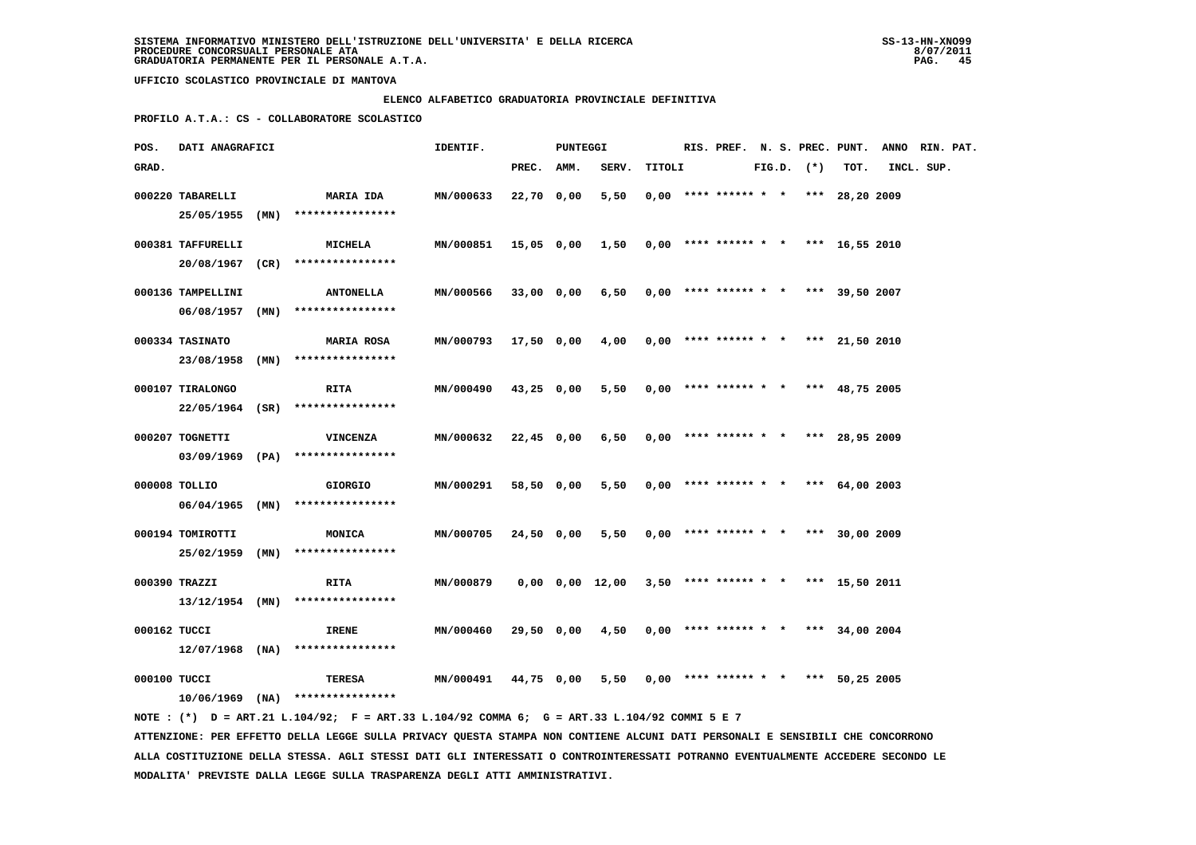### **ELENCO ALFABETICO GRADUATORIA PROVINCIALE DEFINITIVA**

 **PROFILO A.T.A.: CS - COLLABORATORE SCOLASTICO**

| POS.         | DATI ANAGRAFICI                        |      |                                                    | IDENTIF.         |            | <b>PUNTEGGI</b> |                 |        |                                       |  |                |      | RIS. PREF. N. S. PREC. PUNT. ANNO RIN. PAT. |  |
|--------------|----------------------------------------|------|----------------------------------------------------|------------------|------------|-----------------|-----------------|--------|---------------------------------------|--|----------------|------|---------------------------------------------|--|
| GRAD.        |                                        |      |                                                    |                  | PREC. AMM. |                 | SERV.           | TITOLI |                                       |  | $FIG.D.$ $(*)$ | TOT. | INCL. SUP.                                  |  |
|              | 000220 TABARELLI<br>25/05/1955 (MN)    |      | <b>MARIA IDA</b><br>****************               | MN/000633        | 22,70 0,00 |                 | 5,50            |        | $0,00$ **** ****** * * *** 28,20 2009 |  |                |      |                                             |  |
|              | 000381 TAFFURELLI                      |      | <b>MICHELA</b><br>20/08/1967 (CR) **************** | MN/000851        |            |                 | 15,05 0,00 1,50 |        | $0.00$ **** ****** * * *** 16.55 2010 |  |                |      |                                             |  |
|              | 000136 TAMPELLINI<br>$06/08/1957$ (MN) |      | <b>ANTONELLA</b><br>****************               | MN/000566        | 33,00 0,00 |                 | 6,50            |        | $0.00$ **** ****** * * *** 39,50 2007 |  |                |      |                                             |  |
|              | 000334 TASINATO<br>23/08/1958          | (MN) | <b>MARIA ROSA</b><br>****************              | <b>MN/000793</b> | 17,50 0,00 |                 | 4,00            |        | $0,00$ **** ****** * * *** 21,50 2010 |  |                |      |                                             |  |
|              | 000107 TIRALONGO<br>22/05/1964 (SR)    |      | RITA<br>****************                           | MN/000490        | 43,25 0,00 |                 | 5,50            |        | $0.00$ **** ****** * * *** 48.75 2005 |  |                |      |                                             |  |
|              | 000207 TOGNETTI<br>03/09/1969 (PA)     |      | <b>VINCENZA</b><br>****************                | MN/000632        | 22,45 0,00 |                 | 6,50            |        | $0,00$ **** ****** * * *** 28,95 2009 |  |                |      |                                             |  |
|              | 000008 TOLLIO<br>06/04/1965            | (MN) | <b>GIORGIO</b><br>****************                 | MN/000291        | 58,50 0,00 |                 | 5,50            |        | $0.00$ **** ****** * * *** 64.00 2003 |  |                |      |                                             |  |
|              | 000194 TOMIROTTI<br>25/02/1959 (MN)    |      | MONICA<br>****************                         | MN/000705        | 24,50 0,00 |                 | 5,50            |        | $0,00$ **** ****** * * *** 30,00 2009 |  |                |      |                                             |  |
|              | 000390 TRAZZI                          |      | RITA<br>$13/12/1954$ (MN) ****************         | MN/000879        |            |                 | 0,00 0,00 12,00 |        | $3,50$ **** ****** * * *** 15,50 2011 |  |                |      |                                             |  |
| 000162 TUCCI | 12/07/1968 (NA)                        |      | <b>IRENE</b><br>****************                   | MN/000460        | 29,50 0,00 |                 | 4,50            |        | $0,00$ **** ****** * * *** 34,00 2004 |  |                |      |                                             |  |
| 000100 TUCCI | $10/06/1969$ (NA)                      |      | TERESA<br>****************                         | <b>MN/000491</b> | 44,75 0,00 |                 | 5,50            |        | $0,00$ **** ****** * * *** 50,25 2005 |  |                |      |                                             |  |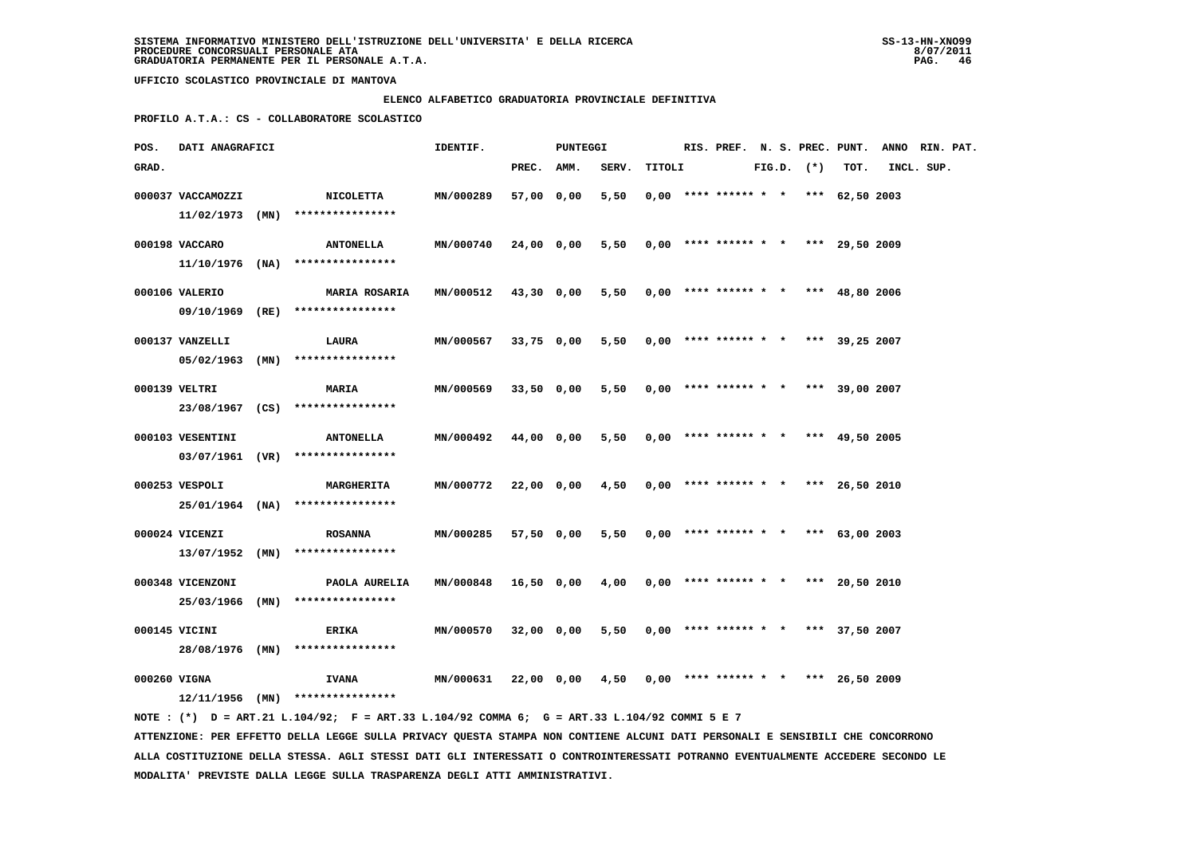### **ELENCO ALFABETICO GRADUATORIA PROVINCIALE DEFINITIVA**

 **PROFILO A.T.A.: CS - COLLABORATORE SCOLASTICO**

| POS.         | DATI ANAGRAFICI                      |                                                                                             | IDENTIF.  |            | PUNTEGGI   |       |        |  |                                       |  |                |      | RIS. PREF. N. S. PREC. PUNT. ANNO RIN. PAT. |  |
|--------------|--------------------------------------|---------------------------------------------------------------------------------------------|-----------|------------|------------|-------|--------|--|---------------------------------------|--|----------------|------|---------------------------------------------|--|
| GRAD.        |                                      |                                                                                             |           | PREC. AMM. |            | SERV. | TITOLI |  |                                       |  | $FIG.D.$ $(*)$ | TOT. | INCL. SUP.                                  |  |
|              | 000037 VACCAMOZZI<br>11/02/1973 (MN) | NICOLETTA<br>****************                                                               | MN/000289 | 57,00 0,00 |            | 5,50  |        |  | $0.00$ **** ****** * * *** 62,50 2003 |  |                |      |                                             |  |
|              | 000198 VACCARO                       | <b>ANTONELLA</b><br>$11/10/1976$ (NA) ****************                                      | MN/000740 | 24,00 0,00 |            | 5,50  |        |  | $0,00$ **** ****** * * *** 29,50 2009 |  |                |      |                                             |  |
|              | 000106 VALERIO                       | <b>MARIA ROSARIA</b><br>09/10/1969 (RE) ****************                                    | MN/000512 |            | 43,30 0,00 | 5,50  |        |  | $0,00$ **** ****** * * *** 48,80 2006 |  |                |      |                                             |  |
|              | 000137 VANZELLI                      | LAURA<br>$05/02/1963$ (MN) ****************                                                 | MN/000567 | 33,75 0,00 |            | 5,50  |        |  | $0.00$ **** ****** * * *** 39,25 2007 |  |                |      |                                             |  |
|              | 000139 VELTRI                        | <b>MARIA</b><br>23/08/1967 (CS) ****************                                            | MN/000569 | 33,50 0,00 |            | 5,50  |        |  | $0.00$ **** ****** * * *** 39,00 2007 |  |                |      |                                             |  |
|              | 000103 VESENTINI                     | <b>ANTONELLA</b><br>$03/07/1961$ (VR) ****************                                      | MN/000492 | 44,00 0,00 |            | 5,50  |        |  | $0,00$ **** ****** * * *** 49,50 2005 |  |                |      |                                             |  |
|              | 000253 VESPOLI                       | <b>MARGHERITA</b><br>25/01/1964 (NA) ****************                                       | MN/000772 | 22,00 0,00 |            | 4,50  |        |  | $0,00$ **** ****** * * *** 26,50 2010 |  |                |      |                                             |  |
|              | 000024 VICENZI                       | <b>ROSANNA</b>                                                                              | MN/000285 | 57,50 0,00 |            | 5,50  |        |  | $0.00$ **** ****** * * *** 63.00 2003 |  |                |      |                                             |  |
|              | 13/07/1952 (MN)<br>000348 VICENZONI  | ****************<br>PAOLA AURELIA                                                           | MN/000848 | 16,50 0,00 |            | 4,00  |        |  | $0,00$ **** ****** * * *** 20,50 2010 |  |                |      |                                             |  |
|              | 25/03/1966 (MN)<br>000145 VICINI     | ****************<br>ERIKA                                                                   | MN/000570 |            | 32,00 0,00 | 5,50  |        |  | $0,00$ **** ****** * * *** 37,50 2007 |  |                |      |                                             |  |
| 000260 VIGNA |                                      | 28/08/1976 (MN) ****************<br><b>IVANA</b>                                            | MN/000631 |            | 22,00 0,00 | 4,50  |        |  | $0,00$ **** ****** * * *** 26,50 2009 |  |                |      |                                             |  |
|              |                                      | $12/11/1956$ (MN) ****************                                                          |           |            |            |       |        |  |                                       |  |                |      |                                             |  |
|              |                                      | NOTE: (*) D = ART.21 L.104/92; F = ART.33 L.104/92 COMMA 6; G = ART.33 L.104/92 COMMI 5 E 7 |           |            |            |       |        |  |                                       |  |                |      |                                             |  |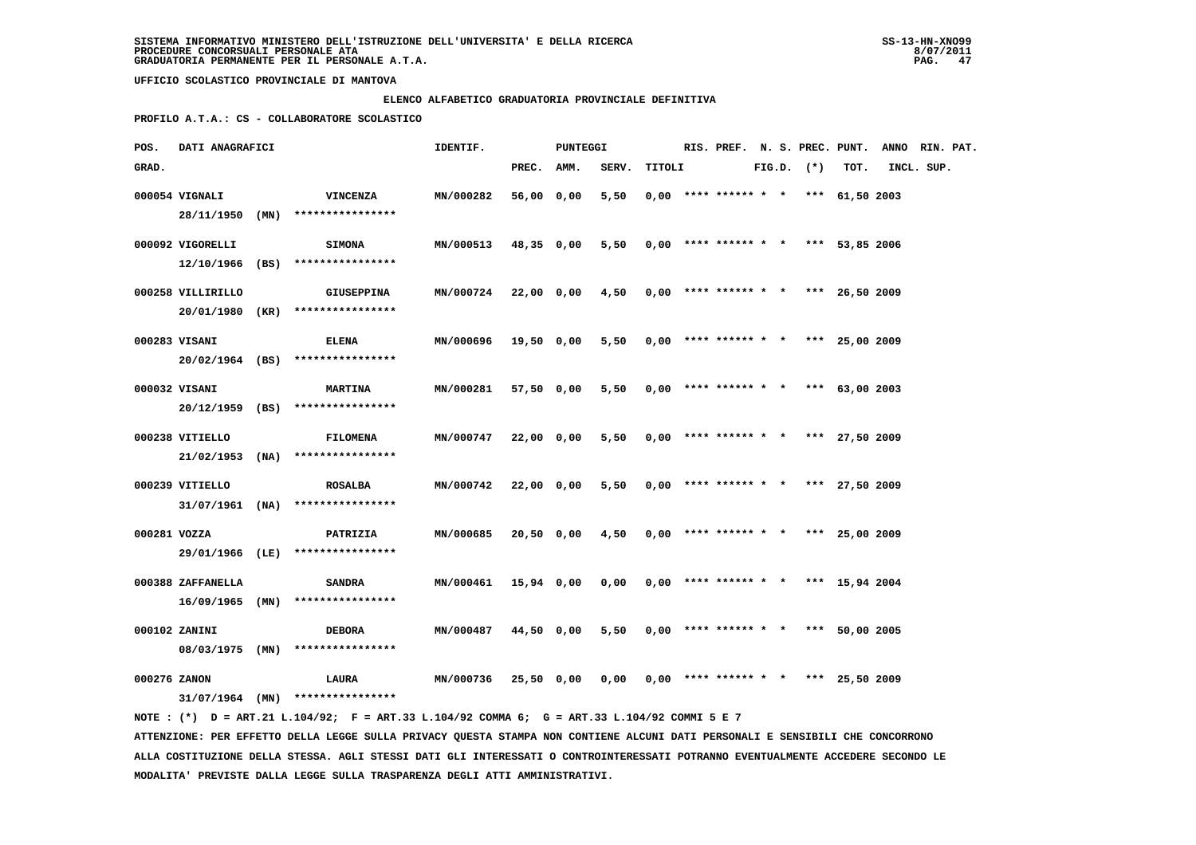### **ELENCO ALFABETICO GRADUATORIA PROVINCIALE DEFINITIVA**

 **PROFILO A.T.A.: CS - COLLABORATORE SCOLASTICO**

| POS.         | DATI ANAGRAFICI   |      |                                                                                             | IDENTIF.         |            | PUNTEGGI   |       |        |  | RIS. PREF. N. S. PREC. PUNT.          |  |              |                | ANNO RIN. PAT. |  |
|--------------|-------------------|------|---------------------------------------------------------------------------------------------|------------------|------------|------------|-------|--------|--|---------------------------------------|--|--------------|----------------|----------------|--|
| GRAD.        |                   |      |                                                                                             |                  | PREC.      | AMM.       | SERV. | TITOLI |  |                                       |  | FIG.D. $(*)$ | TOT.           | INCL. SUP.     |  |
|              | 000054 VIGNALI    |      | <b>VINCENZA</b>                                                                             | MN/000282        | 56,00      | 0,00       | 5,50  |        |  | $0,00$ **** ****** * * *** 61,50 2003 |  |              |                |                |  |
|              | 28/11/1950        | (MN) | ****************                                                                            |                  |            |            |       |        |  |                                       |  |              |                |                |  |
|              | 000092 VIGORELLI  |      |                                                                                             | MN/000513        |            |            | 5,50  |        |  | $0,00$ **** ****** * * *** 53,85 2006 |  |              |                |                |  |
|              | 12/10/1966 (BS)   |      | <b>SIMONA</b><br>****************                                                           |                  | 48,35 0,00 |            |       |        |  |                                       |  |              |                |                |  |
|              |                   |      |                                                                                             |                  |            |            |       |        |  |                                       |  |              |                |                |  |
|              | 000258 VILLIRILLO |      | <b>GIUSEPPINA</b>                                                                           | <b>MN/000724</b> |            | 22,00 0,00 | 4,50  |        |  | $0,00$ **** ****** * * *** 26,50 2009 |  |              |                |                |  |
|              | 20/01/1980 (KR)   |      | ****************                                                                            |                  |            |            |       |        |  |                                       |  |              |                |                |  |
|              | 000283 VISANI     |      | ELENA                                                                                       | MN/000696        | 19,50 0,00 |            | 5,50  |        |  | $0,00$ **** ****** * * *** 25,00 2009 |  |              |                |                |  |
|              |                   |      | 20/02/1964 (BS) ****************                                                            |                  |            |            |       |        |  |                                       |  |              |                |                |  |
|              |                   |      |                                                                                             |                  |            |            |       |        |  |                                       |  |              |                |                |  |
|              | 000032 VISANI     |      | <b>MARTINA</b>                                                                              | MN/000281        | 57,50 0,00 |            | 5,50  |        |  | $0,00$ **** ****** * *                |  |              | *** 63,00 2003 |                |  |
|              |                   |      | 20/12/1959 (BS) ****************                                                            |                  |            |            |       |        |  |                                       |  |              |                |                |  |
|              | 000238 VITIELLO   |      | <b>FILOMENA</b>                                                                             | MN/000747        | 22,00 0,00 |            | 5,50  |        |  | $0,00$ **** ****** * * *** 27,50 2009 |  |              |                |                |  |
|              |                   |      | $21/02/1953$ (NA) ****************                                                          |                  |            |            |       |        |  |                                       |  |              |                |                |  |
|              | 000239 VITIELLO   |      | <b>ROSALBA</b>                                                                              | MN/000742        | 22,00 0,00 |            | 5,50  |        |  | $0,00$ **** ****** * * *** 27,50 2009 |  |              |                |                |  |
|              | 31/07/1961 (NA)   |      | ****************                                                                            |                  |            |            |       |        |  |                                       |  |              |                |                |  |
|              |                   |      |                                                                                             |                  |            |            |       |        |  |                                       |  |              |                |                |  |
| 000281 VOZZA |                   |      | PATRIZIA                                                                                    | MN/000685        | 20,50 0,00 |            | 4,50  |        |  | $0,00$ **** ****** * * *** 25,00 2009 |  |              |                |                |  |
|              | 29/01/1966 (LE)   |      | ****************                                                                            |                  |            |            |       |        |  |                                       |  |              |                |                |  |
|              | 000388 ZAFFANELLA |      | <b>SANDRA</b>                                                                               | MN/000461        | 15,94 0,00 |            | 0,00  |        |  | $0,00$ **** ****** * * *** 15,94 2004 |  |              |                |                |  |
|              | $16/09/1965$ (MN) |      | ****************                                                                            |                  |            |            |       |        |  |                                       |  |              |                |                |  |
|              |                   |      |                                                                                             |                  |            |            |       |        |  |                                       |  |              |                |                |  |
|              | 000102 ZANINI     |      | <b>DEBORA</b>                                                                               | MN/000487        | 44,50 0,00 |            | 5,50  |        |  | $0,00$ **** ****** * *                |  |              | *** 50,00 2005 |                |  |
|              | 08/03/1975 (MN)   |      | ****************                                                                            |                  |            |            |       |        |  |                                       |  |              |                |                |  |
| 000276 ZANON |                   |      | <b>LAURA</b>                                                                                | MN/000736        | 25,50 0,00 |            | 0,00  |        |  | $0.00$ **** ****** * *                |  |              | *** 25,50 2009 |                |  |
|              |                   |      | $31/07/1964$ (MN) ****************                                                          |                  |            |            |       |        |  |                                       |  |              |                |                |  |
|              |                   |      | NOTE: (*) D = ART.21 L.104/92; F = ART.33 L.104/92 COMMA 6; G = ART.33 L.104/92 COMMI 5 E 7 |                  |            |            |       |        |  |                                       |  |              |                |                |  |